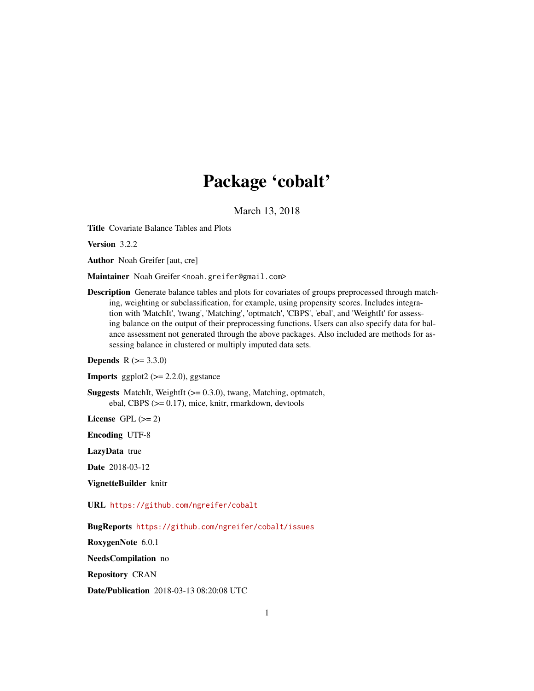# Package 'cobalt'

March 13, 2018

<span id="page-0-0"></span>Title Covariate Balance Tables and Plots

Version 3.2.2

Author Noah Greifer [aut, cre]

Maintainer Noah Greifer <noah.greifer@gmail.com>

Description Generate balance tables and plots for covariates of groups preprocessed through matching, weighting or subclassification, for example, using propensity scores. Includes integration with 'MatchIt', 'twang', 'Matching', 'optmatch', 'CBPS', 'ebal', and 'WeightIt' for assessing balance on the output of their preprocessing functions. Users can also specify data for balance assessment not generated through the above packages. Also included are methods for assessing balance in clustered or multiply imputed data sets.

**Depends** R  $(>= 3.3.0)$ 

**Imports** ggplot2  $(>= 2.2.0)$ , ggstance

**Suggests** MatchIt, WeightIt  $(>= 0.3.0)$ , twang, Matching, optmatch, ebal, CBPS (>= 0.17), mice, knitr, rmarkdown, devtools

License GPL  $(>= 2)$ 

Encoding UTF-8

LazyData true

Date 2018-03-12

VignetteBuilder knitr

URL <https://github.com/ngreifer/cobalt>

BugReports <https://github.com/ngreifer/cobalt/issues>

RoxygenNote 6.0.1

NeedsCompilation no

Repository CRAN

Date/Publication 2018-03-13 08:20:08 UTC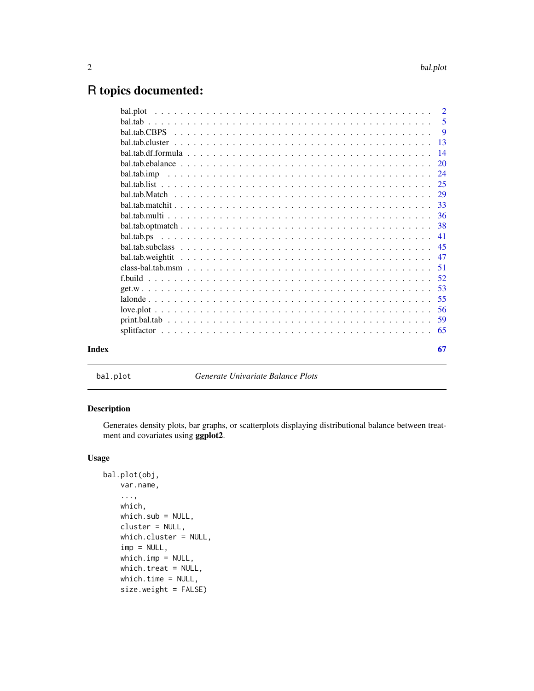## <span id="page-1-0"></span>R topics documented:

| Index | 67 |
|-------|----|

bal.plot *Generate Univariate Balance Plots*

## Description

Generates density plots, bar graphs, or scatterplots displaying distributional balance between treatment and covariates using ggplot2.

## Usage

```
bal.plot(obj,
   var.name,
    ...,
   which,
    which.sub = NULL,cluster = NULL,
    which.cluster = NULL,
    imp = NULL,
    which.imp = NULL,
    which.treat = NULL,
   which.time = NULL,
    size.weight = FALSE)
```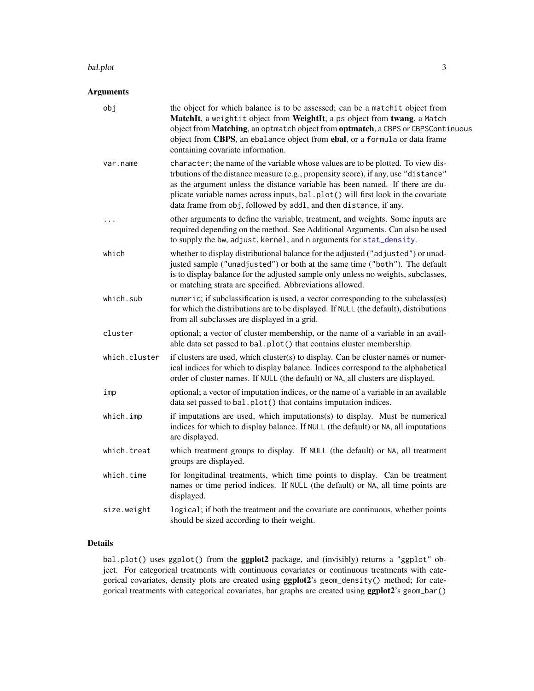#### <span id="page-2-0"></span>bal.plot 3

## Arguments

| obj           | the object for which balance is to be assessed; can be a matchit object from<br>MatchIt, a weightit object from WeightIt, a ps object from twang, a Match<br>object from Matching, an optmatch object from optmatch, a CBPS or CBPSContinuous<br>object from CBPS, an ebalance object from ebal, or a formula or data frame<br>containing covariate information.                                                  |
|---------------|-------------------------------------------------------------------------------------------------------------------------------------------------------------------------------------------------------------------------------------------------------------------------------------------------------------------------------------------------------------------------------------------------------------------|
| var.name      | character; the name of the variable whose values are to be plotted. To view dis-<br>trbutions of the distance measure (e.g., propensity score), if any, use "distance"<br>as the argument unless the distance variable has been named. If there are du-<br>plicate variable names across inputs, bal.plot() will first look in the covariate<br>data frame from obj, followed by addl, and then distance, if any. |
| .             | other arguments to define the variable, treatment, and weights. Some inputs are<br>required depending on the method. See Additional Arguments. Can also be used<br>to supply the bw, adjust, kernel, and n arguments for stat_density.                                                                                                                                                                            |
| which         | whether to display distributional balance for the adjusted ("adjusted") or unad-<br>justed sample ("unadjusted") or both at the same time ("both"). The default<br>is to display balance for the adjusted sample only unless no weights, subclasses,<br>or matching strata are specified. Abbreviations allowed.                                                                                                  |
| which.sub     | numeric; if subclassification is used, a vector corresponding to the subclass(es)<br>for which the distributions are to be displayed. If NULL (the default), distributions<br>from all subclasses are displayed in a grid.                                                                                                                                                                                        |
| cluster       | optional; a vector of cluster membership, or the name of a variable in an avail-<br>able data set passed to bal.plot() that contains cluster membership.                                                                                                                                                                                                                                                          |
| which.cluster | if clusters are used, which cluster(s) to display. Can be cluster names or numer-<br>ical indices for which to display balance. Indices correspond to the alphabetical<br>order of cluster names. If NULL (the default) or NA, all clusters are displayed.                                                                                                                                                        |
| imp           | optional; a vector of imputation indices, or the name of a variable in an available<br>data set passed to bal.plot() that contains imputation indices.                                                                                                                                                                                                                                                            |
| which.imp     | if imputations are used, which imputations(s) to display. Must be numerical<br>indices for which to display balance. If NULL (the default) or NA, all imputations<br>are displayed.                                                                                                                                                                                                                               |
| which.treat   | which treatment groups to display. If NULL (the default) or NA, all treatment<br>groups are displayed.                                                                                                                                                                                                                                                                                                            |
| which.time    | for longitudinal treatments, which time points to display. Can be treatment<br>names or time period indices. If NULL (the default) or NA, all time points are<br>displayed.                                                                                                                                                                                                                                       |
| size.weight   | logical; if both the treatment and the covariate are continuous, whether points<br>should be sized according to their weight.                                                                                                                                                                                                                                                                                     |

## Details

bal.plot() uses ggplot() from the ggplot2 package, and (invisibly) returns a "ggplot" object. For categorical treatments with continuous covariates or continuous treatments with categorical covariates, density plots are created using ggplot2's geom\_density() method; for categorical treatments with categorical covariates, bar graphs are created using ggplot2's geom\_bar()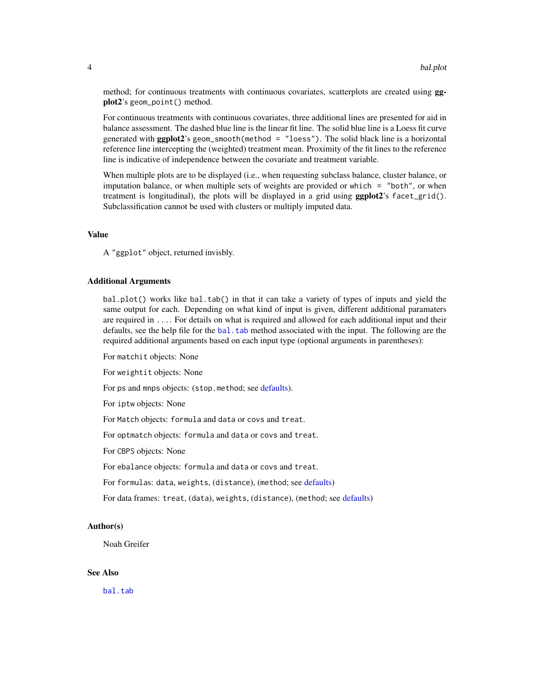<span id="page-3-0"></span>method; for continuous treatments with continuous covariates, scatterplots are created using **gg**plot2's geom\_point() method.

For continuous treatments with continuous covariates, three additional lines are presented for aid in balance assessment. The dashed blue line is the linear fit line. The solid blue line is a Loess fit curve generated with  $ggplot2$ 's geom\_smooth(method = "loess"). The solid black line is a horizontal reference line intercepting the (weighted) treatment mean. Proximity of the fit lines to the reference line is indicative of independence between the covariate and treatment variable.

When multiple plots are to be displayed (i.e., when requesting subclass balance, cluster balance, or imputation balance, or when multiple sets of weights are provided or which = "both", or when treatment is longitudinal), the plots will be displayed in a grid using **ggplot2**'s facet\_grid(). Subclassification cannot be used with clusters or multiply imputed data.

## Value

A "ggplot" object, returned invisbly.

#### Additional Arguments

bal.plot() works like bal.tab() in that it can take a variety of types of inputs and yield the same output for each. Depending on what kind of input is given, different additional paramaters are required in .... For details on what is required and allowed for each additional input and their defaults, see the help file for the [bal.tab](#page-4-1) method associated with the input. The following are the required additional arguments based on each input type (optional arguments in parentheses):

For matchit objects: None

For weightit objects: None

For ps and mnps objects: (stop.method; see [defaults\)](#page-40-1).

For iptw objects: None

For Match objects: formula and data or covs and treat.

For optmatch objects: formula and data or covs and treat.

For CBPS objects: None

For ebalance objects: formula and data or covs and treat.

For formulas: data, weights, (distance), (method; see [defaults\)](#page-13-1)

For data frames: treat, (data), weights, (distance), (method; see [defaults\)](#page-13-1)

#### Author(s)

Noah Greifer

## See Also

[bal.tab](#page-4-1)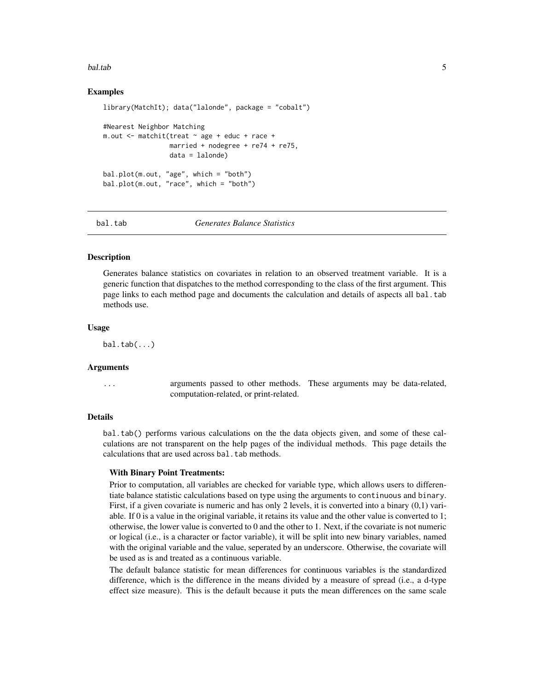#### <span id="page-4-0"></span>bal.tab 5

## Examples

```
library(MatchIt); data("lalonde", package = "cobalt")
#Nearest Neighbor Matching
m.out \leq matchit(treat \sim age + educ + race +
                 married + nodegree + re74 + re75,
                 data = lalonde)
bal.plot(m.out, "age", which = "both")
bal.plot(m.out, "race", which = "both")
```
<span id="page-4-1"></span>

#### bal.tab *Generates Balance Statistics*

#### Description

Generates balance statistics on covariates in relation to an observed treatment variable. It is a generic function that dispatches to the method corresponding to the class of the first argument. This page links to each method page and documents the calculation and details of aspects all bal.tab methods use.

#### Usage

 $bal.tab(...)$ 

## Arguments

... arguments passed to other methods. These arguments may be data-related, computation-related, or print-related.

#### Details

bal.tab() performs various calculations on the the data objects given, and some of these calculations are not transparent on the help pages of the individual methods. This page details the calculations that are used across bal.tab methods.

#### With Binary Point Treatments:

Prior to computation, all variables are checked for variable type, which allows users to differentiate balance statistic calculations based on type using the arguments to continuous and binary. First, if a given covariate is numeric and has only 2 levels, it is converted into a binary (0,1) variable. If 0 is a value in the original variable, it retains its value and the other value is converted to 1; otherwise, the lower value is converted to 0 and the other to 1. Next, if the covariate is not numeric or logical (i.e., is a character or factor variable), it will be split into new binary variables, named with the original variable and the value, seperated by an underscore. Otherwise, the covariate will be used as is and treated as a continuous variable.

The default balance statistic for mean differences for continuous variables is the standardized difference, which is the difference in the means divided by a measure of spread (i.e., a d-type effect size measure). This is the default because it puts the mean differences on the same scale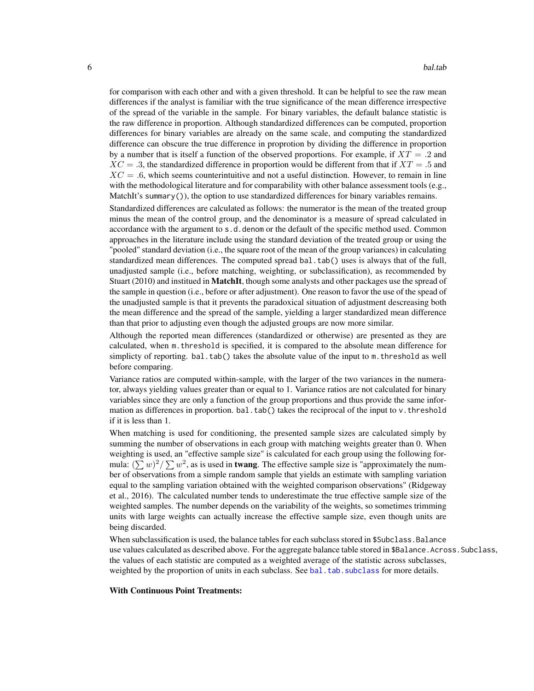<span id="page-5-0"></span>for comparison with each other and with a given threshold. It can be helpful to see the raw mean differences if the analyst is familiar with the true significance of the mean difference irrespective of the spread of the variable in the sample. For binary variables, the default balance statistic is the raw difference in proportion. Although standardized differences can be computed, proportion differences for binary variables are already on the same scale, and computing the standardized difference can obscure the true difference in proprotion by dividing the difference in proportion by a number that is itself a function of the observed proportions. For example, if  $XT = .2$  and  $XC = .3$ , the standardized difference in proportion would be different from that if  $XT = .5$  and  $XC = .6$ , which seems counterintuitive and not a useful distinction. However, to remain in line with the methodological literature and for comparability with other balance assessment tools (e.g., MatchIt's summary()), the option to use standardized differences for binary variables remains.

Standardized differences are calculated as follows: the numerator is the mean of the treated group minus the mean of the control group, and the denominator is a measure of spread calculated in accordance with the argument to s.d.denom or the default of the specific method used. Common approaches in the literature include using the standard deviation of the treated group or using the "pooled" standard deviation (i.e., the square root of the mean of the group variances) in calculating standardized mean differences. The computed spread bal.tab() uses is always that of the full, unadjusted sample (i.e., before matching, weighting, or subclassification), as recommended by Stuart (2010) and institued in MatchIt, though some analysts and other packages use the spread of the sample in question (i.e., before or after adjustment). One reason to favor the use of the spead of the unadjusted sample is that it prevents the paradoxical situation of adjustment descreasing both the mean difference and the spread of the sample, yielding a larger standardized mean difference than that prior to adjusting even though the adjusted groups are now more similar.

Although the reported mean differences (standardized or otherwise) are presented as they are calculated, when m.threshold is specified, it is compared to the absolute mean difference for simplicty of reporting. bal.tab() takes the absolute value of the input to m. threshold as well before comparing.

Variance ratios are computed within-sample, with the larger of the two variances in the numerator, always yielding values greater than or equal to 1. Variance ratios are not calculated for binary variables since they are only a function of the group proportions and thus provide the same information as differences in proportion. bal.tab() takes the reciprocal of the input to  $v$ .threshold if it is less than 1.

When matching is used for conditioning, the presented sample sizes are calculated simply by summing the number of observations in each group with matching weights greater than 0. When weighting is used, an "effective sample size" is calculated for each group using the following formula:  $(\sum w)^2 / \sum w^2$ , as is used in **twang**. The effective sample size is "approximately the number of observations from a simple random sample that yields an estimate with sampling variation equal to the sampling variation obtained with the weighted comparison observations" (Ridgeway et al., 2016). The calculated number tends to underestimate the true effective sample size of the weighted samples. The number depends on the variability of the weights, so sometimes trimming units with large weights can actually increase the effective sample size, even though units are being discarded.

When subclassification is used, the balance tables for each subclass stored in \$Subclass.Balance use values calculated as described above. For the aggregate balance table stored in \$Balance.Across.Subclass, the values of each statistic are computed as a weighted average of the statistic across subclasses, weighted by the proportion of units in each subclass. See [bal.tab.subclass](#page-44-1) for more details.

#### With Continuous Point Treatments: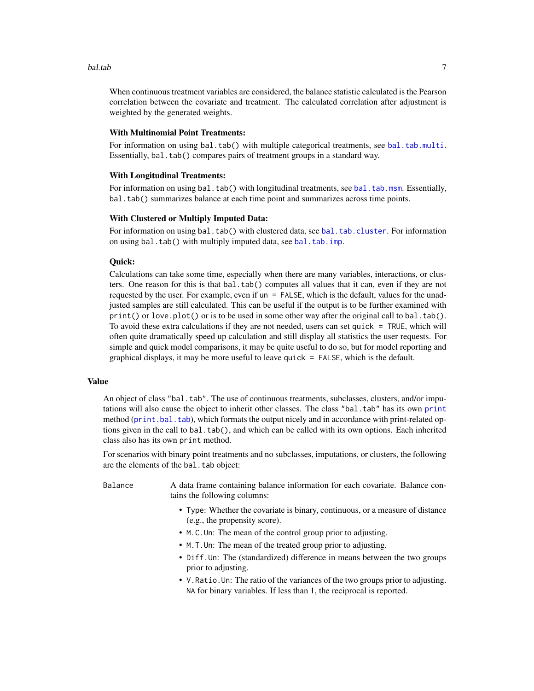#### <span id="page-6-0"></span>bal.tab 7

When continuous treatment variables are considered, the balance statistic calculated is the Pearson correlation between the covariate and treatment. The calculated correlation after adjustment is weighted by the generated weights.

## With Multinomial Point Treatments:

For information on using bal.tab() with multiple categorical treatments, see [bal.tab.multi](#page-35-1). Essentially, bal.tab() compares pairs of treatment groups in a standard way.

#### With Longitudinal Treatments:

For information on using bal.tab() with longitudinal treatments, see [bal.tab.msm](#page-50-1). Essentially, bal.tab() summarizes balance at each time point and summarizes across time points.

#### With Clustered or Multiply Imputed Data:

For information on using bal.tab() with clustered data, see [bal.tab.cluster](#page-12-1). For information on using bal.tab() with multiply imputed data, see [bal.tab.imp](#page-23-1).

#### Quick:

Calculations can take some time, especially when there are many variables, interactions, or clusters. One reason for this is that bal.tab() computes all values that it can, even if they are not requested by the user. For example, even if un = FALSE, which is the default, values for the unadjusted samples are still calculated. This can be useful if the output is to be further examined with print() or love.plot() or is to be used in some other way after the original call to bal.tab(). To avoid these extra calculations if they are not needed, users can set quick = TRUE, which will often quite dramatically speed up calculation and still display all statistics the user requests. For simple and quick model comparisons, it may be quite useful to do so, but for model reporting and graphical displays, it may be more useful to leave quick = FALSE, which is the default.

#### Value

An object of class "bal.tab". The use of continuous treatments, subclasses, clusters, and/or imputations will also cause the object to inherit other classes. The class "bal.tab" has its own [print](#page-0-0) method ([print.bal.tab](#page-58-1)), which formats the output nicely and in accordance with print-related options given in the call to bal.tab(), and which can be called with its own options. Each inherited class also has its own print method.

For scenarios with binary point treatments and no subclasses, imputations, or clusters, the following are the elements of the bal.tab object:

Balance A data frame containing balance information for each covariate. Balance contains the following columns:

- Type: Whether the covariate is binary, continuous, or a measure of distance (e.g., the propensity score).
- M.C.Un: The mean of the control group prior to adjusting.
- M.T.Un: The mean of the treated group prior to adjusting.
- Diff.Un: The (standardized) difference in means between the two groups prior to adjusting.
- V.Ratio.Un: The ratio of the variances of the two groups prior to adjusting. NA for binary variables. If less than 1, the reciprocal is reported.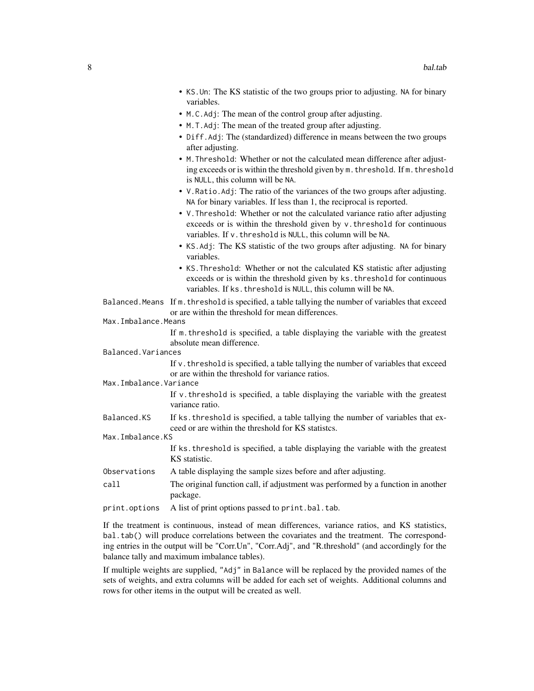- KS.Un: The KS statistic of the two groups prior to adjusting. NA for binary variables.
- M.C.Adj: The mean of the control group after adjusting.
- M.T.Adj: The mean of the treated group after adjusting.
- Diff.Adj: The (standardized) difference in means between the two groups after adjusting.
- M.Threshold: Whether or not the calculated mean difference after adjusting exceeds or is within the threshold given by m.threshold. If m.threshold is NULL, this column will be NA.
- V.Ratio.Adj: The ratio of the variances of the two groups after adjusting. NA for binary variables. If less than 1, the reciprocal is reported.
- V.Threshold: Whether or not the calculated variance ratio after adjusting exceeds or is within the threshold given by v.threshold for continuous variables. If v. threshold is NULL, this column will be NA.
- KS. Adj: The KS statistic of the two groups after adjusting. NA for binary variables.
- KS.Threshold: Whether or not the calculated KS statistic after adjusting exceeds or is within the threshold given by ks.threshold for continuous variables. If ks. threshold is NULL, this column will be NA.
- Balanced.Means If m.threshold is specified, a table tallying the number of variables that exceed or are within the threshold for mean differences.
- Max.Imbalance.Means

If m.threshold is specified, a table displaying the variable with the greatest absolute mean difference.

Balanced.Variances

If v.threshold is specified, a table tallying the number of variables that exceed or are within the threshold for variance ratios.

Max.Imbalance.Variance

If v.threshold is specified, a table displaying the variable with the greatest variance ratio.

Balanced.KS If ks.threshold is specified, a table tallying the number of variables that exceed or are within the threshold for KS statistcs.

Max.Imbalance.KS

If ks.threshold is specified, a table displaying the variable with the greatest KS statistic.

- Observations A table displaying the sample sizes before and after adjusting.
- call The original function call, if adjustment was performed by a function in another package.
- print.options A list of print options passed to print.bal.tab.

If the treatment is continuous, instead of mean differences, variance ratios, and KS statistics, bal.tab() will produce correlations between the covariates and the treatment. The corresponding entries in the output will be "Corr.Un", "Corr.Adj", and "R.threshold" (and accordingly for the balance tally and maximum imbalance tables).

If multiple weights are supplied, "Adj" in Balance will be replaced by the provided names of the sets of weights, and extra columns will be added for each set of weights. Additional columns and rows for other items in the output will be created as well.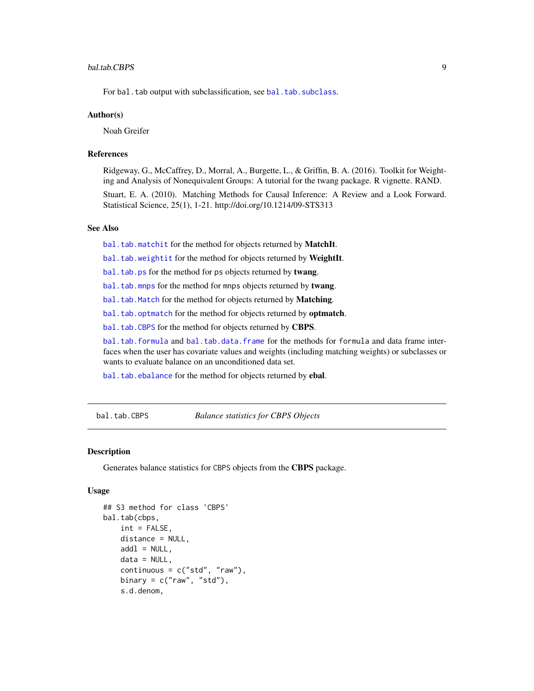#### <span id="page-8-0"></span>bal.tab.CBPS 9

For bal.tab output with subclassification, see [bal.tab.subclass](#page-44-1).

#### Author(s)

Noah Greifer

#### References

Ridgeway, G., McCaffrey, D., Morral, A., Burgette, L., & Griffin, B. A. (2016). Toolkit for Weighting and Analysis of Nonequivalent Groups: A tutorial for the twang package. R vignette. RAND.

Stuart, E. A. (2010). Matching Methods for Causal Inference: A Review and a Look Forward. Statistical Science, 25(1), 1-21. http://doi.org/10.1214/09-STS313

## See Also

[bal.tab.matchit](#page-32-1) for the method for objects returned by MatchIt.

[bal.tab.weightit](#page-46-1) for the method for objects returned by WeightIt.

[bal.tab.ps](#page-40-1) for the method for ps objects returned by twang.

[bal.tab.mnps](#page-40-2) for the method for mnps objects returned by twang.

[bal.tab.Match](#page-28-1) for the method for objects returned by Matching.

[bal.tab.optmatch](#page-37-1) for the method for objects returned by **optmatch**.

[bal.tab.CBPS](#page-8-1) for the method for objects returned by CBPS.

[bal.tab.formula](#page-13-1) and [bal.tab.data.frame](#page-13-1) for the methods for formula and data frame interfaces when the user has covariate values and weights (including matching weights) or subclasses or wants to evaluate balance on an unconditioned data set.

[bal.tab.ebalance](#page-19-1) for the method for objects returned by ebal.

<span id="page-8-1"></span>bal.tab.CBPS *Balance statistics for CBPS Objects*

#### Description

Generates balance statistics for CBPS objects from the CBPS package.

#### Usage

```
## S3 method for class 'CBPS'
bal.tab(cbps,
    int = FALSE,
    distance = NULL,
    add1 = NULL,data = NULL,
    continuous = c("std", "raw"),binary = c("raw", "std"),s.d.denom,
```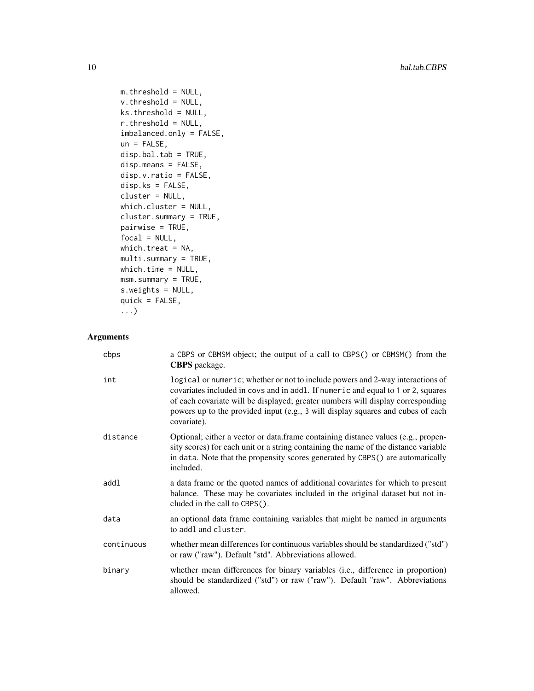```
m.threshold = NULL,
v.threshold = NULL,
ks.threshold = NULL,
r.threshold = NULL,
imbalanced.only = FALSE,
un = FALSE,disp.bal.tab = TRUE,
disp.means = FALSE,
disp.v.ratio = FALSE,
disp.ks = FALSE,
cluster = NULL,
which.cluster = NULL,
cluster.summary = TRUE,
pairwise = TRUE,
focal = NULL,which.treat = NA,
multi.summary = TRUE,
which.time = NULL,
msm.summary = TRUE,
s.weights = NULL,
quick = FALSE,
...)
```
## Arguments

| cbps       | a CBPS or CBMSM object; the output of a call to CBPS() or CBMSM() from the<br><b>CBPS</b> package.                                                                                                                                                                                                                                                      |
|------------|---------------------------------------------------------------------------------------------------------------------------------------------------------------------------------------------------------------------------------------------------------------------------------------------------------------------------------------------------------|
| int        | logical or numeric; whether or not to include powers and 2-way interactions of<br>covariates included in covs and in addl. If numeric and equal to 1 or 2, squares<br>of each covariate will be displayed; greater numbers will display corresponding<br>powers up to the provided input (e.g., 3 will display squares and cubes of each<br>covariate). |
| distance   | Optional; either a vector or data.frame containing distance values (e.g., propen-<br>sity scores) for each unit or a string containing the name of the distance variable<br>in data. Note that the propensity scores generated by CBPS() are automatically<br>included.                                                                                 |
| addl       | a data frame or the quoted names of additional covariates for which to present<br>balance. These may be covariates included in the original dataset but not in-<br>cluded in the call to CBPS().                                                                                                                                                        |
| data       | an optional data frame containing variables that might be named in arguments<br>to addl and cluster.                                                                                                                                                                                                                                                    |
| continuous | whether mean differences for continuous variables should be standardized ("std")<br>or raw ("raw"). Default "std". Abbreviations allowed.                                                                                                                                                                                                               |
| binary     | whether mean differences for binary variables (i.e., difference in proportion)<br>should be standardized ("std") or raw ("raw"). Default "raw". Abbreviations<br>allowed.                                                                                                                                                                               |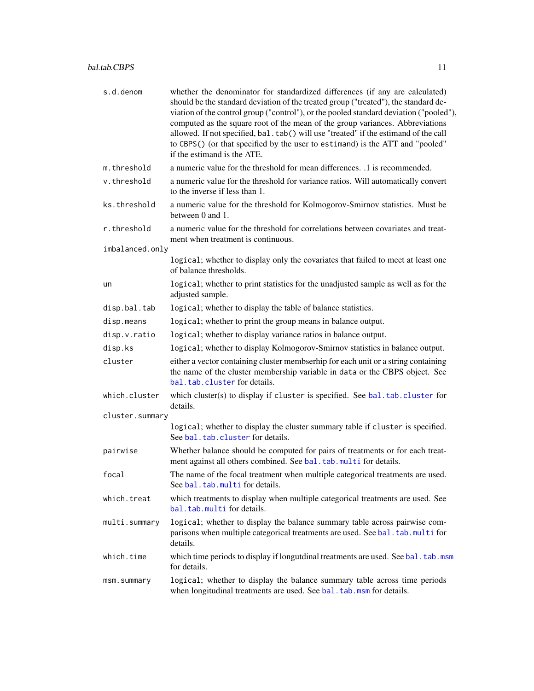<span id="page-10-0"></span>

| s.d.denom       | whether the denominator for standardized differences (if any are calculated)<br>should be the standard deviation of the treated group ("treated"), the standard de-<br>viation of the control group ("control"), or the pooled standard deviation ("pooled"),<br>computed as the square root of the mean of the group variances. Abbreviations<br>allowed. If not specified, bal.tab() will use "treated" if the estimand of the call<br>to CBPS() (or that specified by the user to estimand) is the ATT and "pooled"<br>if the estimand is the ATE. |
|-----------------|-------------------------------------------------------------------------------------------------------------------------------------------------------------------------------------------------------------------------------------------------------------------------------------------------------------------------------------------------------------------------------------------------------------------------------------------------------------------------------------------------------------------------------------------------------|
| m.threshold     | a numeric value for the threshold for mean differences. .1 is recommended.                                                                                                                                                                                                                                                                                                                                                                                                                                                                            |
| v.threshold     | a numeric value for the threshold for variance ratios. Will automatically convert<br>to the inverse if less than 1.                                                                                                                                                                                                                                                                                                                                                                                                                                   |
| ks.threshold    | a numeric value for the threshold for Kolmogorov-Smirnov statistics. Must be<br>between 0 and 1.                                                                                                                                                                                                                                                                                                                                                                                                                                                      |
| r.threshold     | a numeric value for the threshold for correlations between covariates and treat-<br>ment when treatment is continuous.                                                                                                                                                                                                                                                                                                                                                                                                                                |
| imbalanced.only |                                                                                                                                                                                                                                                                                                                                                                                                                                                                                                                                                       |
|                 | logical; whether to display only the covariates that failed to meet at least one<br>of balance thresholds.                                                                                                                                                                                                                                                                                                                                                                                                                                            |
| un              | logical; whether to print statistics for the unadjusted sample as well as for the<br>adjusted sample.                                                                                                                                                                                                                                                                                                                                                                                                                                                 |
| disp.bal.tab    | logical; whether to display the table of balance statistics.                                                                                                                                                                                                                                                                                                                                                                                                                                                                                          |
| disp.means      | logical; whether to print the group means in balance output.                                                                                                                                                                                                                                                                                                                                                                                                                                                                                          |
| disp.v.ratio    | logical; whether to display variance ratios in balance output.                                                                                                                                                                                                                                                                                                                                                                                                                                                                                        |
| disp.ks         | logical; whether to display Kolmogorov-Smirnov statistics in balance output.                                                                                                                                                                                                                                                                                                                                                                                                                                                                          |
| cluster         | either a vector containing cluster membserhip for each unit or a string containing<br>the name of the cluster membership variable in data or the CBPS object. See<br>bal. tab. cluster for details.                                                                                                                                                                                                                                                                                                                                                   |
| which.cluster   | which cluster(s) to display if cluster is specified. See bal.tab.cluster for<br>details.                                                                                                                                                                                                                                                                                                                                                                                                                                                              |
| cluster.summary |                                                                                                                                                                                                                                                                                                                                                                                                                                                                                                                                                       |
|                 | logical; whether to display the cluster summary table if cluster is specified.<br>See bal.tab.cluster for details.                                                                                                                                                                                                                                                                                                                                                                                                                                    |
| pairwise        | Whether balance should be computed for pairs of treatments or for each treat-<br>ment against all others combined. See bal.tab.multi for details.                                                                                                                                                                                                                                                                                                                                                                                                     |
| focal           | The name of the focal treatment when multiple categorical treatments are used.<br>See bal.tab.multi for details.                                                                                                                                                                                                                                                                                                                                                                                                                                      |
| which.treat     | which treatments to display when multiple categorical treatments are used. See<br>bal.tab.multi for details.                                                                                                                                                                                                                                                                                                                                                                                                                                          |
| multi.summary   | logical; whether to display the balance summary table across pairwise com-<br>parisons when multiple categorical treatments are used. See bal. tab.multi for<br>details.                                                                                                                                                                                                                                                                                                                                                                              |
| which.time      | which time periods to display if longutdinal treatments are used. See bal. tab.msm<br>for details.                                                                                                                                                                                                                                                                                                                                                                                                                                                    |
| msm.summary     | logical; whether to display the balance summary table across time periods<br>when longitudinal treatments are used. See bal.tab.msm for details.                                                                                                                                                                                                                                                                                                                                                                                                      |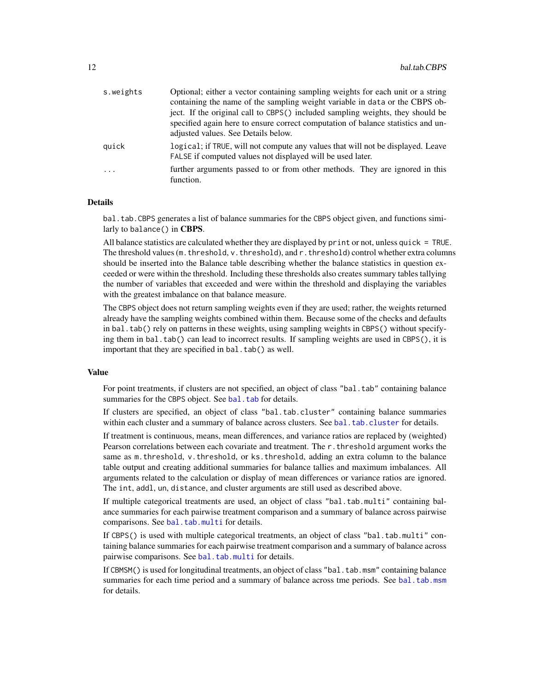<span id="page-11-0"></span>

| s.weights  | Optional; either a vector containing sampling weights for each unit or a string<br>containing the name of the sampling weight variable in data or the CBPS ob-<br>ject. If the original call to CBPS() included sampling weights, they should be<br>specified again here to ensure correct computation of balance statistics and un- |
|------------|--------------------------------------------------------------------------------------------------------------------------------------------------------------------------------------------------------------------------------------------------------------------------------------------------------------------------------------|
| quick      | adjusted values. See Details below.<br>logical; if TRUE, will not compute any values that will not be displayed. Leave<br>FALSE if computed values not displayed will be used later.                                                                                                                                                 |
| $\ddots$ . | further arguments passed to or from other methods. They are ignored in this<br>function.                                                                                                                                                                                                                                             |

#### Details

bal.tab.CBPS generates a list of balance summaries for the CBPS object given, and functions similarly to balance() in CBPS.

All balance statistics are calculated whether they are displayed by print or not, unless quick = TRUE. The threshold values ( $m$ . threshold,  $v$ . threshold), and  $r$ . threshold) control whether extra columns should be inserted into the Balance table describing whether the balance statistics in question exceeded or were within the threshold. Including these thresholds also creates summary tables tallying the number of variables that exceeded and were within the threshold and displaying the variables with the greatest imbalance on that balance measure.

The CBPS object does not return sampling weights even if they are used; rather, the weights returned already have the sampling weights combined within them. Because some of the checks and defaults in bal.tab() rely on patterns in these weights, using sampling weights in CBPS() without specifying them in bal.tab() can lead to incorrect results. If sampling weights are used in CBPS(), it is important that they are specified in bal.tab() as well.

#### Value

For point treatments, if clusters are not specified, an object of class "bal.tab" containing balance summaries for the CBPS object. See [bal.tab](#page-4-1) for details.

If clusters are specified, an object of class "bal.tab.cluster" containing balance summaries within each cluster and a summary of balance across clusters. See [bal.tab.cluster](#page-12-1) for details.

If treatment is continuous, means, mean differences, and variance ratios are replaced by (weighted) Pearson correlations between each covariate and treatment. The r.threshold argument works the same as m. threshold, v. threshold, or ks. threshold, adding an extra column to the balance table output and creating additional summaries for balance tallies and maximum imbalances. All arguments related to the calculation or display of mean differences or variance ratios are ignored. The int, addl, un, distance, and cluster arguments are still used as described above.

If multiple categorical treatments are used, an object of class "bal.tab.multi" containing balance summaries for each pairwise treatment comparison and a summary of balance across pairwise comparisons. See [bal.tab.multi](#page-35-1) for details.

If CBPS() is used with multiple categorical treatments, an object of class "bal.tab.multi" containing balance summaries for each pairwise treatment comparison and a summary of balance across pairwise comparisons. See [bal.tab.multi](#page-35-1) for details.

If CBMSM() is used for longitudinal treatments, an object of class "bal.tab.msm" containing balance summaries for each time period and a summary of balance across tme periods. See [bal.tab.msm](#page-50-1) for details.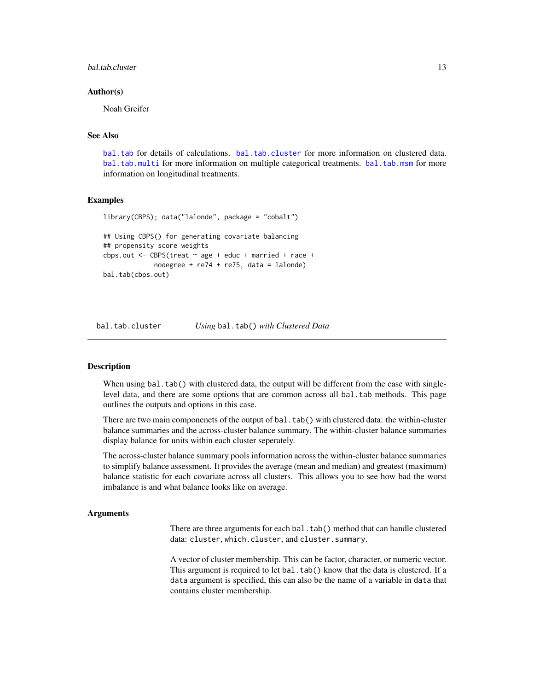#### <span id="page-12-0"></span>bal.tab.cluster 13

#### Author(s)

Noah Greifer

## See Also

[bal.tab](#page-4-1) for details of calculations. [bal.tab.cluster](#page-12-1) for more information on clustered data. [bal.tab.multi](#page-35-1) for more information on multiple categorical treatments. [bal.tab.msm](#page-50-1) for more information on longitudinal treatments.

#### Examples

```
library(CBPS); data("lalonde", package = "cobalt")
## Using CBPS() for generating covariate balancing
## propensity score weights
cbps.out <- CBPS(treat \sim age + educ + married + race +nodegree + re74 + re75, data = lalonde)
bal.tab(cbps.out)
```
<span id="page-12-1"></span>bal.tab.cluster *Using* bal.tab() *with Clustered Data*

#### **Description**

When using bal.tab() with clustered data, the output will be different from the case with singlelevel data, and there are some options that are common across all bal.tab methods. This page outlines the outputs and options in this case.

There are two main componenets of the output of bal.tab() with clustered data: the within-cluster balance summaries and the across-cluster balance summary. The within-cluster balance summaries display balance for units within each cluster seperately.

The across-cluster balance summary pools information across the within-cluster balance summaries to simplify balance assessment. It provides the average (mean and median) and greatest (maximum) balance statistic for each covariate across all clusters. This allows you to see how bad the worst imbalance is and what balance looks like on average.

#### Arguments

There are three arguments for each bal.tab() method that can handle clustered data: cluster, which.cluster, and cluster.summary.

A vector of cluster membership. This can be factor, character, or numeric vector. This argument is required to let bal.tab() know that the data is clustered. If a data argument is specified, this can also be the name of a variable in data that contains cluster membership.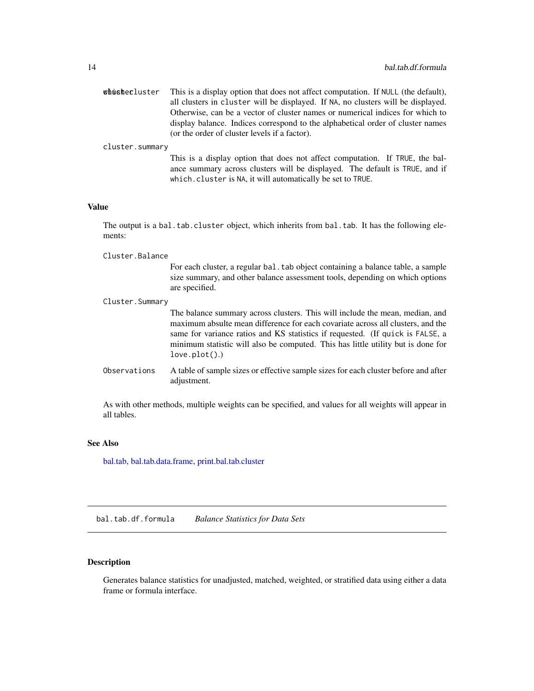<span id="page-13-0"></span>

| whushecluster | This is a display option that does not affect computation. If NULL (the default), |
|---------------|-----------------------------------------------------------------------------------|
|               | all clusters in cluster will be displayed. If NA, no clusters will be displayed.  |
|               | Otherwise, can be a vector of cluster names or numerical indices for which to     |
|               | display balance. Indices correspond to the alphabetical order of cluster names    |
|               | (or the order of cluster levels if a factor).                                     |

cluster.summary

This is a display option that does not affect computation. If TRUE, the balance summary across clusters will be displayed. The default is TRUE, and if which.cluster is NA, it will automatically be set to TRUE.

## Value

The output is a bal.tab.cluster object, which inherits from bal.tab. It has the following elements:

Cluster.Balance

For each cluster, a regular bal.tab object containing a balance table, a sample size summary, and other balance assessment tools, depending on which options are specified.

Cluster.Summary The balance summary across clusters. This will include the mean, median, and maximum absulte mean difference for each covariate across all clusters, and the same for variance ratios and KS statistics if requested. (If quick is FALSE, a minimum statistic will also be computed. This has little utility but is done for love.plot().) Observations A table of sample sizes or effective sample sizes for each cluster before and after adjustment.

As with other methods, multiple weights can be specified, and values for all weights will appear in all tables.

## See Also

[bal.tab,](#page-4-1) [bal.tab.data.frame,](#page-13-1) [print.bal.tab.cluster](#page-58-2)

bal.tab.df.formula *Balance Statistics for Data Sets*

## <span id="page-13-1"></span>Description

Generates balance statistics for unadjusted, matched, weighted, or stratified data using either a data frame or formula interface.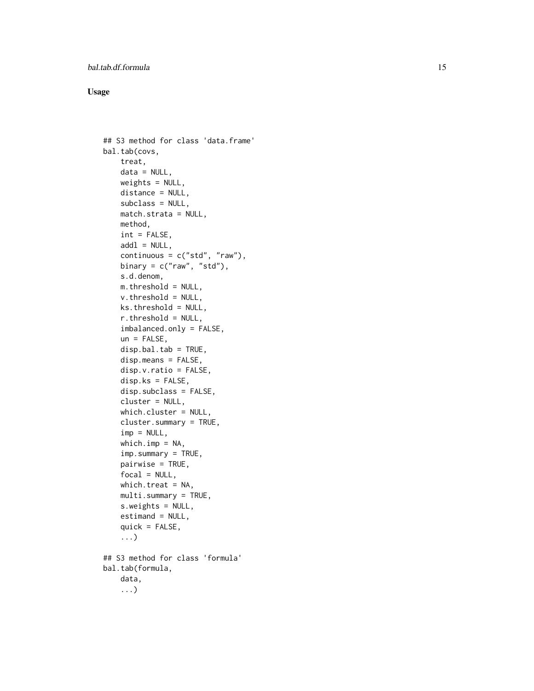## Usage

```
## S3 method for class 'data.frame'
bal.tab(covs,
    treat,
    data = NULL,weights = NULL,
    distance = NULL,
    subclass = NULL,
    match.strata = NULL,
    method,
    int = FALSE,add1 = NULL,continuous = c("std", "raw"),binary = c("raw", "std"),s.d.denom,
    m.threshold = NULL,
    v.threshold = NULL,
    ks.threshold = NULL,
    r.threshold = NULL,
    imbalanced.only = FALSE,
    un = FALSE,disp.bal.tab = TRUE,
    disp.means = FALSE,
    disp.v.ratio = FALSE,
    disp.ks = FALSE,
    disp.subclass = FALSE,
    cluster = NULL,
    which.cluster = NULL,
    cluster.summary = TRUE,
    imp = NULL,which.imp = NA,
    imp.summary = TRUE,
    pairwise = TRUE,
    focal = NULL,which.treat = NA,
    multi.summary = TRUE,
    s.weights = NULL,
    estimand = NULL,
    quick = FALSE,
    ...)
## S3 method for class 'formula'
bal.tab(formula,
    data,
    ...)
```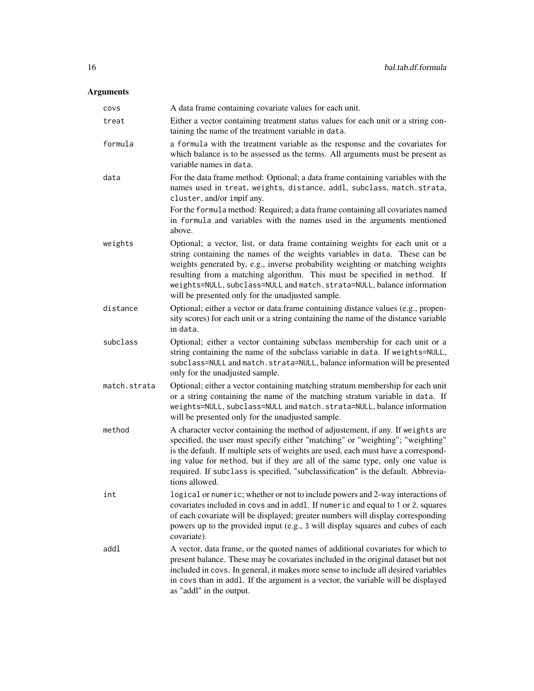## Arguments

| covs         | A data frame containing covariate values for each unit.                                                                                                                                                                                                                                                                                                                                                                                                  |
|--------------|----------------------------------------------------------------------------------------------------------------------------------------------------------------------------------------------------------------------------------------------------------------------------------------------------------------------------------------------------------------------------------------------------------------------------------------------------------|
| treat        | Either a vector containing treatment status values for each unit or a string con-<br>taining the name of the treatment variable in data.                                                                                                                                                                                                                                                                                                                 |
| formula      | a formula with the treatment variable as the response and the covariates for<br>which balance is to be assessed as the terms. All arguments must be present as<br>variable names in data.                                                                                                                                                                                                                                                                |
| data         | For the data frame method: Optional; a data frame containing variables with the<br>names used in treat, weights, distance, addl, subclass, match.strata,<br>cluster, and/or impif any.<br>For the formula method: Required; a data frame containing all covariates named<br>in formula and variables with the names used in the arguments mentioned<br>above.                                                                                            |
| weights      | Optional; a vector, list, or data frame containing weights for each unit or a<br>string containing the names of the weights variables in data. These can be<br>weights generated by, e.g., inverse probability weighting or matching weights<br>resulting from a matching algorithm. This must be specified in method. If<br>weights=NULL, subclass=NULL and match.strata=NULL, balance information<br>will be presented only for the unadjusted sample. |
| distance     | Optional; either a vector or data.frame containing distance values (e.g., propen-<br>sity scores) for each unit or a string containing the name of the distance variable<br>in data.                                                                                                                                                                                                                                                                     |
| subclass     | Optional; either a vector containing subclass membership for each unit or a<br>string containing the name of the subclass variable in data. If weights=NULL,<br>subclass=NULL and match.strata=NULL, balance information will be presented<br>only for the unadjusted sample.                                                                                                                                                                            |
| match.strata | Optional; either a vector containing matching stratum membership for each unit<br>or a string containing the name of the matching stratum variable in data. If<br>weights=NULL, subclass=NULL and match.strata=NULL, balance information<br>will be presented only for the unadjusted sample.                                                                                                                                                            |
| method       | A character vector containing the method of adjustement, if any. If weights are<br>specified, the user must specify either "matching" or "weighting"; "weighting"<br>is the default. If multiple sets of weights are used, each must have a correspond-<br>ing value for method, but if they are all of the same type, only one value is<br>required. If subclass is specified, "subclassification" is the default. Abbrevia-<br>tions allowed.          |
| int          | logical or numeric; whether or not to include powers and 2-way interactions of<br>covariates included in covs and in addl. If numeric and equal to 1 or 2, squares<br>of each covariate will be displayed; greater numbers will display corresponding<br>powers up to the provided input (e.g., 3 will display squares and cubes of each<br>covariate).                                                                                                  |
| addl         | A vector, data frame, or the quoted names of additional covariates for which to<br>present balance. These may be covariates included in the original dataset but not<br>included in covs. In general, it makes more sense to include all desired variables<br>in covs than in addl. If the argument is a vector, the variable will be displayed<br>as "addl" in the output.                                                                              |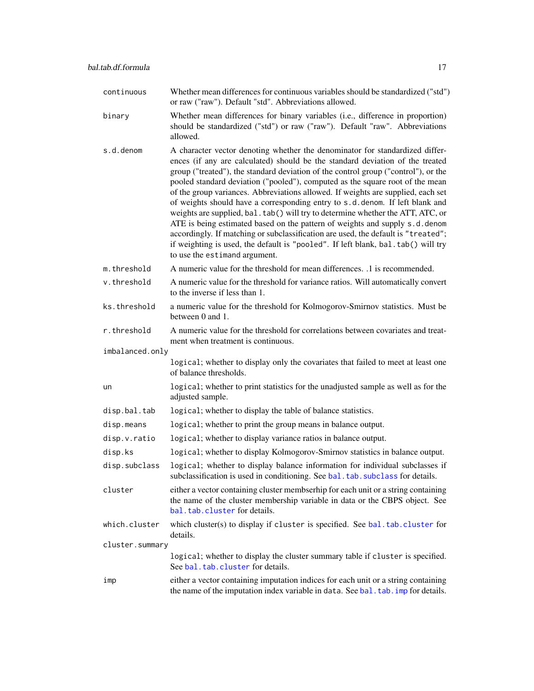<span id="page-16-0"></span>

| continuous      | Whether mean differences for continuous variables should be standardized ("std")<br>or raw ("raw"). Default "std". Abbreviations allowed.                                                                                                                                                                                                                                                                                                                                                                                                                                                                                                                                                                                                                                                                                                                                              |
|-----------------|----------------------------------------------------------------------------------------------------------------------------------------------------------------------------------------------------------------------------------------------------------------------------------------------------------------------------------------------------------------------------------------------------------------------------------------------------------------------------------------------------------------------------------------------------------------------------------------------------------------------------------------------------------------------------------------------------------------------------------------------------------------------------------------------------------------------------------------------------------------------------------------|
| binary          | Whether mean differences for binary variables (i.e., difference in proportion)<br>should be standardized ("std") or raw ("raw"). Default "raw". Abbreviations<br>allowed.                                                                                                                                                                                                                                                                                                                                                                                                                                                                                                                                                                                                                                                                                                              |
| s.d.denom       | A character vector denoting whether the denominator for standardized differ-<br>ences (if any are calculated) should be the standard deviation of the treated<br>group ("treated"), the standard deviation of the control group ("control"), or the<br>pooled standard deviation ("pooled"), computed as the square root of the mean<br>of the group variances. Abbreviations allowed. If weights are supplied, each set<br>of weights should have a corresponding entry to s.d. denom. If left blank and<br>weights are supplied, bal. tab() will try to determine whether the ATT, ATC, or<br>ATE is being estimated based on the pattern of weights and supply s.d. denom<br>accordingly. If matching or subclassification are used, the default is "treated";<br>if weighting is used, the default is "pooled". If left blank, bal.tab() will try<br>to use the estimand argument. |
| m.threshold     | A numeric value for the threshold for mean differences. .1 is recommended.                                                                                                                                                                                                                                                                                                                                                                                                                                                                                                                                                                                                                                                                                                                                                                                                             |
| v.threshold     | A numeric value for the threshold for variance ratios. Will automatically convert<br>to the inverse if less than 1.                                                                                                                                                                                                                                                                                                                                                                                                                                                                                                                                                                                                                                                                                                                                                                    |
| ks.threshold    | a numeric value for the threshold for Kolmogorov-Smirnov statistics. Must be<br>between 0 and 1.                                                                                                                                                                                                                                                                                                                                                                                                                                                                                                                                                                                                                                                                                                                                                                                       |
| r.threshold     | A numeric value for the threshold for correlations between covariates and treat-<br>ment when treatment is continuous.                                                                                                                                                                                                                                                                                                                                                                                                                                                                                                                                                                                                                                                                                                                                                                 |
| imbalanced.only |                                                                                                                                                                                                                                                                                                                                                                                                                                                                                                                                                                                                                                                                                                                                                                                                                                                                                        |
|                 | logical; whether to display only the covariates that failed to meet at least one<br>of balance thresholds.                                                                                                                                                                                                                                                                                                                                                                                                                                                                                                                                                                                                                                                                                                                                                                             |
| un              | logical; whether to print statistics for the unadjusted sample as well as for the<br>adjusted sample.                                                                                                                                                                                                                                                                                                                                                                                                                                                                                                                                                                                                                                                                                                                                                                                  |
| disp.bal.tab    | logical; whether to display the table of balance statistics.                                                                                                                                                                                                                                                                                                                                                                                                                                                                                                                                                                                                                                                                                                                                                                                                                           |
| disp.means      | logical; whether to print the group means in balance output.                                                                                                                                                                                                                                                                                                                                                                                                                                                                                                                                                                                                                                                                                                                                                                                                                           |
| disp.v.ratio    | logical; whether to display variance ratios in balance output.                                                                                                                                                                                                                                                                                                                                                                                                                                                                                                                                                                                                                                                                                                                                                                                                                         |
| disp.ks         | logical; whether to display Kolmogorov-Smirnov statistics in balance output.                                                                                                                                                                                                                                                                                                                                                                                                                                                                                                                                                                                                                                                                                                                                                                                                           |
| disp.subclass   | logical; whether to display balance information for individual subclasses if<br>subclassification is used in conditioning. See bal. tab. subclass for details.                                                                                                                                                                                                                                                                                                                                                                                                                                                                                                                                                                                                                                                                                                                         |
| cluster         | either a vector containing cluster membserhip for each unit or a string containing<br>the name of the cluster membership variable in data or the CBPS object. See<br>bal. tab. cluster for details.                                                                                                                                                                                                                                                                                                                                                                                                                                                                                                                                                                                                                                                                                    |
| which.cluster   | which cluster(s) to display if cluster is specified. See bal.tab.cluster for<br>details.                                                                                                                                                                                                                                                                                                                                                                                                                                                                                                                                                                                                                                                                                                                                                                                               |
| cluster.summary |                                                                                                                                                                                                                                                                                                                                                                                                                                                                                                                                                                                                                                                                                                                                                                                                                                                                                        |
|                 | logical; whether to display the cluster summary table if cluster is specified.<br>See bal.tab.cluster for details.                                                                                                                                                                                                                                                                                                                                                                                                                                                                                                                                                                                                                                                                                                                                                                     |
| imp             | either a vector containing imputation indices for each unit or a string containing<br>the name of the imputation index variable in data. See bal. tab. imp for details.                                                                                                                                                                                                                                                                                                                                                                                                                                                                                                                                                                                                                                                                                                                |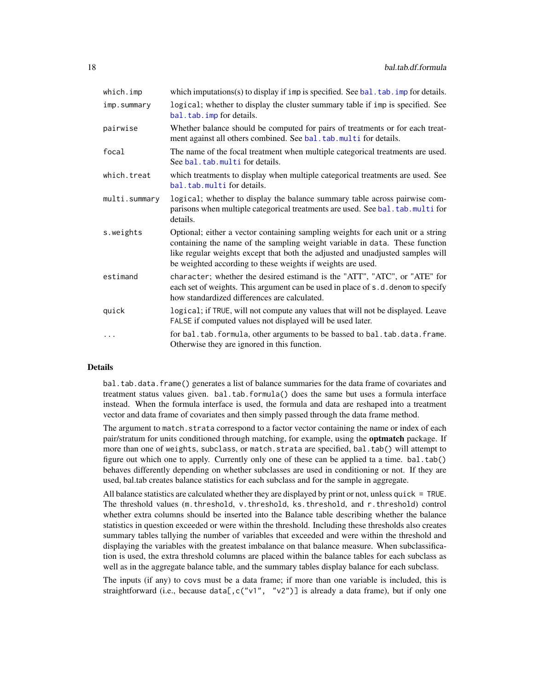<span id="page-17-0"></span>

| which.imp     | which imputations(s) to display if $\lim p$ is specified. See bal. $\tanh \lim p$ for details.                                                                                                                                                                                                                  |
|---------------|-----------------------------------------------------------------------------------------------------------------------------------------------------------------------------------------------------------------------------------------------------------------------------------------------------------------|
| imp.summary   | logical; whether to display the cluster summary table if imp is specified. See<br>bal.tab.imp for details.                                                                                                                                                                                                      |
| pairwise      | Whether balance should be computed for pairs of treatments or for each treat-<br>ment against all others combined. See bal.tab.multi for details.                                                                                                                                                               |
| focal         | The name of the focal treatment when multiple categorical treatments are used.<br>See bal.tab.multi for details.                                                                                                                                                                                                |
| which.treat   | which treatments to display when multiple categorical treatments are used. See<br>bal.tab.multi for details.                                                                                                                                                                                                    |
| multi.summary | logical; whether to display the balance summary table across pairwise com-<br>parisons when multiple categorical treatments are used. See bal. tab.multi for<br>details.                                                                                                                                        |
| s.weights     | Optional; either a vector containing sampling weights for each unit or a string<br>containing the name of the sampling weight variable in data. These function<br>like regular weights except that both the adjusted and unadjusted samples will<br>be weighted according to these weights if weights are used. |
| estimand      | character; whether the desired estimand is the "ATT", "ATC", or "ATE" for<br>each set of weights. This argument can be used in place of s.d. denom to specify<br>how standardized differences are calculated.                                                                                                   |
| quick         | logical; if TRUE, will not compute any values that will not be displayed. Leave<br>FALSE if computed values not displayed will be used later.                                                                                                                                                                   |
| .             | for bal.tab.formula, other arguments to be bassed to bal.tab.data.frame.<br>Otherwise they are ignored in this function.                                                                                                                                                                                        |

## **Details**

bal.tab.data.frame() generates a list of balance summaries for the data frame of covariates and treatment status values given. bal.tab.formula() does the same but uses a formula interface instead. When the formula interface is used, the formula and data are reshaped into a treatment vector and data frame of covariates and then simply passed through the data frame method.

The argument to match.strata correspond to a factor vector containing the name or index of each pair/stratum for units conditioned through matching, for example, using the **optmatch** package. If more than one of weights, subclass, or match. strata are specified, bal.tab() will attempt to figure out which one to apply. Currently only one of these can be applied ta a time. bal.tab() behaves differently depending on whether subclasses are used in conditioning or not. If they are used, bal.tab creates balance statistics for each subclass and for the sample in aggregate.

All balance statistics are calculated whether they are displayed by print or not, unless quick = TRUE. The threshold values (m.threshold, v.threshold, ks.threshold, and r.threshold) control whether extra columns should be inserted into the Balance table describing whether the balance statistics in question exceeded or were within the threshold. Including these thresholds also creates summary tables tallying the number of variables that exceeded and were within the threshold and displaying the variables with the greatest imbalance on that balance measure. When subclassification is used, the extra threshold columns are placed within the balance tables for each subclass as well as in the aggregate balance table, and the summary tables display balance for each subclass.

The inputs (if any) to covs must be a data frame; if more than one variable is included, this is straightforward (i.e., because data[, c("v1", "v2")] is already a data frame), but if only one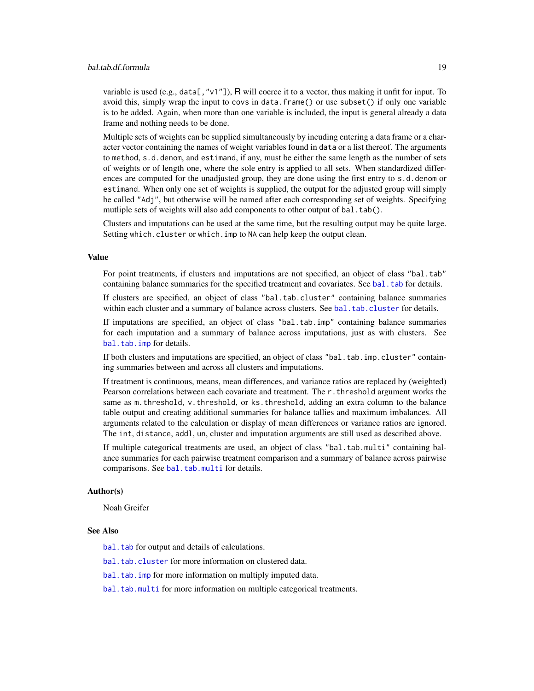## <span id="page-18-0"></span>bal.tab.df.formula 19

variable is used (e.g., data[, "v1"]), R will coerce it to a vector, thus making it unfit for input. To avoid this, simply wrap the input to covs in data.frame() or use subset() if only one variable is to be added. Again, when more than one variable is included, the input is general already a data frame and nothing needs to be done.

Multiple sets of weights can be supplied simultaneously by incuding entering a data frame or a character vector containing the names of weight variables found in data or a list thereof. The arguments to method, s.d.denom, and estimand, if any, must be either the same length as the number of sets of weights or of length one, where the sole entry is applied to all sets. When standardized differences are computed for the unadjusted group, they are done using the first entry to s.d.denom or estimand. When only one set of weights is supplied, the output for the adjusted group will simply be called "Adj", but otherwise will be named after each corresponding set of weights. Specifying mutliple sets of weights will also add components to other output of bal.tab().

Clusters and imputations can be used at the same time, but the resulting output may be quite large. Setting which.cluster or which.imp to NA can help keep the output clean.

#### Value

For point treatments, if clusters and imputations are not specified, an object of class "bal.tab" containing balance summaries for the specified treatment and covariates. See bal. tab for details.

If clusters are specified, an object of class "bal.tab.cluster" containing balance summaries within each cluster and a summary of balance across clusters. See [bal.tab.cluster](#page-12-1) for details.

If imputations are specified, an object of class "bal.tab.imp" containing balance summaries for each imputation and a summary of balance across imputations, just as with clusters. See [bal.tab.imp](#page-23-1) for details.

If both clusters and imputations are specified, an object of class "bal.tab.imp.cluster" containing summaries between and across all clusters and imputations.

If treatment is continuous, means, mean differences, and variance ratios are replaced by (weighted) Pearson correlations between each covariate and treatment. The r.threshold argument works the same as m.threshold, v.threshold, or ks.threshold, adding an extra column to the balance table output and creating additional summaries for balance tallies and maximum imbalances. All arguments related to the calculation or display of mean differences or variance ratios are ignored. The int, distance, addl, un, cluster and imputation arguments are still used as described above.

If multiple categorical treatments are used, an object of class "bal.tab.multi" containing balance summaries for each pairwise treatment comparison and a summary of balance across pairwise comparisons. See [bal.tab.multi](#page-35-1) for details.

#### Author(s)

Noah Greifer

#### See Also

[bal.tab](#page-4-1) for output and details of calculations.

[bal.tab.cluster](#page-12-1) for more information on clustered data.

[bal.tab.imp](#page-23-1) for more information on multiply imputed data.

[bal.tab.multi](#page-35-1) for more information on multiple categorical treatments.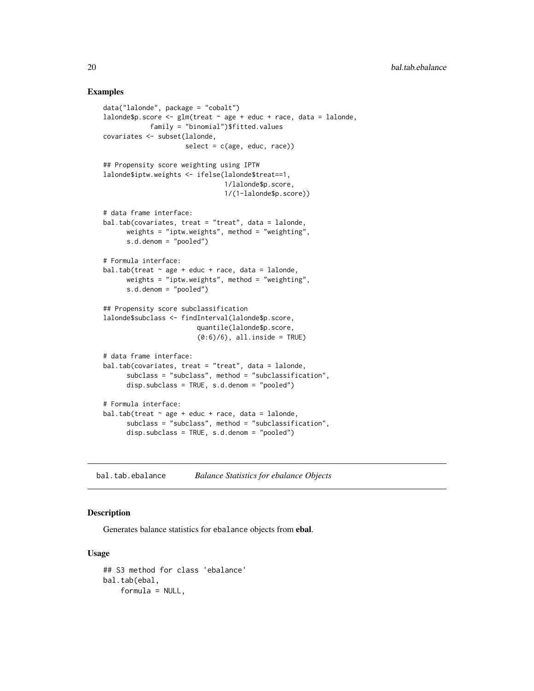#### Examples

```
data("lalonde", package = "cobalt")
lalonde$p.score <- glm(treat \sim age + educ + race, data = lalone,family = "binomial")$fitted.values
covariates <- subset(lalonde,
                     select = c(age, educ, race)## Propensity score weighting using IPTW
lalonde$iptw.weights <- ifelse(lalonde$treat==1,
                               1/lalonde$p.score,
                               1/(1-lalonde$p.score))
# data frame interface:
bal.tab(covariates, treat = "treat", data = lalonde,
      weights = "iptw.weights", method = "weighting",
      s.d.denom = "pooled")
# Formula interface:
bal.tab(treat \sim age + educ + race, data = lalonde,
      weights = "iptw.weights", method = "weighting",
      s.d.denom = "pooled")
## Propensity score subclassification
lalonde$subclass <- findInterval(lalonde$p.score,
                        quantile(lalonde$p.score,
                        (0:6)/6), all.inside = TRUE)
# data frame interface:
bal.tab(covariates, treat = "treat", data = lalonde,
      subclass = "subclass", method = "subclassification",
      disp.subclass = TRUE, s.d.denom = "pooled")
# Formula interface:
bal.tab(treat \sim age + educ + race, data = lalonde,
      subclass = "subclass", method = "subclassification",
      disp.subclass = TRUE, s.d.denom = "pooled")
```
<span id="page-19-1"></span>bal.tab.ebalance *Balance Statistics for ebalance Objects*

## Description

Generates balance statistics for ebalance objects from ebal.

#### Usage

```
## S3 method for class 'ebalance'
bal.tab(ebal,
    formula = NULL,
```
<span id="page-19-0"></span>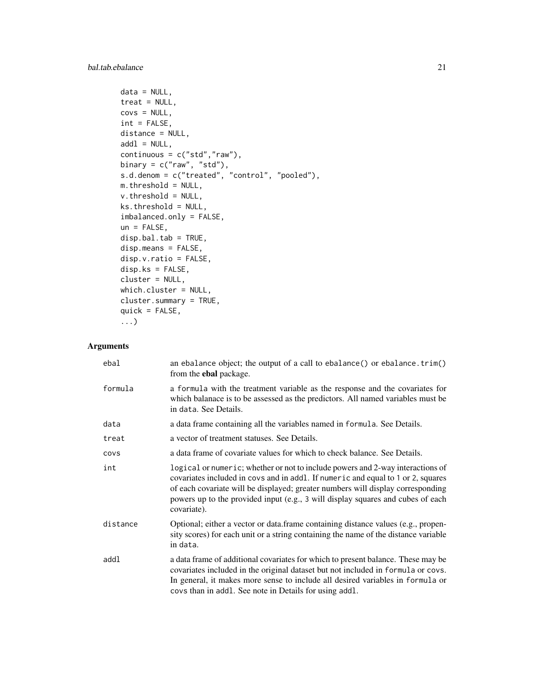```
data = NULL,treat = NULL,covs = NULL,int = FALSE,distance = NULL,
add1 = NULL,continuous = c("std", "raw"),binary = c("raw", "std"),
s.d.denom = c("treated", "control", "pooled"),
m.threshold = NULL,
v.threshold = NULL,
ks.threshold = NULL,
imbalanced.only = FALSE,
un = FALSE,disp.bal.tab = TRUE,
disp.means = FALSE,
disp.v.ratio = FALSE,
disp.ks = FALSE,cluster = NULL,
which.cluster = NULL,
cluster.summary = TRUE,
quick = FALSE,...)
```
## Arguments

| ebal     | an ebalance object; the output of a call to ebalance() or ebalance.trim()<br>from the <b>ebal</b> package.                                                                                                                                                                                                                                              |
|----------|---------------------------------------------------------------------------------------------------------------------------------------------------------------------------------------------------------------------------------------------------------------------------------------------------------------------------------------------------------|
| formula  | a formula with the treatment variable as the response and the covariates for<br>which balanace is to be assessed as the predictors. All named variables must be<br>in data. See Details.                                                                                                                                                                |
| data     | a data frame containing all the variables named in formula. See Details.                                                                                                                                                                                                                                                                                |
| treat    | a vector of treatment statuses. See Details.                                                                                                                                                                                                                                                                                                            |
| COVS     | a data frame of covariate values for which to check balance. See Details.                                                                                                                                                                                                                                                                               |
| int      | logical or numeric; whether or not to include powers and 2-way interactions of<br>covariates included in covs and in addl. If numeric and equal to 1 or 2, squares<br>of each covariate will be displayed; greater numbers will display corresponding<br>powers up to the provided input (e.g., 3 will display squares and cubes of each<br>covariate). |
| distance | Optional; either a vector or data.frame containing distance values (e.g., propen-<br>sity scores) for each unit or a string containing the name of the distance variable<br>in data.                                                                                                                                                                    |
| addl     | a data frame of additional covariates for which to present balance. These may be<br>covariates included in the original dataset but not included in formula or covs.<br>In general, it makes more sense to include all desired variables in formula or<br>covs than in addl. See note in Details for using addl.                                        |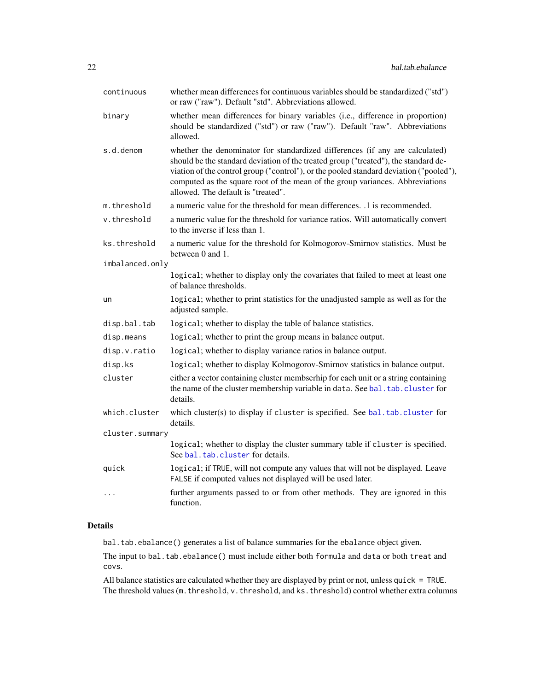<span id="page-21-0"></span>

| continuous      | whether mean differences for continuous variables should be standardized ("std")<br>or raw ("raw"). Default "std". Abbreviations allowed.                                                                                                                                                                                                                                            |
|-----------------|--------------------------------------------------------------------------------------------------------------------------------------------------------------------------------------------------------------------------------------------------------------------------------------------------------------------------------------------------------------------------------------|
| binary          | whether mean differences for binary variables (i.e., difference in proportion)<br>should be standardized ("std") or raw ("raw"). Default "raw". Abbreviations<br>allowed.                                                                                                                                                                                                            |
| s.d.denom       | whether the denominator for standardized differences (if any are calculated)<br>should be the standard deviation of the treated group ("treated"), the standard de-<br>viation of the control group ("control"), or the pooled standard deviation ("pooled"),<br>computed as the square root of the mean of the group variances. Abbreviations<br>allowed. The default is "treated". |
| m.threshold     | a numeric value for the threshold for mean differences. .1 is recommended.                                                                                                                                                                                                                                                                                                           |
| v.threshold     | a numeric value for the threshold for variance ratios. Will automatically convert<br>to the inverse if less than 1.                                                                                                                                                                                                                                                                  |
| ks.threshold    | a numeric value for the threshold for Kolmogorov-Smirnov statistics. Must be<br>between 0 and 1.                                                                                                                                                                                                                                                                                     |
| imbalanced.only |                                                                                                                                                                                                                                                                                                                                                                                      |
|                 | logical; whether to display only the covariates that failed to meet at least one<br>of balance thresholds.                                                                                                                                                                                                                                                                           |
| un              | logical; whether to print statistics for the unadjusted sample as well as for the<br>adjusted sample.                                                                                                                                                                                                                                                                                |
| disp.bal.tab    | logical; whether to display the table of balance statistics.                                                                                                                                                                                                                                                                                                                         |
| disp.means      | logical; whether to print the group means in balance output.                                                                                                                                                                                                                                                                                                                         |
| disp.v.ratio    | logical; whether to display variance ratios in balance output.                                                                                                                                                                                                                                                                                                                       |
| disp.ks         | logical; whether to display Kolmogorov-Smirnov statistics in balance output.                                                                                                                                                                                                                                                                                                         |
| cluster         | either a vector containing cluster membserhip for each unit or a string containing<br>the name of the cluster membership variable in data. See bal. tab. cluster for<br>details.                                                                                                                                                                                                     |
| which.cluster   | which cluster(s) to display if cluster is specified. See bal.tab.cluster for<br>details.                                                                                                                                                                                                                                                                                             |
| cluster.summary |                                                                                                                                                                                                                                                                                                                                                                                      |
|                 | logical; whether to display the cluster summary table if cluster is specified.<br>See bal.tab.cluster for details.                                                                                                                                                                                                                                                                   |
| quick           | logical; if TRUE, will not compute any values that will not be displayed. Leave<br>FALSE if computed values not displayed will be used later.                                                                                                                                                                                                                                        |
| $\cdots$        | further arguments passed to or from other methods. They are ignored in this<br>function.                                                                                                                                                                                                                                                                                             |

## Details

bal.tab.ebalance() generates a list of balance summaries for the ebalance object given.

The input to bal.tab.ebalance() must include either both formula and data or both treat and covs.

All balance statistics are calculated whether they are displayed by print or not, unless quick = TRUE. The threshold values (m. threshold, v. threshold, and ks. threshold) control whether extra columns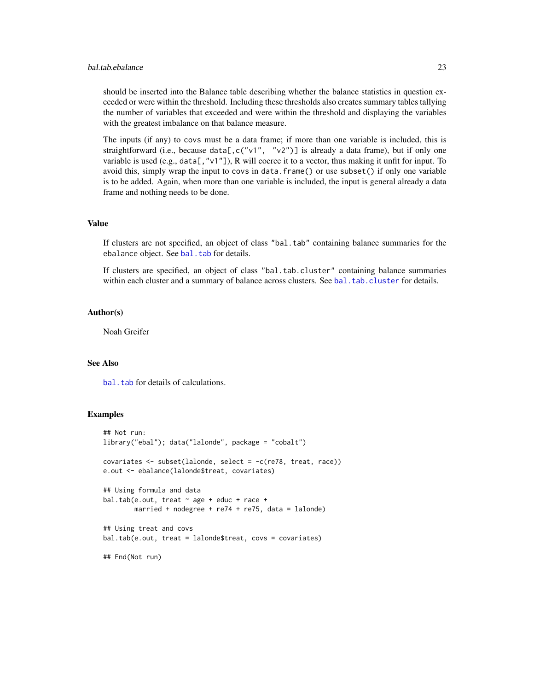## <span id="page-22-0"></span>bal.tab.ebalance 23

should be inserted into the Balance table describing whether the balance statistics in question exceeded or were within the threshold. Including these thresholds also creates summary tables tallying the number of variables that exceeded and were within the threshold and displaying the variables with the greatest imbalance on that balance measure.

The inputs (if any) to covs must be a data frame; if more than one variable is included, this is straightforward (i.e., because data[, c("v1", "v2")] is already a data frame), but if only one variable is used (e.g., data[, "v1"]), R will coerce it to a vector, thus making it unfit for input. To avoid this, simply wrap the input to covs in data.frame() or use subset() if only one variable is to be added. Again, when more than one variable is included, the input is general already a data frame and nothing needs to be done.

#### Value

If clusters are not specified, an object of class "bal.tab" containing balance summaries for the ebalance object. See [bal.tab](#page-4-1) for details.

If clusters are specified, an object of class "bal.tab.cluster" containing balance summaries within each cluster and a summary of balance across clusters. See [bal.tab.cluster](#page-12-1) for details.

#### Author(s)

Noah Greifer

#### See Also

bal. tab for details of calculations.

#### Examples

```
## Not run:
library("ebal"); data("lalonde", package = "cobalt")
covariates <- subset(lalonde, select = -c(re78, treat, race))
e.out <- ebalance(lalonde$treat, covariates)
## Using formula and data
bal.tab(e.out, treat \sim age + educ + race +
       married + nodegree + re74 + re75, data = lalonde)
## Using treat and covs
bal.tab(e.out, treat = lalonde$treat, covs = covariates)
## End(Not run)
```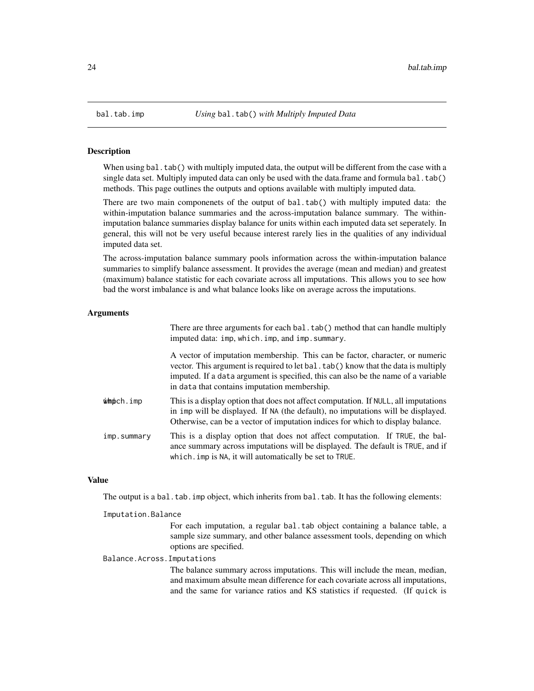#### Description

When using bal.tab() with multiply imputed data, the output will be different from the case with a single data set. Multiply imputed data can only be used with the data.frame and formula bal.tab() methods. This page outlines the outputs and options available with multiply imputed data.

There are two main componenets of the output of bal.tab() with multiply imputed data: the within-imputation balance summaries and the across-imputation balance summary. The withinimputation balance summaries display balance for units within each imputed data set seperately. In general, this will not be very useful because interest rarely lies in the qualities of any individual imputed data set.

The across-imputation balance summary pools information across the within-imputation balance summaries to simplify balance assessment. It provides the average (mean and median) and greatest (maximum) balance statistic for each covariate across all imputations. This allows you to see how bad the worst imbalance is and what balance looks like on average across the imputations.

## Arguments

There are three arguments for each bal.tab() method that can handle multiply imputed data: imp, which.imp, and imp. summary.

A vector of imputation membership. This can be factor, character, or numeric vector. This argument is required to let bal.tab() know that the data is multiply imputed. If a data argument is specified, this can also be the name of a variable in data that contains imputation membership.

- $\dot{\mathbf{w}}$  modes in This is a display option that does not affect computation. If NULL, all imputations in imp will be displayed. If NA (the default), no imputations will be displayed. Otherwise, can be a vector of imputation indices for which to display balance.
- imp. summary This is a display option that does not affect computation. If TRUE, the balance summary across imputations will be displayed. The default is TRUE, and if which.imp is NA, it will automatically be set to TRUE.

## Value

The output is a bal.tab.imp object, which inherits from bal.tab. It has the following elements:

#### Imputation.Balance

For each imputation, a regular bal.tab object containing a balance table, a sample size summary, and other balance assessment tools, depending on which options are specified.

Balance.Across.Imputations

The balance summary across imputations. This will include the mean, median, and maximum absulte mean difference for each covariate across all imputations, and the same for variance ratios and KS statistics if requested. (If quick is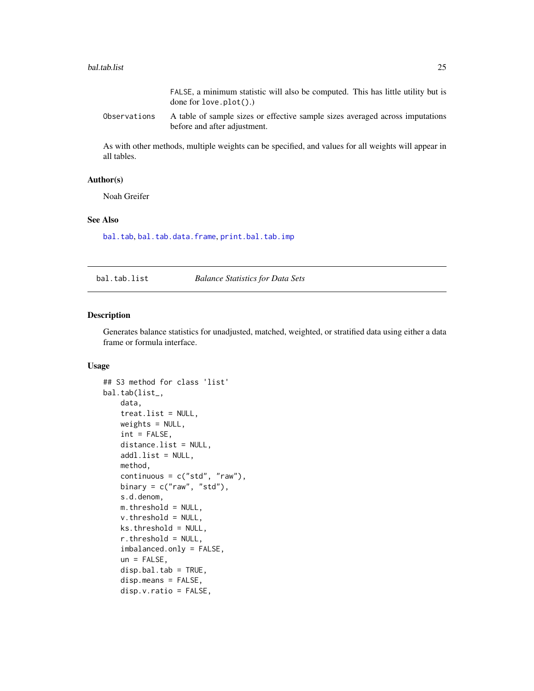#### <span id="page-24-0"></span>bal.tab.list 25

Observations A table of sample sizes or effective sample sizes averaged across imputations before and after adjustment.

As with other methods, multiple weights can be specified, and values for all weights will appear in all tables.

#### Author(s)

Noah Greifer

## See Also

[bal.tab](#page-4-1), [bal.tab.data.frame](#page-13-1), [print.bal.tab.imp](#page-58-2)

<span id="page-24-1"></span>bal.tab.list *Balance Statistics for Data Sets*

#### Description

Generates balance statistics for unadjusted, matched, weighted, or stratified data using either a data frame or formula interface.

## Usage

```
## S3 method for class 'list'
bal.tab(list_,
    data,
    treat.list = NULL,
    weights = NULL,
    int = FALSE,distance.list = NULL,
    addl.list = NULL,
   method,
    continuous = c("std", "raw"),binary = c("raw", "std"),s.d.denom,
   m.threshold = NULL,
    v. threshold = NULL,
    ks.threshold = NULL,
    r.threshold = NULL,
    imbalanced.only = FALSE,
    un = FALSE,disp.bal.tab = TRUE,
    disp.means = FALSE,
    disp.v.ratio = FALSE,
```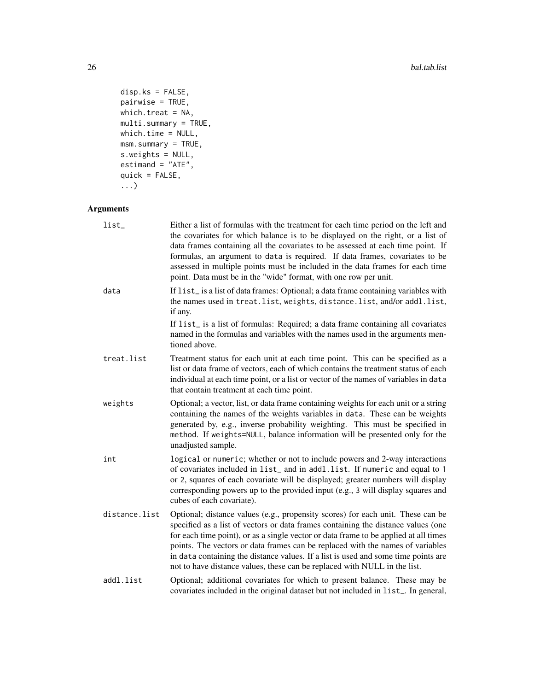```
disp.ks = FALSE,pairwise = TRUE,
which.treat = NA,
multi.summary = TRUE,
which.time = NULL,
msm.summary = TRUE,
s.weights = NULL,
estimand = "ATE",
quick = FALSE,
...)
```
## Arguments

| list_         | Either a list of formulas with the treatment for each time period on the left and<br>the covariates for which balance is to be displayed on the right, or a list of<br>data frames containing all the covariates to be assessed at each time point. If<br>formulas, an argument to data is required. If data frames, covariates to be<br>assessed in multiple points must be included in the data frames for each time<br>point. Data must be in the "wide" format, with one row per unit.                        |
|---------------|-------------------------------------------------------------------------------------------------------------------------------------------------------------------------------------------------------------------------------------------------------------------------------------------------------------------------------------------------------------------------------------------------------------------------------------------------------------------------------------------------------------------|
| data          | If list_is a list of data frames: Optional; a data frame containing variables with<br>the names used in treat. list, weights, distance. list, and/or addl. list,<br>if any.                                                                                                                                                                                                                                                                                                                                       |
|               | If list_ is a list of formulas: Required; a data frame containing all covariates<br>named in the formulas and variables with the names used in the arguments men-<br>tioned above.                                                                                                                                                                                                                                                                                                                                |
| treat.list    | Treatment status for each unit at each time point. This can be specified as a<br>list or data frame of vectors, each of which contains the treatment status of each<br>individual at each time point, or a list or vector of the names of variables in data<br>that contain treatment at each time point.                                                                                                                                                                                                         |
| weights       | Optional; a vector, list, or data frame containing weights for each unit or a string<br>containing the names of the weights variables in data. These can be weights<br>generated by, e.g., inverse probability weighting. This must be specified in<br>method. If weights=NULL, balance information will be presented only for the<br>unadjusted sample.                                                                                                                                                          |
| int           | logical or numeric; whether or not to include powers and 2-way interactions<br>of covariates included in list_ and in addl.list. If numeric and equal to 1<br>or 2, squares of each covariate will be displayed; greater numbers will display<br>corresponding powers up to the provided input (e.g., 3 will display squares and<br>cubes of each covariate).                                                                                                                                                     |
| distance.list | Optional; distance values (e.g., propensity scores) for each unit. These can be<br>specified as a list of vectors or data frames containing the distance values (one<br>for each time point), or as a single vector or data frame to be applied at all times<br>points. The vectors or data frames can be replaced with the names of variables<br>in data containing the distance values. If a list is used and some time points are<br>not to have distance values, these can be replaced with NULL in the list. |
| addl.list     | Optional; additional covariates for which to present balance. These may be<br>covariates included in the original dataset but not included in list_. In general,                                                                                                                                                                                                                                                                                                                                                  |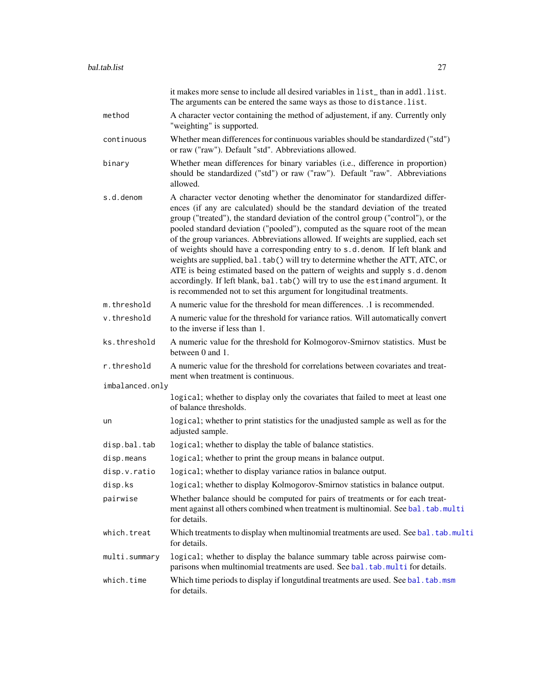<span id="page-26-0"></span>

|                 | it makes more sense to include all desired variables in list_than in addl.list.<br>The arguments can be entered the same ways as those to distance. list.                                                                                                                                                                                                                                                                                                                                                                                                                                                                                                                                                                                                                                                                              |
|-----------------|----------------------------------------------------------------------------------------------------------------------------------------------------------------------------------------------------------------------------------------------------------------------------------------------------------------------------------------------------------------------------------------------------------------------------------------------------------------------------------------------------------------------------------------------------------------------------------------------------------------------------------------------------------------------------------------------------------------------------------------------------------------------------------------------------------------------------------------|
| method          | A character vector containing the method of adjustement, if any. Currently only<br>"weighting" is supported.                                                                                                                                                                                                                                                                                                                                                                                                                                                                                                                                                                                                                                                                                                                           |
| continuous      | Whether mean differences for continuous variables should be standardized ("std")<br>or raw ("raw"). Default "std". Abbreviations allowed.                                                                                                                                                                                                                                                                                                                                                                                                                                                                                                                                                                                                                                                                                              |
| binary          | Whether mean differences for binary variables (i.e., difference in proportion)<br>should be standardized ("std") or raw ("raw"). Default "raw". Abbreviations<br>allowed.                                                                                                                                                                                                                                                                                                                                                                                                                                                                                                                                                                                                                                                              |
| s.d.denom       | A character vector denoting whether the denominator for standardized differ-<br>ences (if any are calculated) should be the standard deviation of the treated<br>group ("treated"), the standard deviation of the control group ("control"), or the<br>pooled standard deviation ("pooled"), computed as the square root of the mean<br>of the group variances. Abbreviations allowed. If weights are supplied, each set<br>of weights should have a corresponding entry to s.d. denom. If left blank and<br>weights are supplied, bal. tab() will try to determine whether the ATT, ATC, or<br>ATE is being estimated based on the pattern of weights and supply s.d.denom<br>accordingly. If left blank, bal.tab() will try to use the estimand argument. It<br>is recommended not to set this argument for longitudinal treatments. |
| m.threshold     | A numeric value for the threshold for mean differences. .1 is recommended.                                                                                                                                                                                                                                                                                                                                                                                                                                                                                                                                                                                                                                                                                                                                                             |
| v.threshold     | A numeric value for the threshold for variance ratios. Will automatically convert<br>to the inverse if less than 1.                                                                                                                                                                                                                                                                                                                                                                                                                                                                                                                                                                                                                                                                                                                    |
| ks.threshold    | A numeric value for the threshold for Kolmogorov-Smirnov statistics. Must be<br>between 0 and 1.                                                                                                                                                                                                                                                                                                                                                                                                                                                                                                                                                                                                                                                                                                                                       |
| r.threshold     | A numeric value for the threshold for correlations between covariates and treat-<br>ment when treatment is continuous.                                                                                                                                                                                                                                                                                                                                                                                                                                                                                                                                                                                                                                                                                                                 |
| imbalanced.only |                                                                                                                                                                                                                                                                                                                                                                                                                                                                                                                                                                                                                                                                                                                                                                                                                                        |
|                 | logical; whether to display only the covariates that failed to meet at least one<br>of balance thresholds.                                                                                                                                                                                                                                                                                                                                                                                                                                                                                                                                                                                                                                                                                                                             |
| un              | logical; whether to print statistics for the unadjusted sample as well as for the<br>adjusted sample.                                                                                                                                                                                                                                                                                                                                                                                                                                                                                                                                                                                                                                                                                                                                  |
| disp.bal.tab    | logical; whether to display the table of balance statistics.                                                                                                                                                                                                                                                                                                                                                                                                                                                                                                                                                                                                                                                                                                                                                                           |
| disp.means      | logical; whether to print the group means in balance output.                                                                                                                                                                                                                                                                                                                                                                                                                                                                                                                                                                                                                                                                                                                                                                           |
| disp.v.ratio    | logical; whether to display variance ratios in balance output.                                                                                                                                                                                                                                                                                                                                                                                                                                                                                                                                                                                                                                                                                                                                                                         |
| disp.ks         | logical; whether to display Kolmogorov-Smirnov statistics in balance output.                                                                                                                                                                                                                                                                                                                                                                                                                                                                                                                                                                                                                                                                                                                                                           |
| pairwise        | Whether balance should be computed for pairs of treatments or for each treat-<br>ment against all others combined when treatment is multinomial. See bal.tab.multi<br>for details.                                                                                                                                                                                                                                                                                                                                                                                                                                                                                                                                                                                                                                                     |
| which.treat     | Which treatments to display when multinomial treatments are used. See bal. tab.multi<br>for details.                                                                                                                                                                                                                                                                                                                                                                                                                                                                                                                                                                                                                                                                                                                                   |
| multi.summary   | logical; whether to display the balance summary table across pairwise com-<br>parisons when multinomial treatments are used. See bal. tab. multi for details.                                                                                                                                                                                                                                                                                                                                                                                                                                                                                                                                                                                                                                                                          |
| which.time      | Which time periods to display if longutdinal treatments are used. See bal. tab.msm<br>for details.                                                                                                                                                                                                                                                                                                                                                                                                                                                                                                                                                                                                                                                                                                                                     |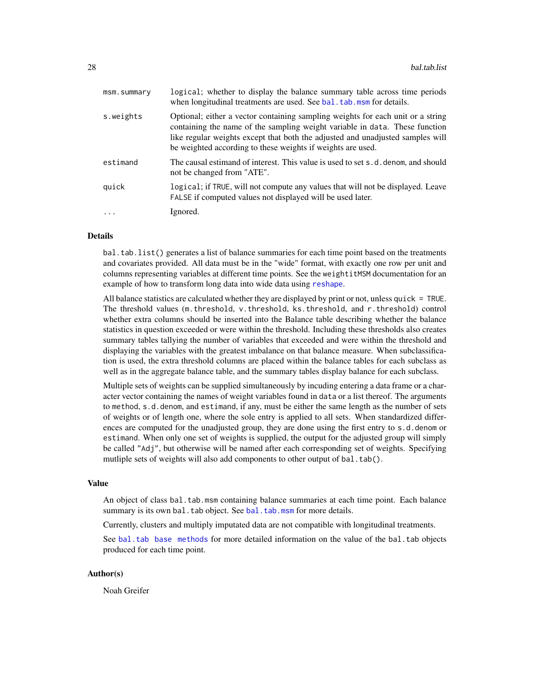<span id="page-27-0"></span>

| msm.summary             | logical; whether to display the balance summary table across time periods<br>when longitudinal treatments are used. See bal. tab. msm for details.                                                                                                                                                              |
|-------------------------|-----------------------------------------------------------------------------------------------------------------------------------------------------------------------------------------------------------------------------------------------------------------------------------------------------------------|
| s.weights               | Optional; either a vector containing sampling weights for each unit or a string<br>containing the name of the sampling weight variable in data. These function<br>like regular weights except that both the adjusted and unadjusted samples will<br>be weighted according to these weights if weights are used. |
| estimand                | The causal estimand of interest. This value is used to set s.d. denom, and should<br>not be changed from "ATE".                                                                                                                                                                                                 |
| quick                   | logical; if TRUE, will not compute any values that will not be displayed. Leave<br>FALSE if computed values not displayed will be used later.                                                                                                                                                                   |
| $\cdot$ $\cdot$ $\cdot$ | Ignored.                                                                                                                                                                                                                                                                                                        |
|                         |                                                                                                                                                                                                                                                                                                                 |

## Details

bal.tab.list() generates a list of balance summaries for each time point based on the treatments and covariates provided. All data must be in the "wide" format, with exactly one row per unit and columns representing variables at different time points. See the weightitMSM documentation for an example of how to transform long data into wide data using [reshape](#page-0-0).

All balance statistics are calculated whether they are displayed by print or not, unless quick = TRUE. The threshold values (m.threshold, v.threshold, ks.threshold, and r.threshold) control whether extra columns should be inserted into the Balance table describing whether the balance statistics in question exceeded or were within the threshold. Including these thresholds also creates summary tables tallying the number of variables that exceeded and were within the threshold and displaying the variables with the greatest imbalance on that balance measure. When subclassification is used, the extra threshold columns are placed within the balance tables for each subclass as well as in the aggregate balance table, and the summary tables display balance for each subclass.

Multiple sets of weights can be supplied simultaneously by incuding entering a data frame or a character vector containing the names of weight variables found in data or a list thereof. The arguments to method, s.d.denom, and estimand, if any, must be either the same length as the number of sets of weights or of length one, where the sole entry is applied to all sets. When standardized differences are computed for the unadjusted group, they are done using the first entry to s.d.denom or estimand. When only one set of weights is supplied, the output for the adjusted group will simply be called "Adj", but otherwise will be named after each corresponding set of weights. Specifying mutliple sets of weights will also add components to other output of bal.tab().

#### Value

An object of class bal.tab.msm containing balance summaries at each time point. Each balance summary is its own bal.tab object. See [bal.tab.msm](#page-50-1) for more details.

Currently, clusters and multiply imputated data are not compatible with longitudinal treatments.

See [bal.tab base methods](#page-13-1) for more detailed information on the value of the bal.tab objects produced for each time point.

#### Author(s)

Noah Greifer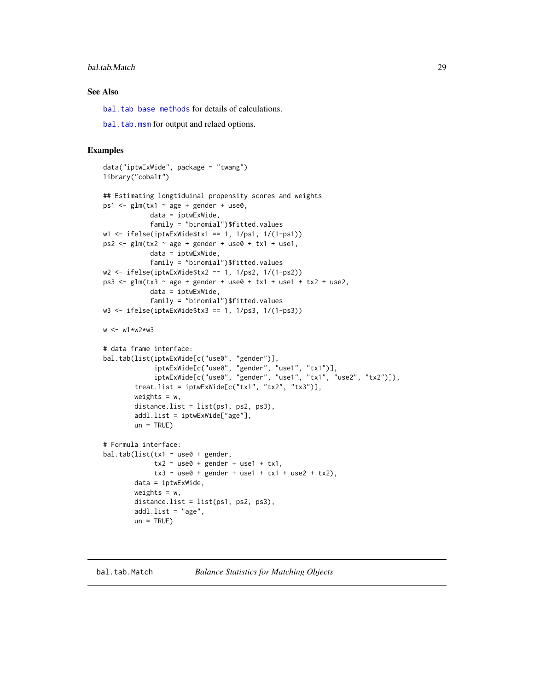## <span id="page-28-0"></span>bal.tab.Match 29

## See Also

[bal.tab base methods](#page-13-1) for details of calculations.

[bal.tab.msm](#page-50-1) for output and relaed options.

#### Examples

```
data("iptwExWide", package = "twang")
library("cobalt")
## Estimating longtiduinal propensity scores and weights
ps1 \le glm(tx1 \sim age + gender + use0,
            data = iptwExWide,
            family = "binomial")$fitted.values
w1 <- ifelse(iptwExWide$tx1 == 1, 1/ps1, 1/(1-ps1))
ps2 \leq glm(tx2 \sim age + gender + use0 + tx1 + use1,data = iptwExWide,
            family = "binomial")$fitted.values
w2 <- ifelse(iptwExWide$tx2 == 1, 1/ps2, 1/(1-ps2))
ps3 <- glm(tx3 ~ age + gender + use0 + tx1 + use1 + tx2 + use2,
            data = iptwExWide,
            family = "binomial")$fitted.values
w3 \le ifelse(iptwExWide$tx3 == 1, 1/ps3, 1/(1-ps3))
w <- w1*w2*w3
# data frame interface:
bal.tab(list(iptwExWide[c("use0", "gender")],
             iptwExWide[c("use0", "gender", "use1", "tx1")],
             iptwExWide[c("use0", "gender", "use1", "tx1", "use2", "tx2")]),
        treat.list = iptwExWide[c("tx1", "tx2", "tx3")],
        weights = w,
        distance.list = list(ps1, ps2, ps3),
        addl.list = iptwExWide["age"],
        un = TRUE)
# Formula interface:
bal.tab(list(tx1 \sim use0 + gender,
             tx2 ~ use0 + gender + use1 + tx1,
             tx3 \sim use0 + gender + use1 + tx1 + use2 + tx2),data = iptwExWide,
        weights = w,
        distanceu. list = list(ps1, ps2, ps3),
        addl.list = "age",un = TRUE)
```
<span id="page-28-1"></span>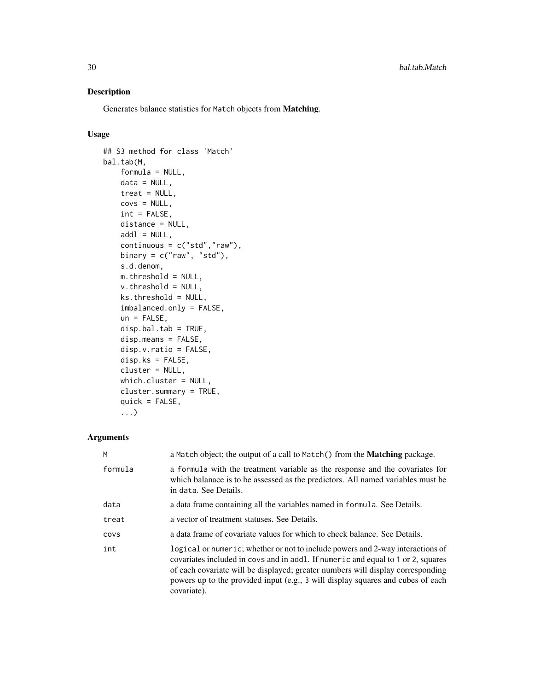## Description

Generates balance statistics for Match objects from Matching.

## Usage

```
## S3 method for class 'Match'
bal.tab(M,
   formula = NULL,
   data = NULL,treat = NULL,
   covs = NULL,int = FALSE,distance = NULL,
   add1 = NULL,continuous = c("std", "raw"),binary = c("raw", "std"),
   s.d.denom,
   m.threshold = NULL,
   v.threshold = NULL,
   ks.threshold = NULL,
    imbalanced.only = FALSE,
   un = FALSE,disp.bal.tab = TRUE,
   disp.means = FALSE,
    disp.v.ratio = FALSE,
   disp.ks = FALSE,
    cluster = NULL,
   which.cluster = NULL,
    cluster.summary = TRUE,
    quick = FALSE,
    ...)
```
## Arguments

| M       | a Match object; the output of a call to Match() from the <b>Matching</b> package.                                                                                                                                                                                                                                                                       |
|---------|---------------------------------------------------------------------------------------------------------------------------------------------------------------------------------------------------------------------------------------------------------------------------------------------------------------------------------------------------------|
| formula | a formula with the treatment variable as the response and the covariates for<br>which balanace is to be assessed as the predictors. All named variables must be<br>in data. See Details.                                                                                                                                                                |
| data    | a data frame containing all the variables named in formula. See Details.                                                                                                                                                                                                                                                                                |
| treat   | a vector of treatment statuses. See Details.                                                                                                                                                                                                                                                                                                            |
| COVS    | a data frame of covariate values for which to check balance. See Details.                                                                                                                                                                                                                                                                               |
| int     | logical or numeric; whether or not to include powers and 2-way interactions of<br>covariates included in covs and in addl. If numeric and equal to 1 or 2, squares<br>of each covariate will be displayed; greater numbers will display corresponding<br>powers up to the provided input (e.g., 3 will display squares and cubes of each<br>covariate). |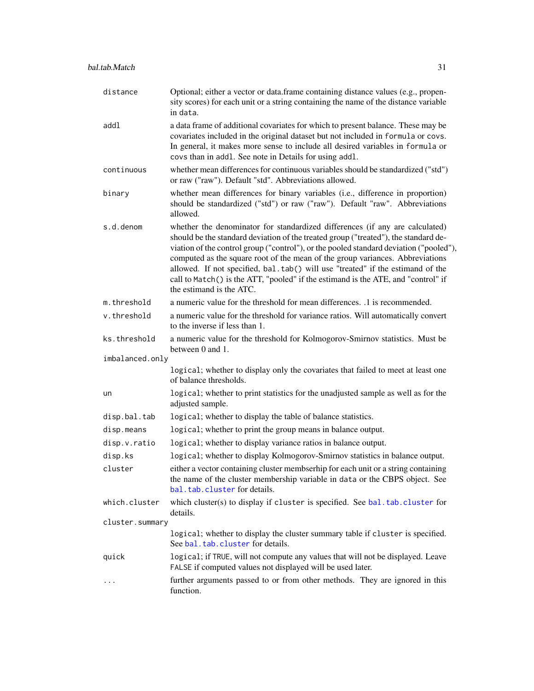<span id="page-30-0"></span>

| distance        | Optional; either a vector or data.frame containing distance values (e.g., propen-<br>sity scores) for each unit or a string containing the name of the distance variable<br>in data.                                                                                                                                                                                                                                                                                                                                                              |
|-----------------|---------------------------------------------------------------------------------------------------------------------------------------------------------------------------------------------------------------------------------------------------------------------------------------------------------------------------------------------------------------------------------------------------------------------------------------------------------------------------------------------------------------------------------------------------|
| addl            | a data frame of additional covariates for which to present balance. These may be<br>covariates included in the original dataset but not included in formula or covs.<br>In general, it makes more sense to include all desired variables in formula or<br>covs than in addl. See note in Details for using addl.                                                                                                                                                                                                                                  |
| continuous      | whether mean differences for continuous variables should be standardized ("std")<br>or raw ("raw"). Default "std". Abbreviations allowed.                                                                                                                                                                                                                                                                                                                                                                                                         |
| binary          | whether mean differences for binary variables (i.e., difference in proportion)<br>should be standardized ("std") or raw ("raw"). Default "raw". Abbreviations<br>allowed.                                                                                                                                                                                                                                                                                                                                                                         |
| s.d.denom       | whether the denominator for standardized differences (if any are calculated)<br>should be the standard deviation of the treated group ("treated"), the standard de-<br>viation of the control group ("control"), or the pooled standard deviation ("pooled"),<br>computed as the square root of the mean of the group variances. Abbreviations<br>allowed. If not specified, bal.tab() will use "treated" if the estimand of the<br>call to Match() is the ATT, "pooled" if the estimand is the ATE, and "control" if<br>the estimand is the ATC. |
| m.threshold     | a numeric value for the threshold for mean differences. .1 is recommended.                                                                                                                                                                                                                                                                                                                                                                                                                                                                        |
| v.threshold     | a numeric value for the threshold for variance ratios. Will automatically convert<br>to the inverse if less than 1.                                                                                                                                                                                                                                                                                                                                                                                                                               |
| ks.threshold    | a numeric value for the threshold for Kolmogorov-Smirnov statistics. Must be<br>between 0 and 1.                                                                                                                                                                                                                                                                                                                                                                                                                                                  |
| imbalanced.only |                                                                                                                                                                                                                                                                                                                                                                                                                                                                                                                                                   |
|                 | logical; whether to display only the covariates that failed to meet at least one<br>of balance thresholds.                                                                                                                                                                                                                                                                                                                                                                                                                                        |
| un              | logical; whether to print statistics for the unadjusted sample as well as for the<br>adjusted sample.                                                                                                                                                                                                                                                                                                                                                                                                                                             |
| disp.bal.tab    | logical; whether to display the table of balance statistics.                                                                                                                                                                                                                                                                                                                                                                                                                                                                                      |
| disp.means      | logical; whether to print the group means in balance output.                                                                                                                                                                                                                                                                                                                                                                                                                                                                                      |
| disp.v.ratio    | logical; whether to display variance ratios in balance output.                                                                                                                                                                                                                                                                                                                                                                                                                                                                                    |
| disp.ks         | logical; whether to display Kolmogorov-Smirnov statistics in balance output.                                                                                                                                                                                                                                                                                                                                                                                                                                                                      |
| cluster         | either a vector containing cluster membserhip for each unit or a string containing<br>the name of the cluster membership variable in data or the CBPS object. See<br>bal.tab.cluster for details.                                                                                                                                                                                                                                                                                                                                                 |
| which.cluster   | which cluster(s) to display if cluster is specified. See bal.tab.cluster for<br>details.                                                                                                                                                                                                                                                                                                                                                                                                                                                          |
| cluster.summary |                                                                                                                                                                                                                                                                                                                                                                                                                                                                                                                                                   |
|                 | logical; whether to display the cluster summary table if cluster is specified.<br>See bal.tab.cluster for details.                                                                                                                                                                                                                                                                                                                                                                                                                                |
| quick           | logical; if TRUE, will not compute any values that will not be displayed. Leave<br>FALSE if computed values not displayed will be used later.                                                                                                                                                                                                                                                                                                                                                                                                     |
| $\cdots$        | further arguments passed to or from other methods. They are ignored in this<br>function.                                                                                                                                                                                                                                                                                                                                                                                                                                                          |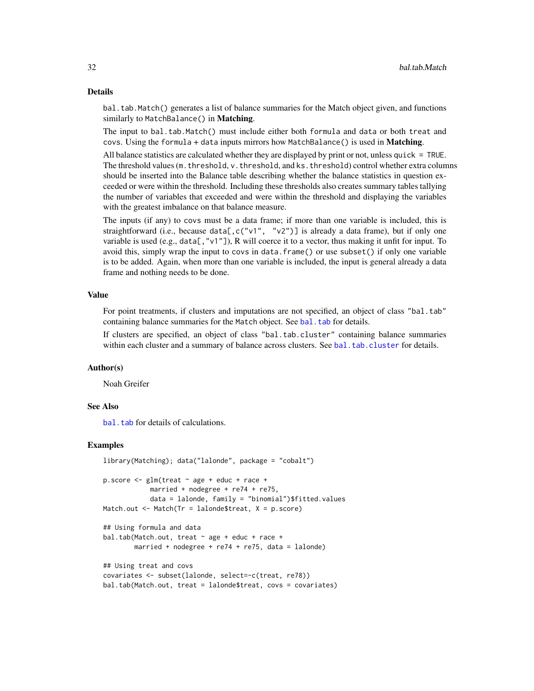#### Details

bal.tab.Match() generates a list of balance summaries for the Match object given, and functions similarly to MatchBalance() in Matching.

The input to bal.tab.Match() must include either both formula and data or both treat and covs. Using the formula + data inputs mirrors how MatchBalance() is used in Matching.

All balance statistics are calculated whether they are displayed by print or not, unless quick = TRUE. The threshold values (m. threshold, v. threshold, and ks. threshold) control whether extra columns should be inserted into the Balance table describing whether the balance statistics in question exceeded or were within the threshold. Including these thresholds also creates summary tables tallying the number of variables that exceeded and were within the threshold and displaying the variables with the greatest imbalance on that balance measure.

The inputs (if any) to covs must be a data frame; if more than one variable is included, this is straightforward (i.e., because data[, c("v1", "v2")] is already a data frame), but if only one variable is used (e.g., data[,"v1"]), R will coerce it to a vector, thus making it unfit for input. To avoid this, simply wrap the input to covs in data.frame() or use subset() if only one variable is to be added. Again, when more than one variable is included, the input is general already a data frame and nothing needs to be done.

#### Value

For point treatments, if clusters and imputations are not specified, an object of class "bal.tab" containing balance summaries for the Match object. See [bal.tab](#page-4-1) for details.

If clusters are specified, an object of class "bal.tab.cluster" containing balance summaries within each cluster and a summary of balance across clusters. See [bal.tab.cluster](#page-12-1) for details.

#### Author(s)

Noah Greifer

#### See Also

bal. tab for details of calculations.

## Examples

```
library(Matching); data("lalonde", package = "cobalt")
```

```
p.score <- glm(treat ~ age + educ + race +
            married + nodegree + re74 + re75,
            data = lalonde, family = "binomial")$fitted.values
Match.out \leq Match(Tr = lalonde$treat, X = p.score)
```

```
## Using formula and data
bal.tab(Match.out, treat \sim age + educ + race +
        married + nodegree + re74 + re75, data = lalonde)
```

```
## Using treat and covs
covariates <- subset(lalonde, select=-c(treat, re78))
bal.tab(Match.out, treat = lalonde$treat, covs = covariates)
```
<span id="page-31-0"></span>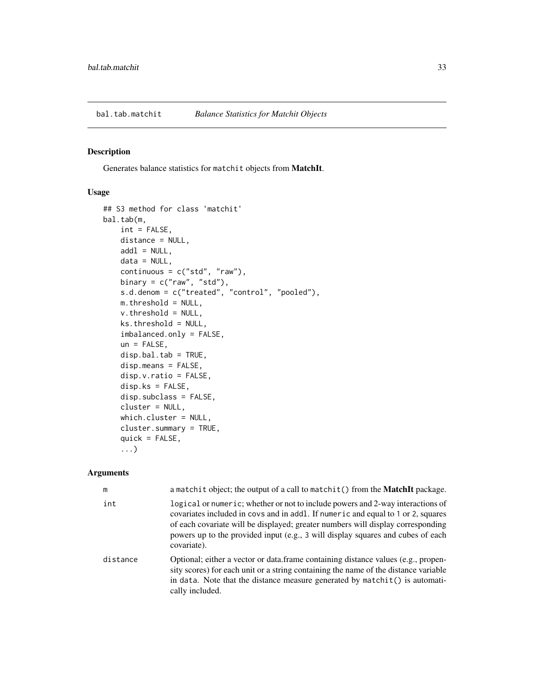<span id="page-32-1"></span><span id="page-32-0"></span>

#### Description

Generates balance statistics for matchit objects from MatchIt.

## Usage

```
## S3 method for class 'matchit'
bal.tab(m,
    int = FALSE,
    distance = NULL,
    add1 = NULL,data = NULL,continuous = c("std", "raw"),
    binary = c("raw", "std"),s.d.denom = c("treated", "control", "pooled"),
    m.threshold = NULL,
    v.threshold = NULL,
    ks.threshold = NULL,
    imbalanced.only = FALSE,
    un = FALSE,disp.bal.tab = TRUE,
    disp.means = FALSE,
    disp.v.ratio = FALSE,
    disp.ks = FALSE,disp.subclass = FALSE,
    cluster = NULL,
    which.cluster = NULL,
    cluster.summary = TRUE,
    quick = FALSE,
    ...)
```
## Arguments

| m        | a matchit object; the output of a call to matchit () from the <b>MatchIt</b> package.                                                                                                                                                                                                                                                                   |
|----------|---------------------------------------------------------------------------------------------------------------------------------------------------------------------------------------------------------------------------------------------------------------------------------------------------------------------------------------------------------|
| int      | logical or numeric; whether or not to include powers and 2-way interactions of<br>covariates included in covs and in addl. If numeric and equal to 1 or 2, squares<br>of each covariate will be displayed; greater numbers will display corresponding<br>powers up to the provided input (e.g., 3 will display squares and cubes of each<br>covariate). |
| distance | Optional; either a vector or data.frame containing distance values (e.g., propen-<br>sity scores) for each unit or a string containing the name of the distance variable<br>in data. Note that the distance measure generated by matchit() is automati-<br>cally included.                                                                              |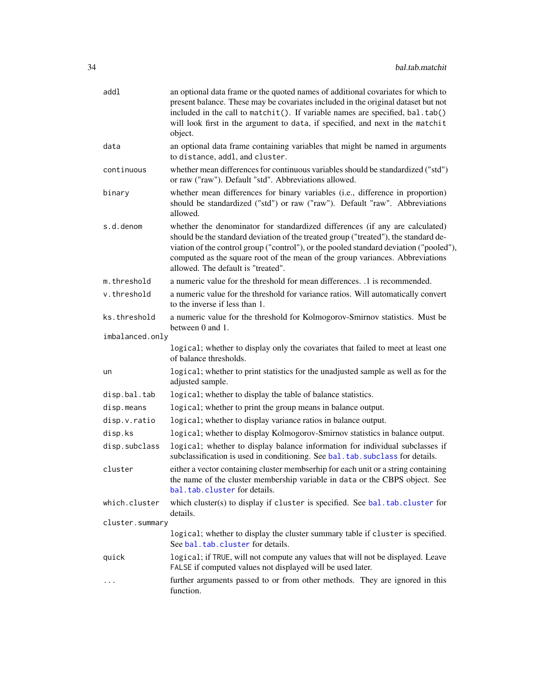<span id="page-33-0"></span>

| addl            | an optional data frame or the quoted names of additional covariates for which to<br>present balance. These may be covariates included in the original dataset but not<br>included in the call to matchit(). If variable names are specified, bal.tab()<br>will look first in the argument to data, if specified, and next in the matchit<br>object.                                  |
|-----------------|--------------------------------------------------------------------------------------------------------------------------------------------------------------------------------------------------------------------------------------------------------------------------------------------------------------------------------------------------------------------------------------|
| data            | an optional data frame containing variables that might be named in arguments<br>to distance, addl, and cluster.                                                                                                                                                                                                                                                                      |
| continuous      | whether mean differences for continuous variables should be standardized ("std")<br>or raw ("raw"). Default "std". Abbreviations allowed.                                                                                                                                                                                                                                            |
| binary          | whether mean differences for binary variables (i.e., difference in proportion)<br>should be standardized ("std") or raw ("raw"). Default "raw". Abbreviations<br>allowed.                                                                                                                                                                                                            |
| s.d.denom       | whether the denominator for standardized differences (if any are calculated)<br>should be the standard deviation of the treated group ("treated"), the standard de-<br>viation of the control group ("control"), or the pooled standard deviation ("pooled"),<br>computed as the square root of the mean of the group variances. Abbreviations<br>allowed. The default is "treated". |
| m.threshold     | a numeric value for the threshold for mean differences. .1 is recommended.                                                                                                                                                                                                                                                                                                           |
| v.threshold     | a numeric value for the threshold for variance ratios. Will automatically convert<br>to the inverse if less than 1.                                                                                                                                                                                                                                                                  |
| ks.threshold    | a numeric value for the threshold for Kolmogorov-Smirnov statistics. Must be<br>between 0 and 1.                                                                                                                                                                                                                                                                                     |
| imbalanced.only |                                                                                                                                                                                                                                                                                                                                                                                      |
|                 | logical; whether to display only the covariates that failed to meet at least one<br>of balance thresholds.                                                                                                                                                                                                                                                                           |
| un              | logical; whether to print statistics for the unadjusted sample as well as for the<br>adjusted sample.                                                                                                                                                                                                                                                                                |
| disp.bal.tab    | logical; whether to display the table of balance statistics.                                                                                                                                                                                                                                                                                                                         |
| disp.means      | logical; whether to print the group means in balance output.                                                                                                                                                                                                                                                                                                                         |
| disp.v.ratio    | logical; whether to display variance ratios in balance output.                                                                                                                                                                                                                                                                                                                       |
| disp.ks         | logical; whether to display Kolmogorov-Smirnov statistics in balance output.                                                                                                                                                                                                                                                                                                         |
| disp.subclass   | logical; whether to display balance information for individual subclasses if<br>subclassification is used in conditioning. See bal. tab. subclass for details.                                                                                                                                                                                                                       |
| cluster         | either a vector containing cluster membserhip for each unit or a string containing<br>the name of the cluster membership variable in data or the CBPS object. See<br>bal.tab.cluster for details.                                                                                                                                                                                    |
| which.cluster   | which cluster(s) to display if cluster is specified. See bal.tab.cluster for<br>details.                                                                                                                                                                                                                                                                                             |
| cluster.summary |                                                                                                                                                                                                                                                                                                                                                                                      |
|                 | logical; whether to display the cluster summary table if cluster is specified.<br>See bal.tab.cluster for details.                                                                                                                                                                                                                                                                   |
| quick           | logical; if TRUE, will not compute any values that will not be displayed. Leave<br>FALSE if computed values not displayed will be used later.                                                                                                                                                                                                                                        |
|                 | further arguments passed to or from other methods. They are ignored in this<br>function.                                                                                                                                                                                                                                                                                             |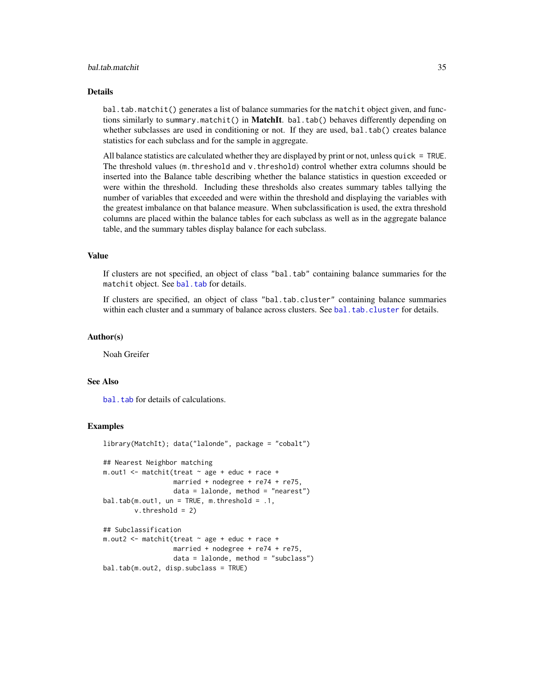## <span id="page-34-0"></span>bal.tab.matchit 35

#### Details

bal.tab.matchit() generates a list of balance summaries for the matchit object given, and functions similarly to summary.matchit() in MatchIt. bal.tab() behaves differently depending on whether subclasses are used in conditioning or not. If they are used, bal.tab() creates balance statistics for each subclass and for the sample in aggregate.

All balance statistics are calculated whether they are displayed by print or not, unless quick = TRUE. The threshold values (m.threshold and v.threshold) control whether extra columns should be inserted into the Balance table describing whether the balance statistics in question exceeded or were within the threshold. Including these thresholds also creates summary tables tallying the number of variables that exceeded and were within the threshold and displaying the variables with the greatest imbalance on that balance measure. When subclassification is used, the extra threshold columns are placed within the balance tables for each subclass as well as in the aggregate balance table, and the summary tables display balance for each subclass.

## Value

If clusters are not specified, an object of class "bal.tab" containing balance summaries for the matchit object. See [bal.tab](#page-4-1) for details.

If clusters are specified, an object of class "bal.tab.cluster" containing balance summaries within each cluster and a summary of balance across clusters. See [bal.tab.cluster](#page-12-1) for details.

#### Author(s)

Noah Greifer

#### See Also

bal. tab for details of calculations.

## Examples

```
library(MatchIt); data("lalonde", package = "cobalt")
## Nearest Neighbor matching
m.out1 <- m. m.t. (treat \sim age + educ + race +married + nodegree + re74 + re75,
                  data = lalonde, method = "nearest")
bal.tab(m.out1, un = TRUE, m.threshold = .1,v.threshold = 2)
## Subclassification
m.out2 <- matchit(treat ~ age + educ + race +
                  married + nodegree + re74 + re75,
                  data = lalonde, method = "subclass")
bal.tab(m.out2, disp.subclass = TRUE)
```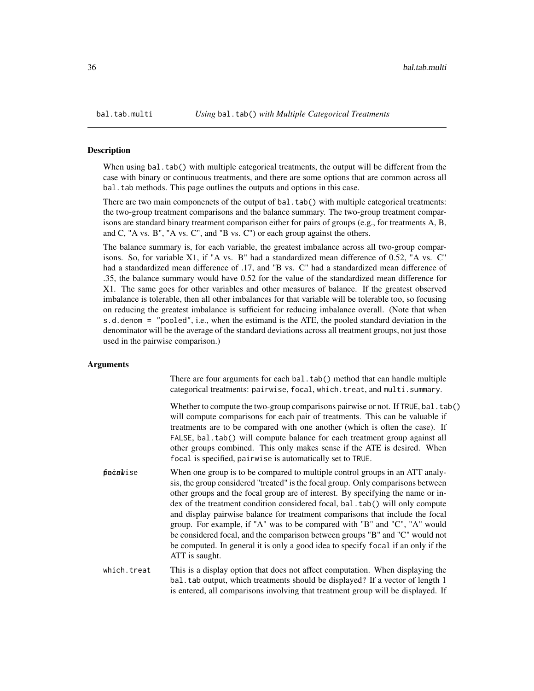<span id="page-35-1"></span><span id="page-35-0"></span>

#### **Description**

When using bal.tab() with multiple categorical treatments, the output will be different from the case with binary or continuous treatments, and there are some options that are common across all bal.tab methods. This page outlines the outputs and options in this case.

There are two main componenets of the output of bal.tab() with multiple categorical treatments: the two-group treatment comparisons and the balance summary. The two-group treatment comparisons are standard binary treatment comparison either for pairs of groups (e.g., for treatments A, B, and C, "A vs. B", "A vs. C", and "B vs. C") or each group against the others.

The balance summary is, for each variable, the greatest imbalance across all two-group comparisons. So, for variable X1, if "A vs. B" had a standardized mean difference of 0.52, "A vs. C" had a standardized mean difference of .17, and "B vs. C" had a standardized mean difference of .35, the balance summary would have 0.52 for the value of the standardized mean difference for X1. The same goes for other variables and other measures of balance. If the greatest observed imbalance is tolerable, then all other imbalances for that variable will be tolerable too, so focusing on reducing the greatest imbalance is sufficient for reducing imbalance overall. (Note that when s.d.denom = "pooled", i.e., when the estimand is the ATE, the pooled standard deviation in the denominator will be the average of the standard deviations across all treatment groups, not just those used in the pairwise comparison.)

#### Arguments

There are four arguments for each bal.tab() method that can handle multiple categorical treatments: pairwise, focal, which.treat, and multi.summary.

Whether to compute the two-group comparisons pairwise or not. If TRUE, bal.tab() will compute comparisons for each pair of treatments. This can be valuable if treatments are to be compared with one another (which is often the case). If FALSE, bal.tab() will compute balance for each treatment group against all other groups combined. This only makes sense if the ATE is desired. When focal is specified, pairwise is automatically set to TRUE.

 $\beta$  be  $\dot{\alpha}$  is to be compared to multiple control groups in an ATT analysis, the group considered "treated" is the focal group. Only comparisons between other groups and the focal group are of interest. By specifying the name or index of the treatment condition considered focal, bal.tab() will only compute and display pairwise balance for treatment comparisons that include the focal group. For example, if "A" was to be compared with "B" and "C", "A" would be considered focal, and the comparison between groups "B" and "C" would not be computed. In general it is only a good idea to specify focal if an only if the ATT is saught.

which.treat This is a display option that does not affect computation. When displaying the bal.tab output, which treatments should be displayed? If a vector of length 1 is entered, all comparisons involving that treatment group will be displayed. If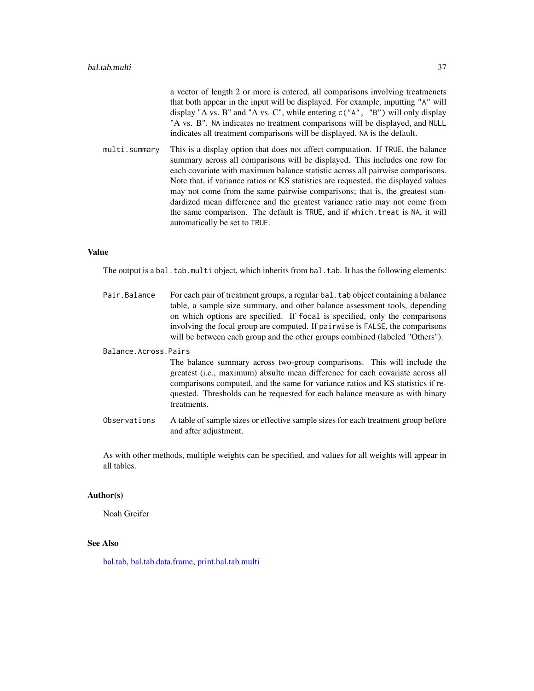<span id="page-36-0"></span>

|               | a vector of length 2 or more is entered, all comparisons involving treatmenets<br>that both appear in the input will be displayed. For example, inputting "A" will<br>display "A vs. B" and "A vs. C", while entering $c("A", "B")$ will only display<br>"A vs. B". NA indicates no treatment comparisons will be displayed, and NULL<br>indicates all treatment comparisons will be displayed. NA is the default.                                                                                                                                                                                                   |
|---------------|----------------------------------------------------------------------------------------------------------------------------------------------------------------------------------------------------------------------------------------------------------------------------------------------------------------------------------------------------------------------------------------------------------------------------------------------------------------------------------------------------------------------------------------------------------------------------------------------------------------------|
| multi.summary | This is a display option that does not affect computation. If TRUE, the balance<br>summary across all comparisons will be displayed. This includes one row for<br>each covariate with maximum balance statistic across all pairwise comparisons.<br>Note that, if variance ratios or KS statistics are requested, the displayed values<br>may not come from the same pairwise comparisons; that is, the greatest stan-<br>dardized mean difference and the greatest variance ratio may not come from<br>the same comparison. The default is TRUE, and if which treat is NA, it will<br>automatically be set to TRUE. |
|               |                                                                                                                                                                                                                                                                                                                                                                                                                                                                                                                                                                                                                      |

#### Value

The output is a bal.tab.multi object, which inherits from bal.tab. It has the following elements:

Pair. Balance For each pair of treatment groups, a regular bal. tab object containing a balance table, a sample size summary, and other balance assessment tools, depending on which options are specified. If focal is specified, only the comparisons involving the focal group are computed. If pairwise is FALSE, the comparisons will be between each group and the other groups combined (labeled "Others").

Balance.Across.Pairs

The balance summary across two-group comparisons. This will include the greatest (i.e., maximum) absulte mean difference for each covariate across all comparisons computed, and the same for variance ratios and KS statistics if requested. Thresholds can be requested for each balance measure as with binary treatments.

Observations A table of sample sizes or effective sample sizes for each treatment group before and after adjustment.

As with other methods, multiple weights can be specified, and values for all weights will appear in all tables.

#### Author(s)

Noah Greifer

## See Also

[bal.tab,](#page-4-1) [bal.tab.data.frame,](#page-13-1) [print.bal.tab.multi](#page-58-2)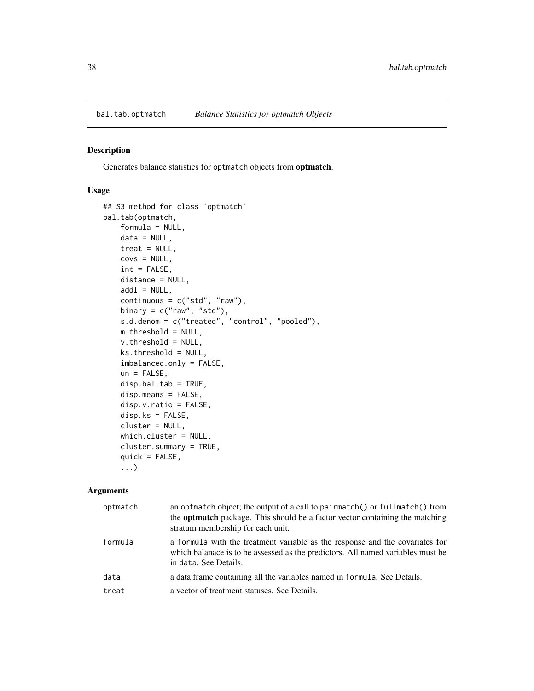<span id="page-37-1"></span><span id="page-37-0"></span>

## Description

Generates balance statistics for optmatch objects from optmatch.

## Usage

```
## S3 method for class 'optmatch'
bal.tab(optmatch,
   formula = NULL,
   data = NULL,treat = NULL,covs = NULL,int = FALSE,distance = NULL,
    add1 = NULL,continuous = c("std", "raw"),binary = c("raw", "std"),s.d.denom = c("treated", "control", "pooled"),
   m.threshold = NULL,
   v.threshold = NULL,
   ks.threshold = NULL,
    imbalanced.only = FALSE,
    un = FALSE,disp.bal.tab = TRUE,
    disp.means = FALSE,
    disp.v.ratio = FALSE,
    disp.ks = FALSE,
    cluster = NULL,
   which.cluster = NULL,
    cluster.summary = TRUE,
    quick = FALSE,
    ...)
```
#### Arguments

| optmatch | an optmatch object; the output of a call to pairmatch() or fullmatch() from<br>the <b>optmatch</b> package. This should be a factor vector containing the matching<br>stratum membership for each unit. |
|----------|---------------------------------------------------------------------------------------------------------------------------------------------------------------------------------------------------------|
| formula  | a formula with the treatment variable as the response and the covariates for<br>which balanace is to be assessed as the predictors. All named variables must be<br>in data. See Details.                |
| data     | a data frame containing all the variables named in formula. See Details.                                                                                                                                |
| treat    | a vector of treatment statuses. See Details.                                                                                                                                                            |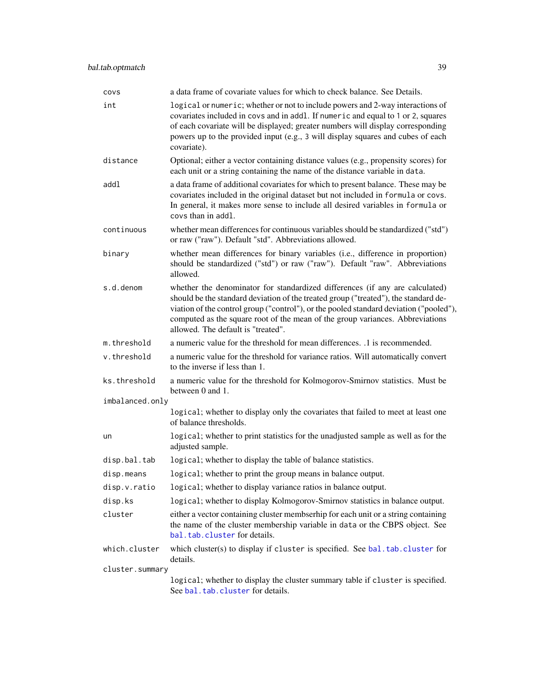<span id="page-38-0"></span>

| covs            | a data frame of covariate values for which to check balance. See Details.                                                                                                                                                                                                                                                                                                            |
|-----------------|--------------------------------------------------------------------------------------------------------------------------------------------------------------------------------------------------------------------------------------------------------------------------------------------------------------------------------------------------------------------------------------|
| int             | logical or numeric; whether or not to include powers and 2-way interactions of<br>covariates included in covs and in addl. If numeric and equal to 1 or 2, squares<br>of each covariate will be displayed; greater numbers will display corresponding<br>powers up to the provided input (e.g., 3 will display squares and cubes of each<br>covariate).                              |
| distance        | Optional; either a vector containing distance values (e.g., propensity scores) for<br>each unit or a string containing the name of the distance variable in data.                                                                                                                                                                                                                    |
| addl            | a data frame of additional covariates for which to present balance. These may be<br>covariates included in the original dataset but not included in formula or covs.<br>In general, it makes more sense to include all desired variables in formula or<br>covs than in addl.                                                                                                         |
| continuous      | whether mean differences for continuous variables should be standardized ("std")<br>or raw ("raw"). Default "std". Abbreviations allowed.                                                                                                                                                                                                                                            |
| binary          | whether mean differences for binary variables (i.e., difference in proportion)<br>should be standardized ("std") or raw ("raw"). Default "raw". Abbreviations<br>allowed.                                                                                                                                                                                                            |
| s.d.denom       | whether the denominator for standardized differences (if any are calculated)<br>should be the standard deviation of the treated group ("treated"), the standard de-<br>viation of the control group ("control"), or the pooled standard deviation ("pooled"),<br>computed as the square root of the mean of the group variances. Abbreviations<br>allowed. The default is "treated". |
| m.threshold     | a numeric value for the threshold for mean differences. .1 is recommended.                                                                                                                                                                                                                                                                                                           |
| v.threshold     | a numeric value for the threshold for variance ratios. Will automatically convert<br>to the inverse if less than 1.                                                                                                                                                                                                                                                                  |
| ks.threshold    | a numeric value for the threshold for Kolmogorov-Smirnov statistics. Must be<br>between 0 and 1.                                                                                                                                                                                                                                                                                     |
| imbalanced.only |                                                                                                                                                                                                                                                                                                                                                                                      |
|                 | logical; whether to display only the covariates that failed to meet at least one<br>of balance thresholds.                                                                                                                                                                                                                                                                           |
| un              | logical; whether to print statistics for the unadjusted sample as well as for the<br>adjusted sample.                                                                                                                                                                                                                                                                                |
| disp.bal.tab    | logical; whether to display the table of balance statistics.                                                                                                                                                                                                                                                                                                                         |
| disp.means      | logical; whether to print the group means in balance output.                                                                                                                                                                                                                                                                                                                         |
| disp.v.ratio    | logical; whether to display variance ratios in balance output.                                                                                                                                                                                                                                                                                                                       |
| disp.ks         | logical; whether to display Kolmogorov-Smirnov statistics in balance output.                                                                                                                                                                                                                                                                                                         |
| cluster         | either a vector containing cluster membserhip for each unit or a string containing<br>the name of the cluster membership variable in data or the CBPS object. See<br>bal.tab.cluster for details.                                                                                                                                                                                    |
| which.cluster   | which cluster(s) to display if cluster is specified. See bal.tab.cluster for<br>details.                                                                                                                                                                                                                                                                                             |
| cluster.summary |                                                                                                                                                                                                                                                                                                                                                                                      |
|                 | logical; whether to display the cluster summary table if cluster is specified.<br>See bal.tab.cluster for details.                                                                                                                                                                                                                                                                   |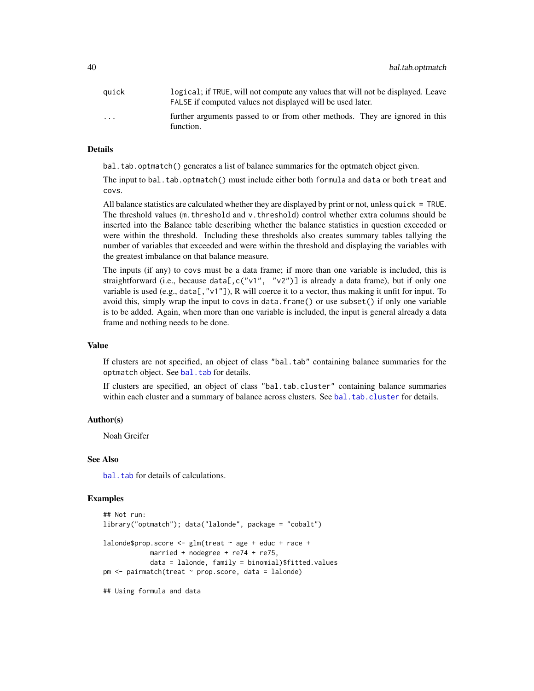<span id="page-39-0"></span>

| auick                   | logical; if TRUE, will not compute any values that will not be displayed. Leave          |
|-------------------------|------------------------------------------------------------------------------------------|
|                         | FALSE if computed values not displayed will be used later.                               |
| $\cdot$ $\cdot$ $\cdot$ | further arguments passed to or from other methods. They are ignored in this<br>function. |

#### Details

bal.tab.optmatch() generates a list of balance summaries for the optmatch object given.

The input to bal.tab.optmatch() must include either both formula and data or both treat and covs.

All balance statistics are calculated whether they are displayed by print or not, unless quick = TRUE. The threshold values (m.threshold and v.threshold) control whether extra columns should be inserted into the Balance table describing whether the balance statistics in question exceeded or were within the threshold. Including these thresholds also creates summary tables tallying the number of variables that exceeded and were within the threshold and displaying the variables with the greatest imbalance on that balance measure.

The inputs (if any) to covs must be a data frame; if more than one variable is included, this is straightforward (i.e., because data[,c("v1", "v2")] is already a data frame), but if only one variable is used (e.g., data[, "v1"]), R will coerce it to a vector, thus making it unfit for input. To avoid this, simply wrap the input to covs in data.frame() or use subset() if only one variable is to be added. Again, when more than one variable is included, the input is general already a data frame and nothing needs to be done.

#### Value

If clusters are not specified, an object of class "bal.tab" containing balance summaries for the optmatch object. See [bal.tab](#page-4-1) for details.

If clusters are specified, an object of class "bal.tab.cluster" containing balance summaries within each cluster and a summary of balance across clusters. See [bal.tab.cluster](#page-12-1) for details.

## Author(s)

Noah Greifer

#### See Also

bal. tab for details of calculations.

#### Examples

```
## Not run:
library("optmatch"); data("lalonde", package = "cobalt")
laboro = \text{score} <- glm(treat \sim age + educ + race +married + nodegree + re74 + re75,
            data = lalonde, family = binomial)$fitted.values
pm <- pairmatch(treat ~ prop.score, data = lalonde)
## Using formula and data
```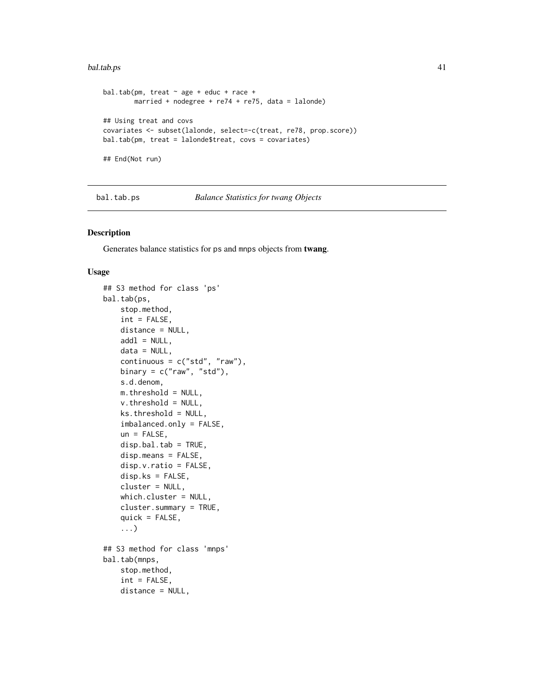#### <span id="page-40-0"></span>bal.tab.ps 41

```
bal.tab(pm, treat \sim age + educ + race +
        married + nodegree + re74 + re75, data = lalonde)
## Using treat and covs
covariates <- subset(lalonde, select=-c(treat, re78, prop.score))
bal.tab(pm, treat = lalonde$treat, covs = covariates)
## End(Not run)
```
#### <span id="page-40-1"></span>bal.tab.ps *Balance Statistics for twang Objects*

#### <span id="page-40-2"></span>Description

Generates balance statistics for ps and mnps objects from twang.

#### Usage

```
## S3 method for class 'ps'
bal.tab(ps,
   stop.method,
    int = FALSE,distance = NULL,
   add1 = NULL,data = NULL,
   continuous = c("std", "raw"),
   binary = c("raw", "std"),
    s.d.denom,
   m.threshold = NULL,
   v. threshold = NULL,
   ks.threshold = NULL,
    imbalanced.only = FALSE,
    un = FALSE,disp.bal.tab = TRUE,
    disp.means = FALSE,
    disp.v.ratio = FALSE,
    disp.ks = FALSE,cluster = NULL,
    which.cluster = NULL,
    cluster.summary = TRUE,
    quick = FALSE,...)
## S3 method for class 'mnps'
bal.tab(mnps,
    stop.method,
    int = FALSE,
   distance = NULL,
```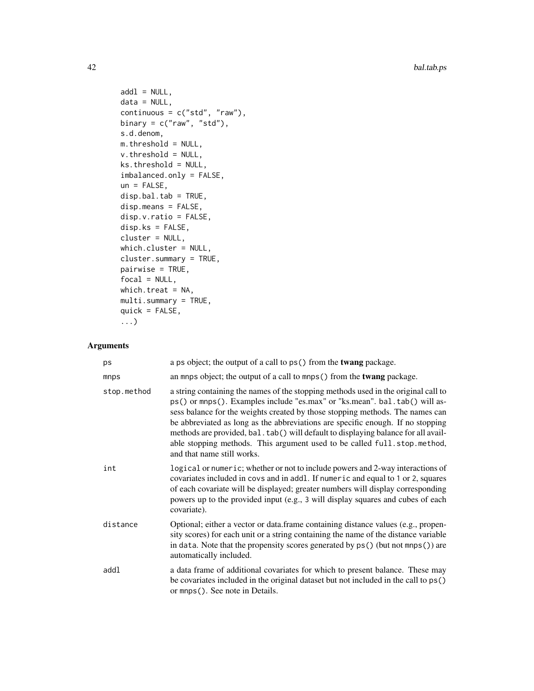```
add1 = NULL,data = NULL,continuous = c("std", "raw"),
binary = c("raw", "std"),s.d.denom,
m.threshold = NULL,
v.threshold = NULL,
ks.threshold = NULL,
imbalanced.only = FALSE,
un = FALSE,disp.bal.tab = TRUE,
disp.means = FALSE,
disp.v.ratio = FALSE,
disp.ks = FALSE,cluster = NULL,
which.cluster = NULL,
cluster.summary = TRUE,
pairwise = TRUE,
focal = NULL,which.treat = NA,
multi.summary = TRUE,
quick = FALSE,...)
```
## Arguments

| ps          | a ps object; the output of a call to ps() from the <b>twang</b> package.                                                                                                                                                                                                                                                                                                                                                                                                                                                            |
|-------------|-------------------------------------------------------------------------------------------------------------------------------------------------------------------------------------------------------------------------------------------------------------------------------------------------------------------------------------------------------------------------------------------------------------------------------------------------------------------------------------------------------------------------------------|
| mnps        | an mnps object; the output of a call to mnps() from the <b>twang</b> package.                                                                                                                                                                                                                                                                                                                                                                                                                                                       |
| stop.method | a string containing the names of the stopping methods used in the original call to<br>ps() or mnps(). Examples include "es.max" or "ks.mean". bal.tab() will as-<br>sess balance for the weights created by those stopping methods. The names can<br>be abbreviated as long as the abbreviations are specific enough. If no stopping<br>methods are provided, bal.tab() will default to displaying balance for all avail-<br>able stopping methods. This argument used to be called full.stop.method,<br>and that name still works. |
| int         | logical or numeric; whether or not to include powers and 2-way interactions of<br>covariates included in covs and in addl. If numeric and equal to 1 or 2, squares<br>of each covariate will be displayed; greater numbers will display corresponding<br>powers up to the provided input (e.g., 3 will display squares and cubes of each<br>covariate).                                                                                                                                                                             |
| distance    | Optional; either a vector or data.frame containing distance values (e.g., propen-<br>sity scores) for each unit or a string containing the name of the distance variable<br>in data. Note that the propensity scores generated by ps() (but not mnps()) are<br>automatically included.                                                                                                                                                                                                                                              |
| addl        | a data frame of additional covariates for which to present balance. These may<br>be covariates included in the original dataset but not included in the call to ps()<br>or mnps (). See note in Details.                                                                                                                                                                                                                                                                                                                            |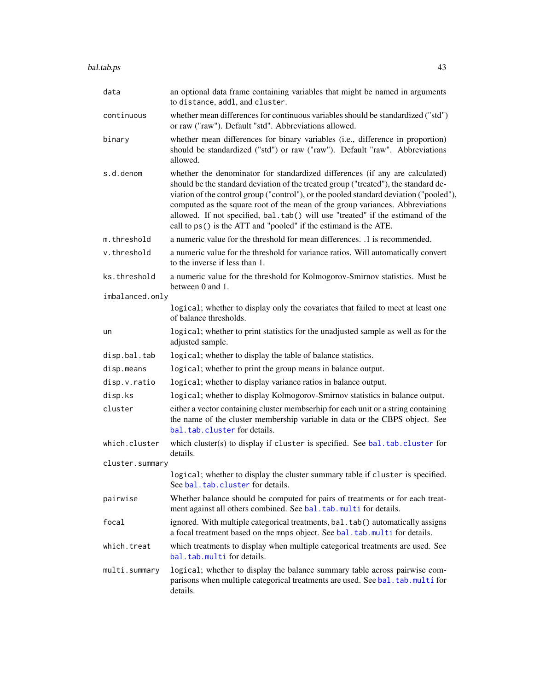<span id="page-42-0"></span>

| data            | an optional data frame containing variables that might be named in arguments<br>to distance, addl, and cluster.                                                                                                                                                                                                                                                                                                                                                                                      |
|-----------------|------------------------------------------------------------------------------------------------------------------------------------------------------------------------------------------------------------------------------------------------------------------------------------------------------------------------------------------------------------------------------------------------------------------------------------------------------------------------------------------------------|
| continuous      | whether mean differences for continuous variables should be standardized ("std")<br>or raw ("raw"). Default "std". Abbreviations allowed.                                                                                                                                                                                                                                                                                                                                                            |
| binary          | whether mean differences for binary variables (i.e., difference in proportion)<br>should be standardized ("std") or raw ("raw"). Default "raw". Abbreviations<br>allowed.                                                                                                                                                                                                                                                                                                                            |
| s.d.denom       | whether the denominator for standardized differences (if any are calculated)<br>should be the standard deviation of the treated group ("treated"), the standard de-<br>viation of the control group ("control"), or the pooled standard deviation ("pooled"),<br>computed as the square root of the mean of the group variances. Abbreviations<br>allowed. If not specified, bal.tab() will use "treated" if the estimand of the<br>call to ps() is the ATT and "pooled" if the estimand is the ATE. |
| m.threshold     | a numeric value for the threshold for mean differences. 1 is recommended.                                                                                                                                                                                                                                                                                                                                                                                                                            |
| v.threshold     | a numeric value for the threshold for variance ratios. Will automatically convert<br>to the inverse if less than 1.                                                                                                                                                                                                                                                                                                                                                                                  |
| ks.threshold    | a numeric value for the threshold for Kolmogorov-Smirnov statistics. Must be<br>between 0 and 1.                                                                                                                                                                                                                                                                                                                                                                                                     |
| imbalanced.only |                                                                                                                                                                                                                                                                                                                                                                                                                                                                                                      |
|                 | logical; whether to display only the covariates that failed to meet at least one<br>of balance thresholds.                                                                                                                                                                                                                                                                                                                                                                                           |
| un              | logical; whether to print statistics for the unadjusted sample as well as for the<br>adjusted sample.                                                                                                                                                                                                                                                                                                                                                                                                |
| disp.bal.tab    | logical; whether to display the table of balance statistics.                                                                                                                                                                                                                                                                                                                                                                                                                                         |
| disp.means      | logical; whether to print the group means in balance output.                                                                                                                                                                                                                                                                                                                                                                                                                                         |
| disp.v.ratio    | logical; whether to display variance ratios in balance output.                                                                                                                                                                                                                                                                                                                                                                                                                                       |
| disp.ks         | logical; whether to display Kolmogorov-Smirnov statistics in balance output.                                                                                                                                                                                                                                                                                                                                                                                                                         |
| cluster         | either a vector containing cluster membserhip for each unit or a string containing<br>the name of the cluster membership variable in data or the CBPS object. See<br>bal.tab.cluster for details.                                                                                                                                                                                                                                                                                                    |
| which.cluster   | which cluster(s) to display if cluster is specified. See bal.tab.cluster for<br>details.                                                                                                                                                                                                                                                                                                                                                                                                             |
| cluster.summary |                                                                                                                                                                                                                                                                                                                                                                                                                                                                                                      |
|                 | logical; whether to display the cluster summary table if cluster is specified.<br>See bal. tab. cluster for details.                                                                                                                                                                                                                                                                                                                                                                                 |
| pairwise        | Whether balance should be computed for pairs of treatments or for each treat-<br>ment against all others combined. See bal.tab.multi for details.                                                                                                                                                                                                                                                                                                                                                    |
| focal           | ignored. With multiple categorical treatments, bal.tab() automatically assigns<br>a focal treatment based on the mnps object. See bal. tab. multi for details.                                                                                                                                                                                                                                                                                                                                       |
| which.treat     | which treatments to display when multiple categorical treatments are used. See<br>bal.tab.multifordetails.                                                                                                                                                                                                                                                                                                                                                                                           |
| multi.summary   | logical; whether to display the balance summary table across pairwise com-<br>parisons when multiple categorical treatments are used. See bal. tab.multi for<br>details.                                                                                                                                                                                                                                                                                                                             |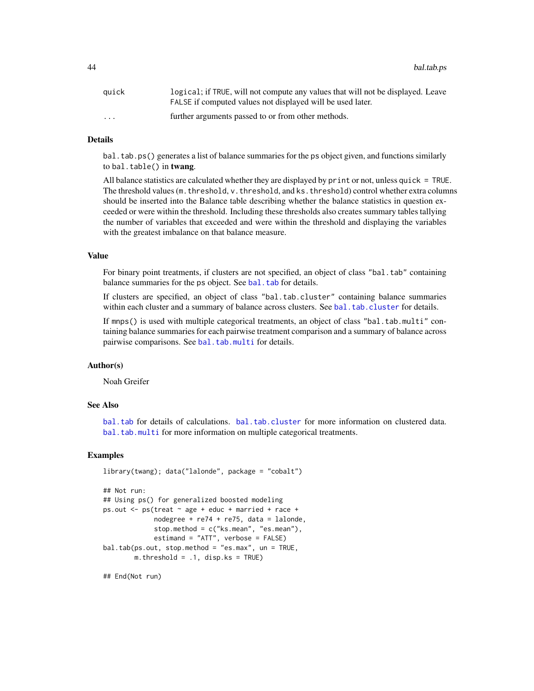<span id="page-43-0"></span>44 bal.tab.ps

| auick                   | logical; if TRUE, will not compute any values that will not be displayed. Leave<br>FALSE if computed values not displayed will be used later. |
|-------------------------|-----------------------------------------------------------------------------------------------------------------------------------------------|
| $\cdot$ $\cdot$ $\cdot$ | further arguments passed to or from other methods.                                                                                            |

## Details

bal.tab.ps() generates a list of balance summaries for the ps object given, and functions similarly to bal.table() in twang.

All balance statistics are calculated whether they are displayed by print or not, unless quick = TRUE. The threshold values (m. threshold, v. threshold, and ks. threshold) control whether extra columns should be inserted into the Balance table describing whether the balance statistics in question exceeded or were within the threshold. Including these thresholds also creates summary tables tallying the number of variables that exceeded and were within the threshold and displaying the variables with the greatest imbalance on that balance measure.

#### Value

For binary point treatments, if clusters are not specified, an object of class "bal.tab" containing balance summaries for the ps object. See [bal.tab](#page-4-1) for details.

If clusters are specified, an object of class "bal.tab.cluster" containing balance summaries within each cluster and a summary of balance across clusters. See [bal.tab.cluster](#page-12-1) for details.

If mnps() is used with multiple categorical treatments, an object of class "bal.tab.multi" containing balance summaries for each pairwise treatment comparison and a summary of balance across pairwise comparisons. See [bal.tab.multi](#page-35-1) for details.

## Author(s)

Noah Greifer

#### See Also

[bal.tab](#page-4-1) for details of calculations. [bal.tab.cluster](#page-12-1) for more information on clustered data. [bal.tab.multi](#page-35-1) for more information on multiple categorical treatments.

#### Examples

```
library(twang); data("lalonde", package = "cobalt")
## Not run:
## Using ps() for generalized boosted modeling
ps.out \leq ps(treat \sim age + educ + married + race +
             nodegree + re74 + re75, data = lalonde,
             stop.method = c("ks.mean", "es.mean"),
             estimand = "ATT", verbose = FALSE)
bal.tab(ps.out, stop.method = "es.max", un = TRUE,
        m.threshold = .1, disp.ks = TRUE)
```
## End(Not run)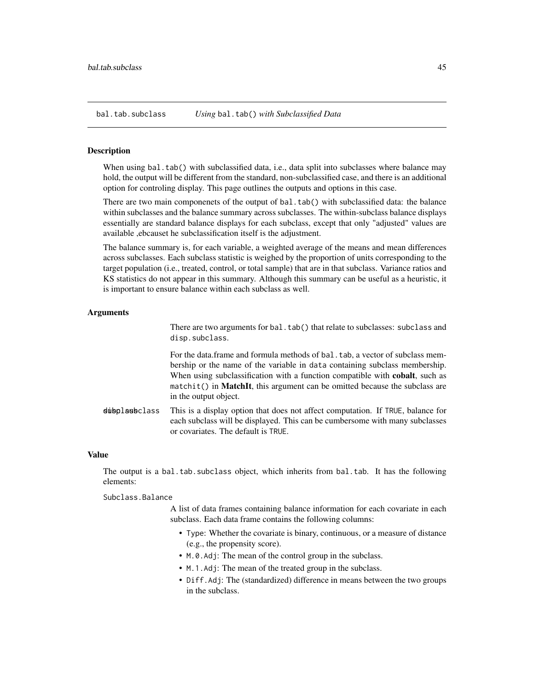<span id="page-44-1"></span><span id="page-44-0"></span>

#### Description

When using bal.tab() with subclassified data, i.e., data split into subclasses where balance may hold, the output will be different from the standard, non-subclassified case, and there is an additional option for controling display. This page outlines the outputs and options in this case.

There are two main componenets of the output of bal.tab() with subclassified data: the balance within subclasses and the balance summary across subclasses. The within-subclass balance displays essentially are standard balance displays for each subclass, except that only "adjusted" values are available ,ebcauset he subclassification itself is the adjustment.

The balance summary is, for each variable, a weighted average of the means and mean differences across subclasses. Each subclass statistic is weighed by the proportion of units corresponding to the target population (i.e., treated, control, or total sample) that are in that subclass. Variance ratios and KS statistics do not appear in this summary. Although this summary can be useful as a heuristic, it is important to ensure balance within each subclass as well.

#### Arguments

There are two arguments for bal.tab() that relate to subclasses: subclass and disp.subclass.

For the data.frame and formula methods of bal.tab, a vector of subclass membership or the name of the variable in data containing subclass membership. When using subclassification with a function compatible with **cobalt**, such as  $matchit()$  in **MatchIt**, this argument can be omitted because the subclass are in the output object.

dubplasbclass This is a display option that does not affect computation. If TRUE, balance for each subclass will be displayed. This can be cumbersome with many subclasses or covariates. The default is TRUE.

#### Value

The output is a bal.tab.subclass object, which inherits from bal.tab. It has the following elements:

#### Subclass.Balance

A list of data frames containing balance information for each covariate in each subclass. Each data frame contains the following columns:

- Type: Whether the covariate is binary, continuous, or a measure of distance (e.g., the propensity score).
- M.0.Adj: The mean of the control group in the subclass.
- M.1.Adj: The mean of the treated group in the subclass.
- Diff.Adj: The (standardized) difference in means between the two groups in the subclass.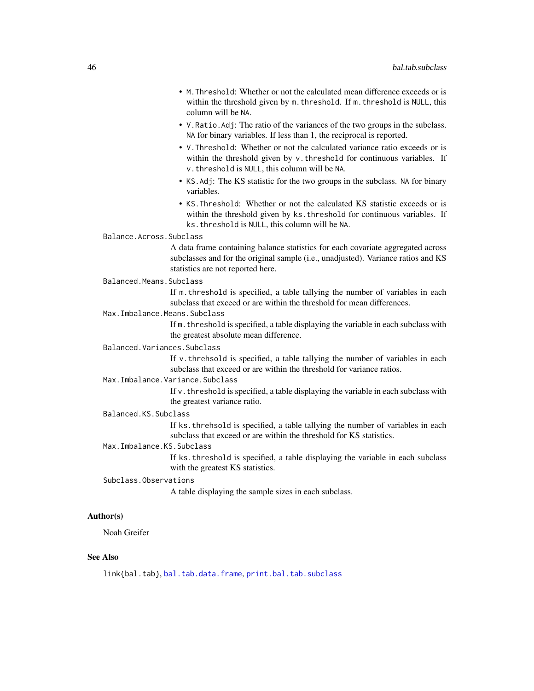- <span id="page-45-0"></span>• M.Threshold: Whether or not the calculated mean difference exceeds or is within the threshold given by m. threshold. If m. threshold is NULL, this column will be NA.
- V.Ratio.Adj: The ratio of the variances of the two groups in the subclass. NA for binary variables. If less than 1, the reciprocal is reported.
- V.Threshold: Whether or not the calculated variance ratio exceeds or is within the threshold given by v. threshold for continuous variables. If v.threshold is NULL, this column will be NA.
- KS.Adj: The KS statistic for the two groups in the subclass. NA for binary variables.
- KS.Threshold: Whether or not the calculated KS statistic exceeds or is within the threshold given by ks.threshold for continuous variables. If ks.threshold is NULL, this column will be NA.
- Balance.Across.Subclass

A data frame containing balance statistics for each covariate aggregated across subclasses and for the original sample (i.e., unadjusted). Variance ratios and KS statistics are not reported here.

Balanced.Means.Subclass

If m.threshold is specified, a table tallying the number of variables in each subclass that exceed or are within the threshold for mean differences.

Max.Imbalance.Means.Subclass

If m.threshold is specified, a table displaying the variable in each subclass with the greatest absolute mean difference.

Balanced.Variances.Subclass

If v.threhsold is specified, a table tallying the number of variables in each subclass that exceed or are within the threshold for variance ratios.

#### Max.Imbalance.Variance.Subclass

If  $v$ , threshold is specified, a table displaying the variable in each subclass with the greatest variance ratio.

#### Balanced.KS.Subclass

If ks.threhsold is specified, a table tallying the number of variables in each subclass that exceed or are within the threshold for KS statistics.

## Max.Imbalance.KS.Subclass

If ks.threshold is specified, a table displaying the variable in each subclass with the greatest KS statistics.

#### Subclass.Observations

A table displaying the sample sizes in each subclass.

#### Author(s)

Noah Greifer

#### See Also

link{bal.tab}, [bal.tab.data.frame](#page-13-1), [print.bal.tab.subclass](#page-58-2)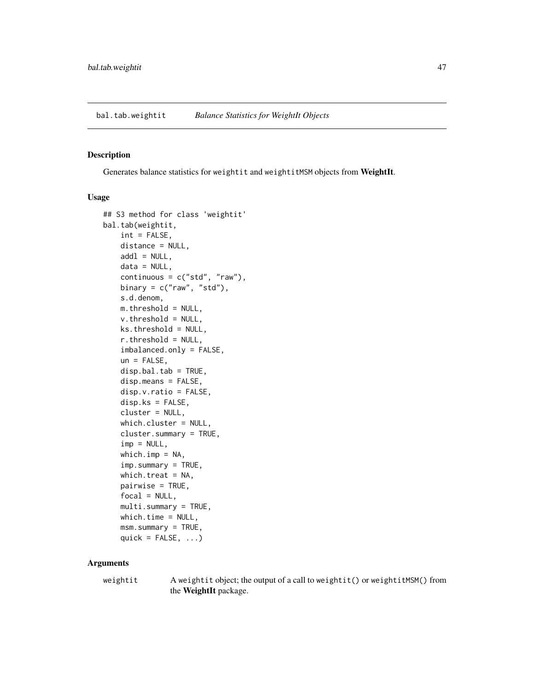<span id="page-46-1"></span><span id="page-46-0"></span>bal.tab.weightit *Balance Statistics for WeightIt Objects*

#### Description

Generates balance statistics for weightit and weightitMSM objects from WeightIt.

#### Usage

```
## S3 method for class 'weightit'
bal.tab(weightit,
    int = FALSE,
    distance = NULL,
   add1 = NULL,data = NULL,continuous = c("std", "raw"),binary = c("raw", "std"),s.d.denom,
   m.threshold = NULL,
    v.threshold = NULL,
    ks.threshold = NULL,
    r.threshold = NULL,
    imbalanced.only = FALSE,
    un = FALSE,disp.bal.tab = TRUE,disp.means = FALSE,
    disp.v.ratio = FALSE,
    disp.ks = FALSE,
    cluster = NULL,
    which.cluster = NULL,
    cluster.summary = TRUE,
    imp = NULL,which.imp = NA,
    imp.summary = TRUE,
   which.treat = NA,
    pairwise = TRUE,
    focal = NULL,multi.summary = TRUE,
   which.time = NULL,
    msm.summary = TRUE,
    quick = FALSE, \ldots)
```
#### Arguments

weightit A weightit object; the output of a call to weightit() or weightitMSM() from the WeightIt package.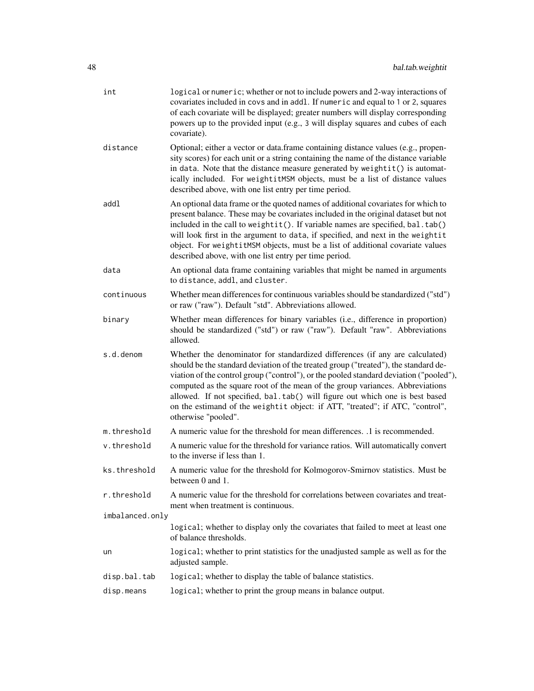| int             | logical or numeric; whether or not to include powers and 2-way interactions of<br>covariates included in covs and in addl. If numeric and equal to 1 or 2, squares                                                                                                                                                                                                                                                                                                                                                                     |
|-----------------|----------------------------------------------------------------------------------------------------------------------------------------------------------------------------------------------------------------------------------------------------------------------------------------------------------------------------------------------------------------------------------------------------------------------------------------------------------------------------------------------------------------------------------------|
|                 | of each covariate will be displayed; greater numbers will display corresponding<br>powers up to the provided input (e.g., 3 will display squares and cubes of each<br>covariate).                                                                                                                                                                                                                                                                                                                                                      |
| distance        | Optional; either a vector or data.frame containing distance values (e.g., propen-<br>sity scores) for each unit or a string containing the name of the distance variable<br>in data. Note that the distance measure generated by weightit() is automat-<br>ically included. For weightitMSM objects, must be a list of distance values<br>described above, with one list entry per time period.                                                                                                                                        |
| addl            | An optional data frame or the quoted names of additional covariates for which to<br>present balance. These may be covariates included in the original dataset but not<br>included in the call to weightit(). If variable names are specified, bal.tab()<br>will look first in the argument to data, if specified, and next in the weightit<br>object. For weightitMSM objects, must be a list of additional covariate values<br>described above, with one list entry per time period.                                                  |
| data            | An optional data frame containing variables that might be named in arguments<br>to distance, addl, and cluster.                                                                                                                                                                                                                                                                                                                                                                                                                        |
| continuous      | Whether mean differences for continuous variables should be standardized ("std")<br>or raw ("raw"). Default "std". Abbreviations allowed.                                                                                                                                                                                                                                                                                                                                                                                              |
| binary          | Whether mean differences for binary variables (i.e., difference in proportion)<br>should be standardized ("std") or raw ("raw"). Default "raw". Abbreviations<br>allowed.                                                                                                                                                                                                                                                                                                                                                              |
| s.d.denom       | Whether the denominator for standardized differences (if any are calculated)<br>should be the standard deviation of the treated group ("treated"), the standard de-<br>viation of the control group ("control"), or the pooled standard deviation ("pooled"),<br>computed as the square root of the mean of the group variances. Abbreviations<br>allowed. If not specified, bal.tab() will figure out which one is best based<br>on the estimand of the weightit object: if ATT, "treated"; if ATC, "control",<br>otherwise "pooled". |
| m.threshold     | A numeric value for the threshold for mean differences. .1 is recommended.                                                                                                                                                                                                                                                                                                                                                                                                                                                             |
| v.threshold     | A numeric value for the threshold for variance ratios. Will automatically convert<br>to the inverse if less than 1.                                                                                                                                                                                                                                                                                                                                                                                                                    |
| ks.threshold    | A numeric value for the threshold for Kolmogorov-Smirnov statistics. Must be<br>between 0 and 1.                                                                                                                                                                                                                                                                                                                                                                                                                                       |
| r.threshold     | A numeric value for the threshold for correlations between covariates and treat-<br>ment when treatment is continuous.                                                                                                                                                                                                                                                                                                                                                                                                                 |
| imbalanced.only |                                                                                                                                                                                                                                                                                                                                                                                                                                                                                                                                        |
|                 | logical; whether to display only the covariates that failed to meet at least one<br>of balance thresholds.                                                                                                                                                                                                                                                                                                                                                                                                                             |
| un              | logical; whether to print statistics for the unadjusted sample as well as for the<br>adjusted sample.                                                                                                                                                                                                                                                                                                                                                                                                                                  |
| disp.bal.tab    | logical; whether to display the table of balance statistics.                                                                                                                                                                                                                                                                                                                                                                                                                                                                           |
| disp.means      | logical; whether to print the group means in balance output.                                                                                                                                                                                                                                                                                                                                                                                                                                                                           |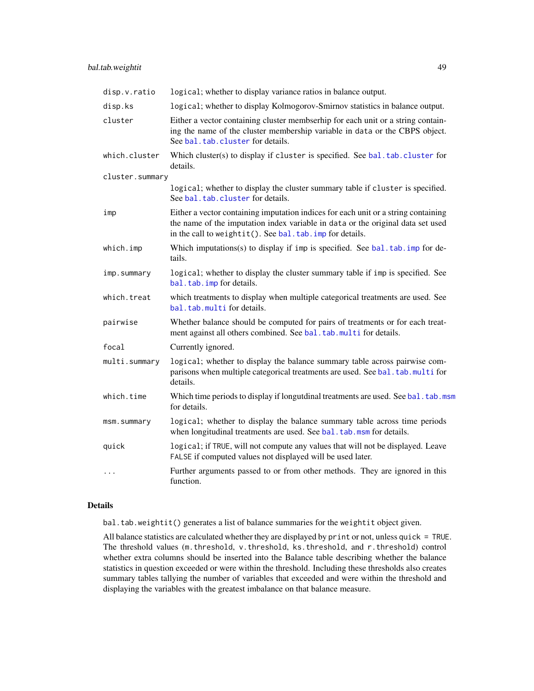<span id="page-48-0"></span>

| disp.v.ratio    | logical; whether to display variance ratios in balance output.                                                                                                                                                                     |
|-----------------|------------------------------------------------------------------------------------------------------------------------------------------------------------------------------------------------------------------------------------|
| disp.ks         | logical; whether to display Kolmogorov-Smirnov statistics in balance output.                                                                                                                                                       |
| cluster         | Either a vector containing cluster membserhip for each unit or a string contain-<br>ing the name of the cluster membership variable in data or the CBPS object.<br>See bal.tab.cluster for details.                                |
| which.cluster   | Which cluster(s) to display if cluster is specified. See bal. tab. cluster for<br>details.                                                                                                                                         |
| cluster.summary |                                                                                                                                                                                                                                    |
|                 | logical; whether to display the cluster summary table if cluster is specified.<br>See bal.tab.cluster for details.                                                                                                                 |
| imp             | Either a vector containing imputation indices for each unit or a string containing<br>the name of the imputation index variable in data or the original data set used<br>in the call to weightit(). See bal. tab. imp for details. |
| which.imp       | Which imputations(s) to display if imp is specified. See bal.tab.imp for de-<br>tails.                                                                                                                                             |
| imp.summary     | logical; whether to display the cluster summary table if imp is specified. See<br>bal.tab.imp for details.                                                                                                                         |
| which.treat     | which treatments to display when multiple categorical treatments are used. See<br>bal.tab.multi for details.                                                                                                                       |
| pairwise        | Whether balance should be computed for pairs of treatments or for each treat-<br>ment against all others combined. See bal.tab.multi for details.                                                                                  |
| focal           | Currently ignored.                                                                                                                                                                                                                 |
| multi.summary   | logical; whether to display the balance summary table across pairwise com-<br>parisons when multiple categorical treatments are used. See bal. tab.multi for<br>details.                                                           |
| which.time      | Which time periods to display if longutdinal treatments are used. See bal. tab. msm<br>for details.                                                                                                                                |
| msm.summary     | logical; whether to display the balance summary table across time periods<br>when longitudinal treatments are used. See bal. tab. msm for details.                                                                                 |
| quick           | logical; if TRUE, will not compute any values that will not be displayed. Leave<br>FALSE if computed values not displayed will be used later.                                                                                      |
| $\cdots$        | Further arguments passed to or from other methods. They are ignored in this<br>function.                                                                                                                                           |

## Details

bal.tab.weightit() generates a list of balance summaries for the weightit object given.

All balance statistics are calculated whether they are displayed by print or not, unless quick = TRUE. The threshold values (m.threshold, v.threshold, ks.threshold, and r.threshold) control whether extra columns should be inserted into the Balance table describing whether the balance statistics in question exceeded or were within the threshold. Including these thresholds also creates summary tables tallying the number of variables that exceeded and were within the threshold and displaying the variables with the greatest imbalance on that balance measure.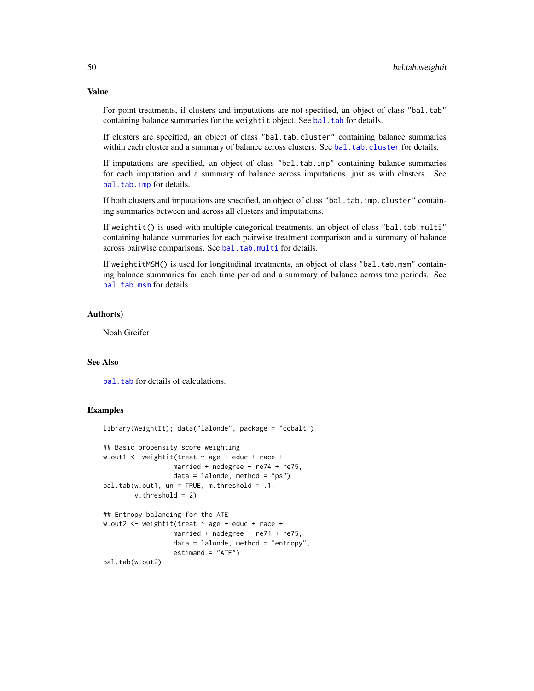For point treatments, if clusters and imputations are not specified, an object of class "bal.tab" containing balance summaries for the weightit object. See [bal.tab](#page-4-1) for details.

If clusters are specified, an object of class "bal.tab.cluster" containing balance summaries within each cluster and a summary of balance across clusters. See [bal.tab.cluster](#page-12-1) for details.

If imputations are specified, an object of class "bal.tab.imp" containing balance summaries for each imputation and a summary of balance across imputations, just as with clusters. See [bal.tab.imp](#page-23-1) for details.

If both clusters and imputations are specified, an object of class "bal.tab.imp.cluster" containing summaries between and across all clusters and imputations.

If weightit() is used with multiple categorical treatments, an object of class "bal.tab.multi" containing balance summaries for each pairwise treatment comparison and a summary of balance across pairwise comparisons. See [bal.tab.multi](#page-35-1) for details.

If weightitMSM() is used for longitudinal treatments, an object of class "bal.tab.msm" containing balance summaries for each time period and a summary of balance across tme periods. See [bal.tab.msm](#page-50-1) for details.

#### Author(s)

Noah Greifer

#### See Also

bal. tab for details of calculations.

#### Examples

```
library(WeightIt); data("lalonde", package = "cobalt")
## Basic propensity score weighting
w.out1 <- weightit(treat \sim age + educ + race +
                 married + nodegree + re74 + re75,
                 data = lalone, method = "ps")bal.tab(w.out1, un = TRUE, m.threshold = .1,v.threshold = 2)
## Entropy balancing for the ATE
w.out2 <- weightit(treat ~ age + educ + race +
                 married + nodegree + re74 + re75,
                  data = lalonde, method = "entropy",
                  estimand = "ATE")
bal.tab(w.out2)
```
## <span id="page-49-0"></span>Value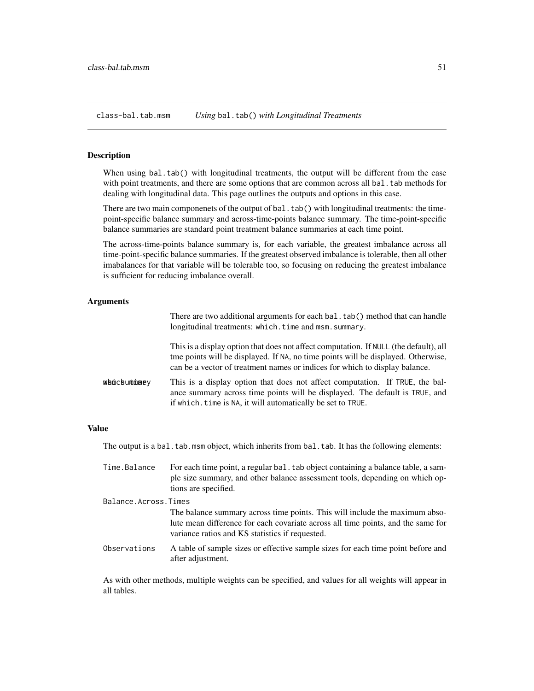<span id="page-50-0"></span>class-bal.tab.msm *Using* bal.tab() *with Longitudinal Treatments*

#### <span id="page-50-1"></span>Description

When using bal.tab() with longitudinal treatments, the output will be different from the case with point treatments, and there are some options that are common across all bal.tab methods for dealing with longitudinal data. This page outlines the outputs and options in this case.

There are two main componenets of the output of bal.tab() with longitudinal treatments: the timepoint-specific balance summary and across-time-points balance summary. The time-point-specific balance summaries are standard point treatment balance summaries at each time point.

The across-time-points balance summary is, for each variable, the greatest imbalance across all time-point-specific balance summaries. If the greatest observed imbalance is tolerable, then all other imabalances for that variable will be tolerable too, so focusing on reducing the greatest imbalance is sufficient for reducing imbalance overall.

#### Arguments

|                     | There are two additional arguments for each bal. tab() method that can handle<br>longitudinal treatments: which.time and msm.summary.                                                                                                                     |
|---------------------|-----------------------------------------------------------------------------------------------------------------------------------------------------------------------------------------------------------------------------------------------------------|
|                     | This is a display option that does not affect computation. If NULL (the default), all<br>tme points will be displayed. If NA, no time points will be displayed. Otherwise,<br>can be a vector of treatment names or indices for which to display balance. |
| w b mic buntminae v | This is a display option that does not affect computation. If TRUE, the bal-<br>ance summary across time points will be displayed. The default is TRUE, and<br>if which, time is NA, it will automatically be set to TRUE.                                |

## Value

The output is a bal.tab.msm object, which inherits from bal.tab. It has the following elements:

| Time.Balance         | For each time point, a regular bal. tab object containing a balance table, a sam-<br>ple size summary, and other balance assessment tools, depending on which op-<br>tions are specified.                          |
|----------------------|--------------------------------------------------------------------------------------------------------------------------------------------------------------------------------------------------------------------|
| Balance.Across.Times |                                                                                                                                                                                                                    |
|                      | The balance summary across time points. This will include the maximum abso-<br>lute mean difference for each covariate across all time points, and the same for<br>variance ratios and KS statistics if requested. |
| Observations         | A table of sample sizes or effective sample sizes for each time point before and<br>after adjustment.                                                                                                              |

As with other methods, multiple weights can be specified, and values for all weights will appear in all tables.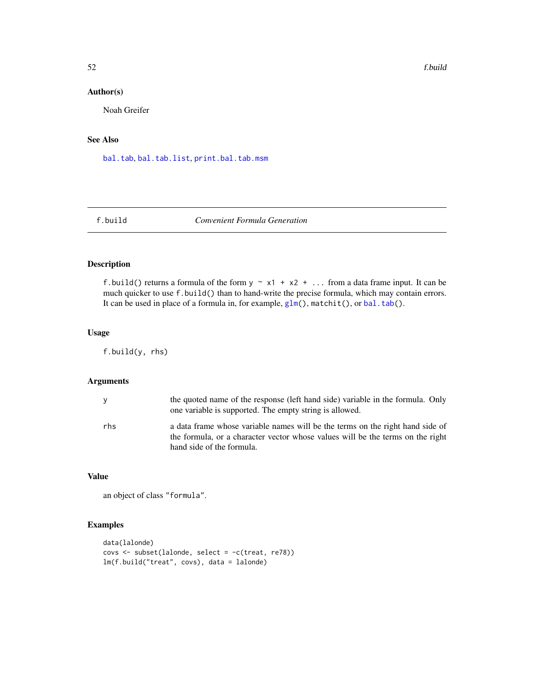## Author(s)

Noah Greifer

## See Also

[bal.tab](#page-4-1), [bal.tab.list](#page-24-1), [print.bal.tab.msm](#page-58-2)

f.build *Convenient Formula Generation*

## Description

f.build() returns a formula of the form  $y \sim x1 + x2 + ...$  from a data frame input. It can be much quicker to use f.build() than to hand-write the precise formula, which may contain errors. It can be used in place of a formula in, for example, [glm\(](#page-0-0)), matchit(), or [bal.tab\(](#page-4-1)).

## Usage

f.build(y, rhs)

## Arguments

|     | the quoted name of the response (left hand side) variable in the formula. Only<br>one variable is supported. The empty string is allowed.                                                    |
|-----|----------------------------------------------------------------------------------------------------------------------------------------------------------------------------------------------|
| rhs | a data frame whose variable names will be the terms on the right hand side of<br>the formula, or a character vector whose values will be the terms on the right<br>hand side of the formula. |

## Value

an object of class "formula".

## Examples

```
data(lalonde)
covs <- subset(lalonde, select = -c(treat, re78))
lm(f.build("treat", covs), data = lalonde)
```
<span id="page-51-0"></span>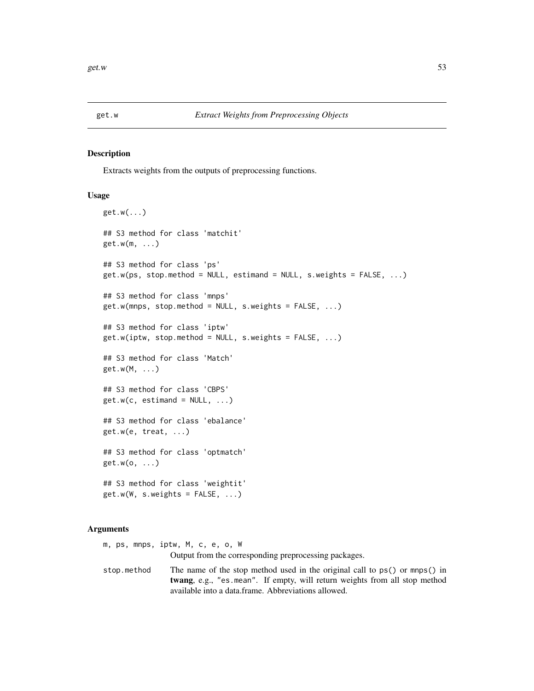<span id="page-52-0"></span>

#### Description

Extracts weights from the outputs of preprocessing functions.

#### Usage

```
get.w(...)
## S3 method for class 'matchit'
get.w(m, ...)
## S3 method for class 'ps'
get.w(ps, stop.method = NULL, estimand = NULL, s.weights = FALSE, ...)## S3 method for class 'mnps'
get.w(mnps, stop.method = NULL, s.weights = FALSE, ...)
## S3 method for class 'iptw'
get.w(jptw, stop.method = NULL, s.weights = FALSE, ...)## S3 method for class 'Match'
get.w(M, ...)
## S3 method for class 'CBPS'
get.w(c, estimate = NULL, ...)## S3 method for class 'ebalance'
get.w(e, treat, ...)
## S3 method for class 'optmatch'
get.w(o, ...)
## S3 method for class 'weightit'
get.w(W, s.weights = FALSE, ...)
```
#### Arguments

m, ps, mnps, iptw, M, c, e, o, W Output from the corresponding preprocessing packages. stop.method The name of the stop method used in the original call to ps() or mnps() in twang, e.g., "es.mean". If empty, will return weights from all stop method available into a data.frame. Abbreviations allowed.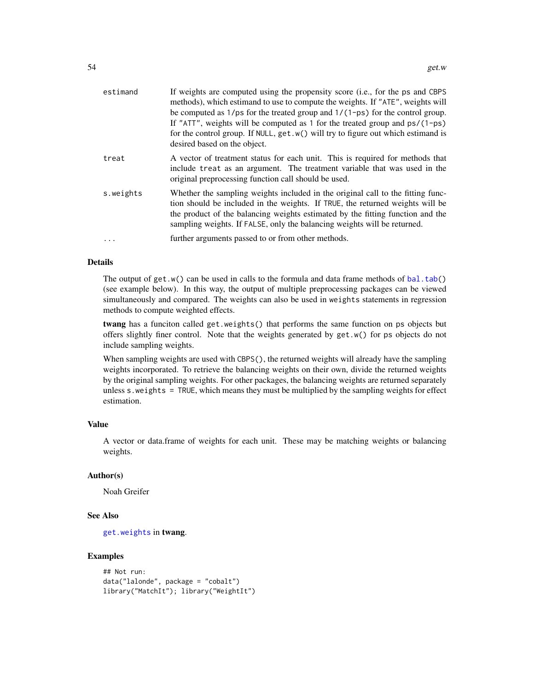<span id="page-53-0"></span>

| estimand  | If weights are computed using the propensity score (i.e., for the ps and CBPS<br>methods), which estimand to use to compute the weights. If "ATE", weights will<br>be computed as $1/ps$ for the treated group and $1/(1-ps)$ for the control group.<br>If "ATT", weights will be computed as 1 for the treated group and $ps/(1-ps)$<br>for the control group. If NULL, get. w() will try to figure out which estimand is<br>desired based on the object. |
|-----------|------------------------------------------------------------------------------------------------------------------------------------------------------------------------------------------------------------------------------------------------------------------------------------------------------------------------------------------------------------------------------------------------------------------------------------------------------------|
| treat     | A vector of treatment status for each unit. This is required for methods that<br>include treat as an argument. The treatment variable that was used in the<br>original preprocessing function call should be used.                                                                                                                                                                                                                                         |
| s.weights | Whether the sampling weights included in the original call to the fitting func-<br>tion should be included in the weights. If TRUE, the returned weights will be<br>the product of the balancing weights estimated by the fitting function and the<br>sampling weights. If FALSE, only the balancing weights will be returned.                                                                                                                             |
| .         | further arguments passed to or from other methods.                                                                                                                                                                                                                                                                                                                                                                                                         |

#### Details

The output of get.w() can be used in calls to the formula and data frame methods of [bal.tab\(](#page-4-1)) (see example below). In this way, the output of multiple preprocessing packages can be viewed simultaneously and compared. The weights can also be used in weights statements in regression methods to compute weighted effects.

twang has a funciton called get.weights() that performs the same function on ps objects but offers slightly finer control. Note that the weights generated by get.w() for ps objects do not include sampling weights.

When sampling weights are used with CBPS(), the returned weights will already have the sampling weights incorporated. To retrieve the balancing weights on their own, divide the returned weights by the original sampling weights. For other packages, the balancing weights are returned separately unless s.weights = TRUE, which means they must be multiplied by the sampling weights for effect estimation.

## Value

A vector or data.frame of weights for each unit. These may be matching weights or balancing weights.

## Author(s)

Noah Greifer

#### See Also

[get.weights](#page-0-0) in twang.

## Examples

```
## Not run:
data("lalonde", package = "cobalt")
library("MatchIt"); library("WeightIt")
```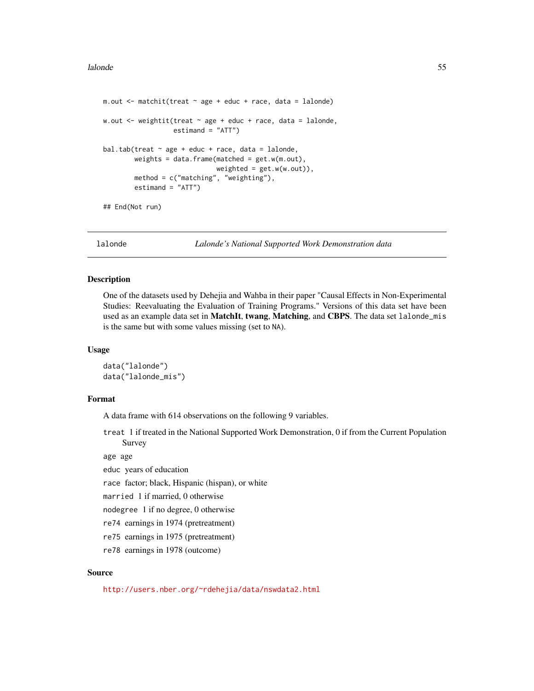#### <span id="page-54-0"></span>lalonde 55

```
m.out <- matchit(treat ~ age + educ + race, data = lalonde)
w.out \leq weightit(treat \sim age + educ + race, data = lalonde,
                  estimand = "ATT")
bal.tab(treat \sim age + educ + race, data = lalonde,
        weights = data.frame(matched = get.w(m.out),
                             weighted = get.w(w.out)),method = c("matching", "weighting"),
        estimand = "ATT")
## End(Not run)
```
lalonde *Lalonde's National Supported Work Demonstration data*

## Description

One of the datasets used by Dehejia and Wahba in their paper "Causal Effects in Non-Experimental Studies: Reevaluating the Evaluation of Training Programs." Versions of this data set have been used as an example data set in MatchIt, twang, Matching, and CBPS. The data set lalonde\_mis is the same but with some values missing (set to NA).

#### Usage

```
data("lalonde")
data("lalonde_mis")
```
#### Format

A data frame with 614 observations on the following 9 variables.

treat 1 if treated in the National Supported Work Demonstration, 0 if from the Current Population Survey

age age

educ years of education

race factor; black, Hispanic (hispan), or white

married 1 if married, 0 otherwise

nodegree 1 if no degree, 0 otherwise

re74 earnings in 1974 (pretreatment)

re75 earnings in 1975 (pretreatment)

re78 earnings in 1978 (outcome)

#### Source

<http://users.nber.org/~rdehejia/data/nswdata2.html>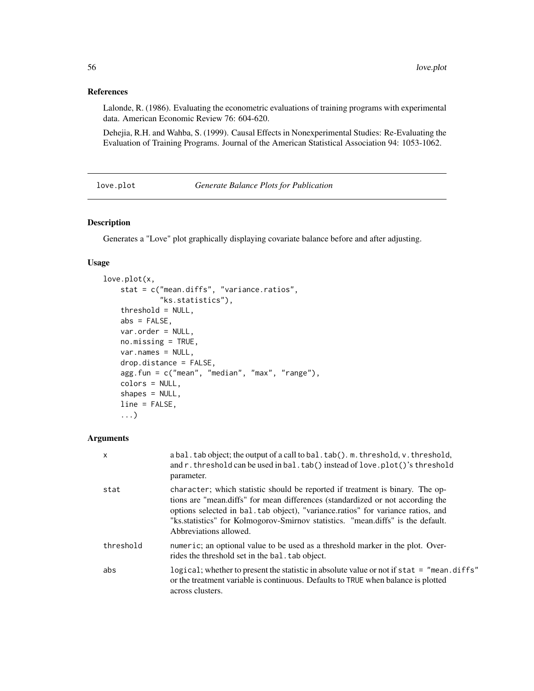## <span id="page-55-0"></span>References

Lalonde, R. (1986). Evaluating the econometric evaluations of training programs with experimental data. American Economic Review 76: 604-620.

Dehejia, R.H. and Wahba, S. (1999). Causal Effects in Nonexperimental Studies: Re-Evaluating the Evaluation of Training Programs. Journal of the American Statistical Association 94: 1053-1062.

love.plot *Generate Balance Plots for Publication*

## Description

Generates a "Love" plot graphically displaying covariate balance before and after adjusting.

#### Usage

```
love.plot(x,
    stat = c("mean.diffs", "variance.ratios",
             "ks.statistics"),
    threshold = NULL,
    abs = FALSE,var.order = NULL,
   no.missing = TRUE,
   var.names = NULL,
    drop.distance = FALSE,
    agg.fun = c("mean", "median", "max", "range"),
    colors = NULL,
    shapes = NULL,
    line = FALSE,
    ...)
```
## Arguments

| $\mathsf{x}$ | a bal. tab object; the output of a call to bal. tab(). m. threshold, v. threshold,<br>and r. threshold can be used in bal. tab() instead of love. plot()'s threshold<br>parameter.                                                                                                                                                                               |
|--------------|------------------------------------------------------------------------------------------------------------------------------------------------------------------------------------------------------------------------------------------------------------------------------------------------------------------------------------------------------------------|
| stat         | character; which statistic should be reported if treatment is binary. The op-<br>tions are "mean.diffs" for mean differences (standardized or not according the<br>options selected in bal. tab object), "variance ratios" for variance ratios, and<br>"ks.statistics" for Kolmogorov-Smirnov statistics. "mean.diffs" is the default.<br>Abbreviations allowed. |
| threshold    | numeric; an optional value to be used as a threshold marker in the plot. Over-<br>rides the threshold set in the bal. tab object.                                                                                                                                                                                                                                |
| abs          | logical; whether to present the statistic in absolute value or not if stat = "mean.diffs"<br>or the treatment variable is continuous. Defaults to TRUE when balance is plotted<br>across clusters.                                                                                                                                                               |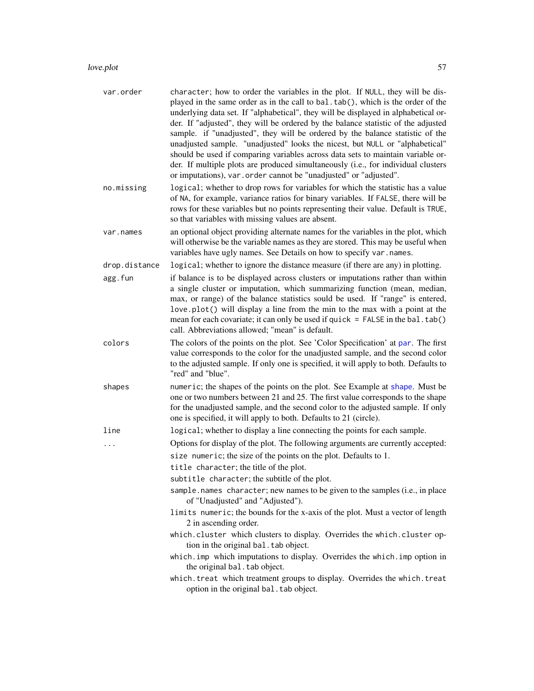#### <span id="page-56-0"></span>love.plot 57

| var.order     | character; how to order the variables in the plot. If NULL, they will be dis-<br>played in the same order as in the call to bal.tab(), which is the order of the<br>underlying data set. If "alphabetical", they will be displayed in alphabetical or-<br>der. If "adjusted", they will be ordered by the balance statistic of the adjusted<br>sample. if "unadjusted", they will be ordered by the balance statistic of the<br>unadjusted sample. "unadjusted" looks the nicest, but NULL or "alphabetical"<br>should be used if comparing variables across data sets to maintain variable or-<br>der. If multiple plots are produced simultaneously (i.e., for individual clusters<br>or imputations), var.order cannot be "unadjusted" or "adjusted". |
|---------------|----------------------------------------------------------------------------------------------------------------------------------------------------------------------------------------------------------------------------------------------------------------------------------------------------------------------------------------------------------------------------------------------------------------------------------------------------------------------------------------------------------------------------------------------------------------------------------------------------------------------------------------------------------------------------------------------------------------------------------------------------------|
| no.missing    | logical; whether to drop rows for variables for which the statistic has a value<br>of NA, for example, variance ratios for binary variables. If FALSE, there will be<br>rows for these variables but no points representing their value. Default is TRUE,<br>so that variables with missing values are absent.                                                                                                                                                                                                                                                                                                                                                                                                                                           |
| var.names     | an optional object providing alternate names for the variables in the plot, which<br>will otherwise be the variable names as they are stored. This may be useful when<br>variables have ugly names. See Details on how to specify var.names.                                                                                                                                                                                                                                                                                                                                                                                                                                                                                                             |
| drop.distance | logical; whether to ignore the distance measure (if there are any) in plotting.                                                                                                                                                                                                                                                                                                                                                                                                                                                                                                                                                                                                                                                                          |
| agg.fun       | if balance is to be displayed across clusters or imputations rather than within<br>a single cluster or imputation, which summarizing function (mean, median,<br>max, or range) of the balance statistics sould be used. If "range" is entered,<br>love.plot() will display a line from the min to the max with a point at the<br>mean for each covariate; it can only be used if quick $=$ FALSE in the bal. tab()<br>call. Abbreviations allowed; "mean" is default.                                                                                                                                                                                                                                                                                    |
| colors        | The colors of the points on the plot. See 'Color Specification' at par. The first<br>value corresponds to the color for the unadjusted sample, and the second color<br>to the adjusted sample. If only one is specified, it will apply to both. Defaults to<br>"red" and "blue".                                                                                                                                                                                                                                                                                                                                                                                                                                                                         |
| shapes        | numeric; the shapes of the points on the plot. See Example at shape. Must be<br>one or two numbers between 21 and 25. The first value corresponds to the shape<br>for the unadjusted sample, and the second color to the adjusted sample. If only<br>one is specified, it will apply to both. Defaults to 21 (circle).                                                                                                                                                                                                                                                                                                                                                                                                                                   |
| line          | logical; whether to display a line connecting the points for each sample.                                                                                                                                                                                                                                                                                                                                                                                                                                                                                                                                                                                                                                                                                |
|               | Options for display of the plot. The following arguments are currently accepted:                                                                                                                                                                                                                                                                                                                                                                                                                                                                                                                                                                                                                                                                         |
|               | size numeric; the size of the points on the plot. Defaults to 1.                                                                                                                                                                                                                                                                                                                                                                                                                                                                                                                                                                                                                                                                                         |
|               | title character; the title of the plot.                                                                                                                                                                                                                                                                                                                                                                                                                                                                                                                                                                                                                                                                                                                  |
|               | subtitle character; the subtitle of the plot.                                                                                                                                                                                                                                                                                                                                                                                                                                                                                                                                                                                                                                                                                                            |
|               | sample names character; new names to be given to the samples (i.e., in place<br>of "Unadjusted" and "Adjusted").                                                                                                                                                                                                                                                                                                                                                                                                                                                                                                                                                                                                                                         |
|               | limits numeric; the bounds for the x-axis of the plot. Must a vector of length<br>2 in ascending order.                                                                                                                                                                                                                                                                                                                                                                                                                                                                                                                                                                                                                                                  |
|               | which.cluster which clusters to display. Overrides the which.cluster op-<br>tion in the original bal. tab object.                                                                                                                                                                                                                                                                                                                                                                                                                                                                                                                                                                                                                                        |
|               | which. imp which imputations to display. Overrides the which. imp option in<br>the original bal. tab object.                                                                                                                                                                                                                                                                                                                                                                                                                                                                                                                                                                                                                                             |
|               | which. treat which treatment groups to display. Overrides the which. treat<br>option in the original bal. tab object.                                                                                                                                                                                                                                                                                                                                                                                                                                                                                                                                                                                                                                    |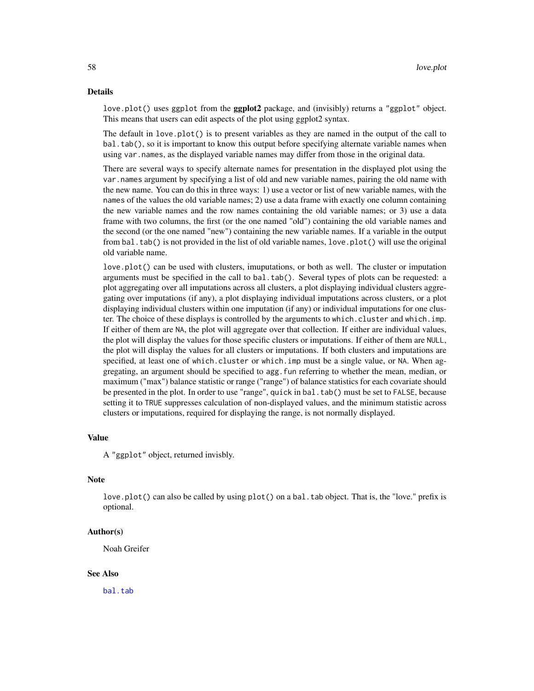#### <span id="page-57-0"></span>Details

love.plot() uses ggplot from the **ggplot2** package, and (invisibly) returns a "ggplot" object. This means that users can edit aspects of the plot using ggplot2 syntax.

The default in love.plot() is to present variables as they are named in the output of the call to bal.tab(), so it is important to know this output before specifying alternate variable names when using var.names, as the displayed variable names may differ from those in the original data.

There are several ways to specify alternate names for presentation in the displayed plot using the var.names argument by specifying a list of old and new variable names, pairing the old name with the new name. You can do this in three ways: 1) use a vector or list of new variable names, with the names of the values the old variable names; 2) use a data frame with exactly one column containing the new variable names and the row names containing the old variable names; or 3) use a data frame with two columns, the first (or the one named "old") containing the old variable names and the second (or the one named "new") containing the new variable names. If a variable in the output from bal.tab() is not provided in the list of old variable names, love.plot() will use the original old variable name.

love.plot() can be used with clusters, imuputations, or both as well. The cluster or imputation arguments must be specified in the call to bal.tab(). Several types of plots can be requested: a plot aggregating over all imputations across all clusters, a plot displaying individual clusters aggregating over imputations (if any), a plot displaying individual imputations across clusters, or a plot displaying individual clusters within one imputation (if any) or individual imputations for one cluster. The choice of these displays is controlled by the arguments to which.cluster and which.imp. If either of them are NA, the plot will aggregate over that collection. If either are individual values, the plot will display the values for those specific clusters or imputations. If either of them are NULL, the plot will display the values for all clusters or imputations. If both clusters and imputations are specified, at least one of which.cluster or which.imp must be a single value, or NA. When aggregating, an argument should be specified to agg.fun referring to whether the mean, median, or maximum ("max") balance statistic or range ("range") of balance statistics for each covariate should be presented in the plot. In order to use "range", quick in bal.tab() must be set to FALSE, because setting it to TRUE suppresses calculation of non-displayed values, and the minimum statistic across clusters or imputations, required for displaying the range, is not normally displayed.

#### Value

A "ggplot" object, returned invisbly.

#### **Note**

love.plot() can also be called by using plot() on a bal.tab object. That is, the "love." prefix is optional.

#### Author(s)

Noah Greifer

#### See Also

[bal.tab](#page-4-1)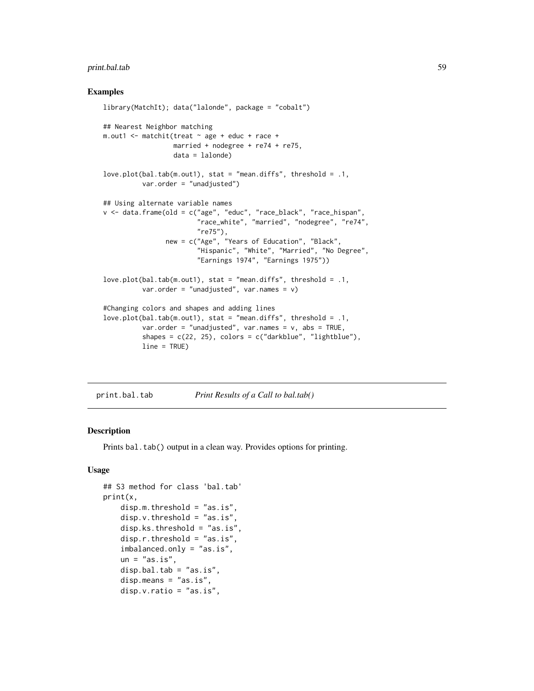## <span id="page-58-0"></span>print.bal.tab 59

#### Examples

```
library(MatchIt); data("lalonde", package = "cobalt")
## Nearest Neighbor matching
m.out1 <- matchit(treat ~ age + educ + race +
                  married + nodegree + re74 + re75,
                  data = lalonde)
love.plot(bal.tab(m.out1), stat = "mean.diffs", threshold = .1,
          var.order = "unadjusted")
## Using alternate variable names
v <- data.frame(old = c("age", "educ", "race_black", "race_hispan",
                        "race_white", "married", "nodegree", "re74",
                        "re75"),
                new = c("Age", "Years of Education", "Black",
                        "Hispanic", "White", "Married", "No Degree",
                        "Earnings 1974", "Earnings 1975"))
love.plot(bal.tab(m.out1), stat = "mean.diffs", threshold = .1,
          var.order = "unadjusted", var.names = v)
#Changing colors and shapes and adding lines
love.plot(bal.tab(m.out1), stat = "mean.diffs", threshold = .1,
          var.order = "unadjusted", var.names = v, abs = TRUE,
          shapes = c(22, 25), colors = c("darkblue", "lightblue"),line = TRUE)
```
<span id="page-58-1"></span>print.bal.tab *Print Results of a Call to bal.tab()*

## <span id="page-58-2"></span>Description

Prints bal.tab() output in a clean way. Provides options for printing.

#### Usage

```
## S3 method for class 'bal.tab'
print(x,
    disp.m.threshold = "as.is",
    disp.v.threshold = "as.is",
    disp.ks.threshold = "as.is",
    disp.r.threshold = "as.is",
    imbalanced.only = "as.is",
    un = "as.is".disp.bal.tab = "as.is",
    disp.means = "as.is",
    disp.v.ratio = "as.is",
```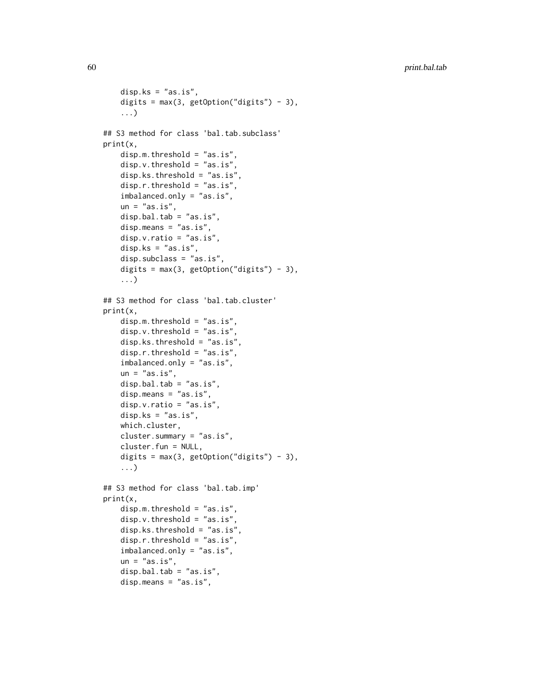```
disp.ks = "as.is",digits = max(3, getOption("digits") - 3),...)
## S3 method for class 'bal.tab.subclass'
print(x,
   disp.m.threshold = "as.is",
    disp.v.threshold = "as.is",
    disp.ks.threshold = "as.is",
    disp.r.threshold = "as.is",
    imbalanced.only = "as.is",
    un = "as.is",disp.bal.tab = "as.is",
    disp.means = "as.is",disp.v.ratio = "as.is",
    disp.ks = "as.is",disp.subclass = "as.is",
    digits = max(3, getOption("digits") - 3),...)
## S3 method for class 'bal.tab.cluster'
print(x,
    disp.m.threshold = "as.is",
    disp.v.threshold = "as.is",
    disp.ks.threshold = "as.is",
    disp.r.threshold = "as.is",
    imbalanced.only = "as.is",
    un = "as.is",disp.bal.tab = "as.is",
    disp.means = "as.is",
    disp.v.ratio = "as.is",disp.ks = "as.is",which.cluster,
    cluster.summary = "as.is",
    cluster.fun = NULL,
    digits = max(3, getOption("digits") - 3),...)
## S3 method for class 'bal.tab.imp'
print(x,
    disp.m.threshold = "as.is",
    disp.v.threshold = "as.is",
    disp.ks.threshold = "as.is",disp.r.threshold = "as.is",
    imbalanced.only = "as.is",
    un = "as.is",disp.bal.tab = "as.is",
    disp.means = "as.is",
```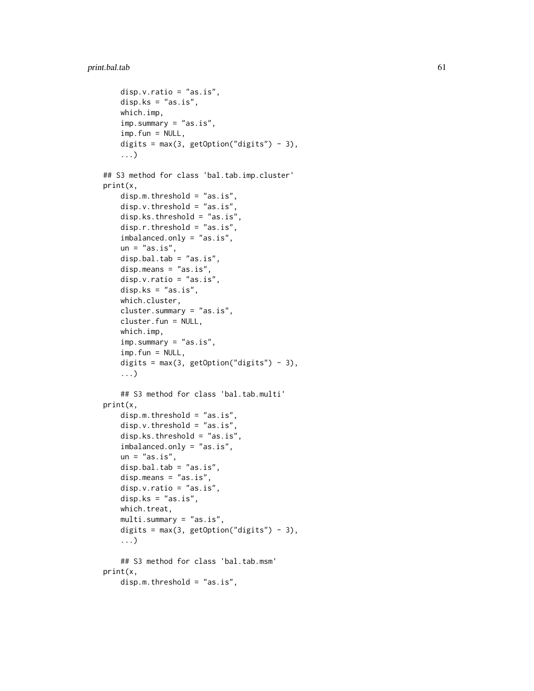```
disp.v.ratio = "as.is",
    disp.ks = "as.is",which.imp,
    imp.summary = "as.is",
    imp.fun = NULL,digits = max(3, getOption("digits") - 3),
    ...)
## S3 method for class 'bal.tab.imp.cluster'
print(x,
    disp.m.threshold = "as.is",
    disp.v.threshold = "as.is",
    disp.ks.threshold = "as.is",
    disp.r.threshold = "as.is",
    imbalanced.only = "as.is",
    un = "as.is",disp.bal.tab = "as.is",
    disp.means = "as.is",
    disp.v.ratio = "as.is",
    disp.ks = "as.is",
    which.cluster,
    cluster.summary = "as.is",
    cluster.fun = NULL,
    which.imp,
    imp.summary = "as.is",
    imp.fun = NULL,digits = max(3, getOption("digits") - 3),...)
    ## S3 method for class 'bal.tab.multi'
print(x,
    disp.m.threshold = "as.is",
    disp.v.threshold = "as.is",
    disp.ks.threshold = "as.is",
    imbalanced.only = "as.is",
    un = "as.is",disp.bal.tab = "as.is",disp.means = "as.is",
    disp.v.ratio = "as.is",
    disp.ks = "as.is",
    which.treat,
    multi.summary = "as.is",
    digits = max(3, getOption("digits") - 3),...)
    ## S3 method for class 'bal.tab.msm'
print(x,
    disp.m.threshold = "as.is",
```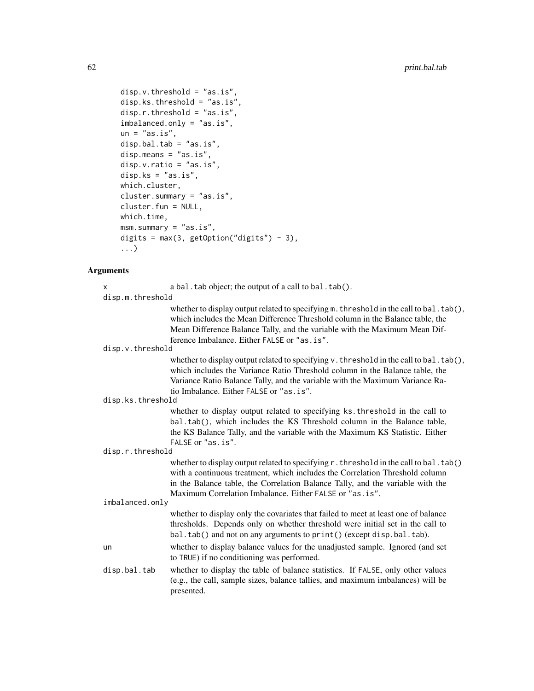```
disp.v.threshold = "as.is",
disp.ks.threshold = "as.is",
disp.r.threshold = "as.is",
imbalanced.only = "as.is",
un = "as.is",disp.bal.tab = "as.is",
disp.means = "as.is",
disp.v.ratio = "as.is",
disp.ks = "as.is",
which.cluster,
cluster.summary = "as.is",
cluster.fun = NULL,
which.time,
msm.summary = "as.is",
digits = max(3, getOption("digits") - 3),
...)
```
## Arguments

| X                 | a bal. tab object; the output of a call to bal. tab().                                                                                                                                                                                                                                                      |
|-------------------|-------------------------------------------------------------------------------------------------------------------------------------------------------------------------------------------------------------------------------------------------------------------------------------------------------------|
| disp.m.threshold  |                                                                                                                                                                                                                                                                                                             |
|                   | whether to display output related to specifying $m$ . threshold in the call to bal. $tab()$ ,<br>which includes the Mean Difference Threshold column in the Balance table, the<br>Mean Difference Balance Tally, and the variable with the Maximum Mean Dif-<br>ference Imbalance. Either FALSE or "as.is". |
| disp.v.threshold  |                                                                                                                                                                                                                                                                                                             |
|                   | whether to display output related to specifying $v$ . threshold in the call to bal. $tab()$ ,<br>which includes the Variance Ratio Threshold column in the Balance table, the<br>Variance Ratio Balance Tally, and the variable with the Maximum Variance Ra-<br>tio Imbalance. Either FALSE or "as.is".    |
| disp.ks.threshold |                                                                                                                                                                                                                                                                                                             |
|                   | whether to display output related to specifying ks. threshold in the call to<br>bal.tab(), which includes the KS Threshold column in the Balance table,<br>the KS Balance Tally, and the variable with the Maximum KS Statistic. Either                                                                     |
|                   | FALSE or "as.is".                                                                                                                                                                                                                                                                                           |
| disp.r.threshold  |                                                                                                                                                                                                                                                                                                             |
|                   | whether to display output related to specifying r. threshold in the call to bal. tab()<br>with a continuous treatment, which includes the Correlation Threshold column<br>in the Balance table, the Correlation Balance Tally, and the variable with the                                                    |
| imbalanced.only   | Maximum Correlation Imbalance. Either FALSE or "as. is".                                                                                                                                                                                                                                                    |
|                   |                                                                                                                                                                                                                                                                                                             |
|                   | whether to display only the covariates that failed to meet at least one of balance<br>thresholds. Depends only on whether threshold were initial set in the call to<br>bal.tab() and not on any arguments to print() (except disp.bal.tab).                                                                 |
| un                | whether to display balance values for the unadjusted sample. Ignored (and set<br>to TRUE) if no conditioning was performed.                                                                                                                                                                                 |
| disp.bal.tab      | whether to display the table of balance statistics. If FALSE, only other values<br>(e.g., the call, sample sizes, balance tallies, and maximum imbalances) will be<br>presented.                                                                                                                            |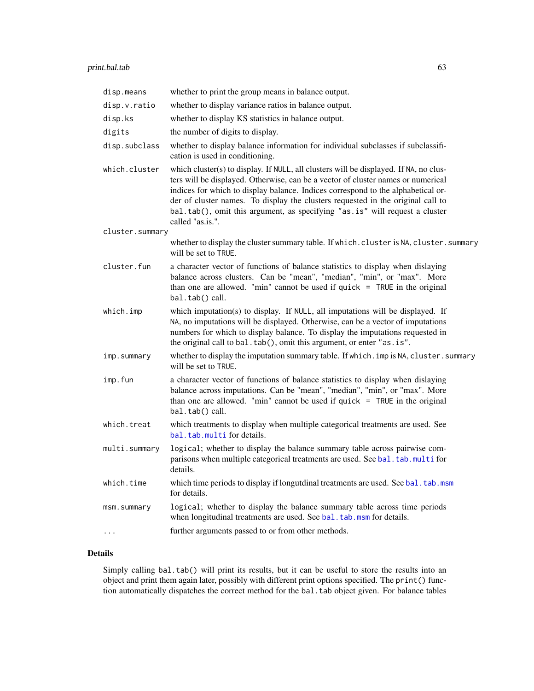<span id="page-62-0"></span>

| disp.means      | whether to print the group means in balance output.                                                                                                                                                                                                                                                                                                                                                                                                 |
|-----------------|-----------------------------------------------------------------------------------------------------------------------------------------------------------------------------------------------------------------------------------------------------------------------------------------------------------------------------------------------------------------------------------------------------------------------------------------------------|
| disp.v.ratio    | whether to display variance ratios in balance output.                                                                                                                                                                                                                                                                                                                                                                                               |
| disp.ks         | whether to display KS statistics in balance output.                                                                                                                                                                                                                                                                                                                                                                                                 |
| digits          | the number of digits to display.                                                                                                                                                                                                                                                                                                                                                                                                                    |
| disp.subclass   | whether to display balance information for individual subclasses if subclassifi-<br>cation is used in conditioning.                                                                                                                                                                                                                                                                                                                                 |
| which.cluster   | which cluster(s) to display. If NULL, all clusters will be displayed. If NA, no clus-<br>ters will be displayed. Otherwise, can be a vector of cluster names or numerical<br>indices for which to display balance. Indices correspond to the alphabetical or-<br>der of cluster names. To display the clusters requested in the original call to<br>bal.tab(), omit this argument, as specifying "as.is" will request a cluster<br>called "as.is.". |
| cluster.summary |                                                                                                                                                                                                                                                                                                                                                                                                                                                     |
|                 | whether to display the cluster summary table. If which. cluster is NA, cluster. summary<br>will be set to TRUE.                                                                                                                                                                                                                                                                                                                                     |
| cluster.fun     | a character vector of functions of balance statistics to display when dislaying<br>balance across clusters. Can be "mean", "median", "min", or "max". More<br>than one are allowed. "min" cannot be used if quick $=$ TRUE in the original<br>bal.tab() call.                                                                                                                                                                                       |
| which.imp       | which imputation(s) to display. If NULL, all imputations will be displayed. If<br>NA, no imputations will be displayed. Otherwise, can be a vector of imputations<br>numbers for which to display balance. To display the imputations requested in<br>the original call to bal.tab(), omit this argument, or enter "as.is".                                                                                                                         |
| imp.summary     | whether to display the imputation summary table. If which . imp is NA, cluster . summary<br>will be set to TRUE.                                                                                                                                                                                                                                                                                                                                    |
| imp.fun         | a character vector of functions of balance statistics to display when dislaying<br>balance across imputations. Can be "mean", "median", "min", or "max". More<br>than one are allowed. "min" cannot be used if quick $=$ TRUE in the original<br>bal.tab() call.                                                                                                                                                                                    |
| which.treat     | which treatments to display when multiple categorical treatments are used. See<br>bal.tab.multi for details.                                                                                                                                                                                                                                                                                                                                        |
| multi.summary   | logical; whether to display the balance summary table across pairwise com-<br>parisons when multiple categorical treatments are used. See bal.tab.multi for<br>details.                                                                                                                                                                                                                                                                             |
| which.time      | which time periods to display if longutdinal treatments are used. See bal. tab.msm<br>for details.                                                                                                                                                                                                                                                                                                                                                  |
| msm.summary     | logical; whether to display the balance summary table across time periods<br>when longitudinal treatments are used. See bal. tab.msm for details.                                                                                                                                                                                                                                                                                                   |
|                 | further arguments passed to or from other methods.                                                                                                                                                                                                                                                                                                                                                                                                  |

## Details

Simply calling bal.tab() will print its results, but it can be useful to store the results into an object and print them again later, possibly with different print options specified. The print() function automatically dispatches the correct method for the bal.tab object given. For balance tables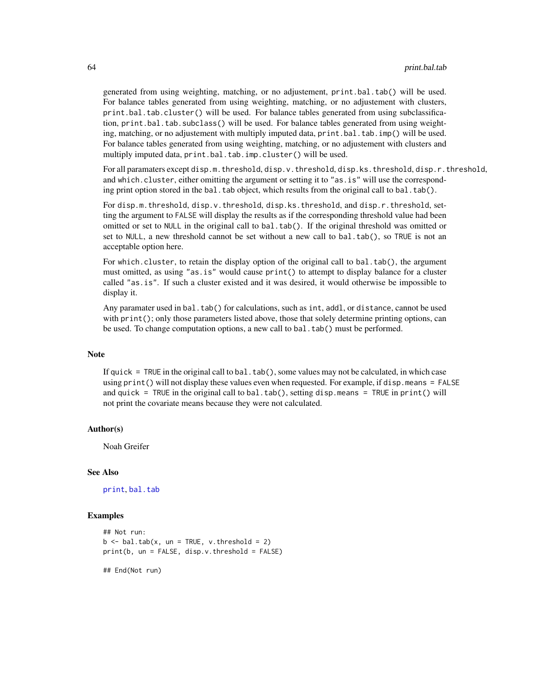generated from using weighting, matching, or no adjustement, print.bal.tab() will be used. For balance tables generated from using weighting, matching, or no adjustement with clusters, print.bal.tab.cluster() will be used. For balance tables generated from using subclassification, print.bal.tab.subclass() will be used. For balance tables generated from using weighting, matching, or no adjustement with multiply imputed data, print.bal.tab.imp() will be used. For balance tables generated from using weighting, matching, or no adjustement with clusters and multiply imputed data, print.bal.tab.imp.cluster() will be used.

For all paramaters except disp.m.threshold, disp.v.threshold, disp.ks.threshold, disp.r.threshold, and which.cluster, either omitting the argument or setting it to "as.is" will use the corresponding print option stored in the bal.tab object, which results from the original call to bal.tab().

For disp.m.threshold, disp.v.threshold, disp.ks.threshold, and disp.r.threshold, setting the argument to FALSE will display the results as if the corresponding threshold value had been omitted or set to NULL in the original call to bal.tab(). If the original threshold was omitted or set to NULL, a new threshold cannot be set without a new call to bal.tab(), so TRUE is not an acceptable option here.

For which.cluster, to retain the display option of the original call to bal.tab(), the argument must omitted, as using "as.is" would cause print() to attempt to display balance for a cluster called "as.is". If such a cluster existed and it was desired, it would otherwise be impossible to display it.

Any paramater used in bal.tab() for calculations, such as int, addl, or distance, cannot be used with print(); only those parameters listed above, those that solely determine printing options, can be used. To change computation options, a new call to bal.tab() must be performed.

#### **Note**

If quick  $=$  TRUE in the original call to bal.tab(), some values may not be calculated, in which case using print() will not display these values even when requested. For example, if disp.means = FALSE and quick = TRUE in the original call to bal.tab(), setting disp.means = TRUE in print() will not print the covariate means because they were not calculated.

#### Author(s)

Noah Greifer

#### See Also

[print](#page-0-0), [bal.tab](#page-4-1)

#### Examples

```
## Not run:
b \le - bal.tab(x, un = TRUE, v.threshold = 2)
print(b, un = FALSE, disp.v.threshold = FALSE)
```
## End(Not run)

<span id="page-63-0"></span>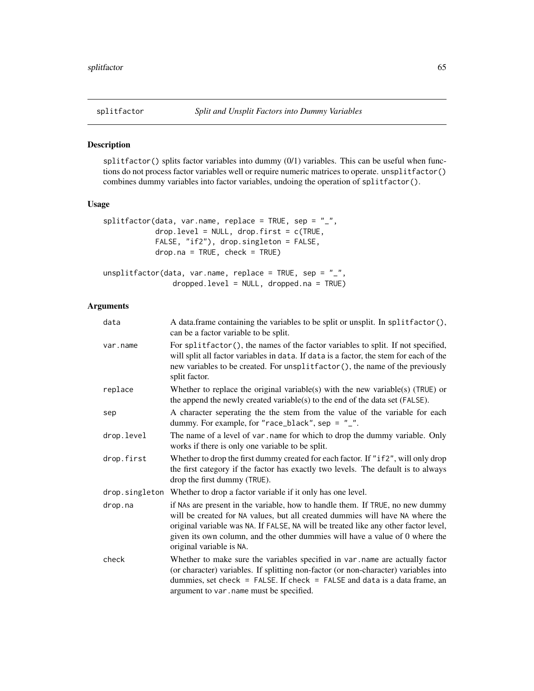<span id="page-64-0"></span>

## Description

splitfactor() splits factor variables into dummy  $(0/1)$  variables. This can be useful when functions do not process factor variables well or require numeric matrices to operate. unsplitfactor() combines dummy variables into factor variables, undoing the operation of splitfactor().

#### Usage

```
splitfactor(data, var.name, replace = TRUE, sep = "_",
            drop. level = NULL, drop. first = c(TRUE,FALSE, "if2"), drop.singleton = FALSE,
            drop.na = TRUE, check = TRUE)
unsplitfactor(data, var.name, replace = TRUE, sep = "_",
                dropped.level = NULL, dropped.na = TRUE)
```
#### Arguments

| data       | A data.frame containing the variables to be split or unsplit. In splitfactor(),<br>can be a factor variable to be split.                                                                                                                                                                                                                                          |
|------------|-------------------------------------------------------------------------------------------------------------------------------------------------------------------------------------------------------------------------------------------------------------------------------------------------------------------------------------------------------------------|
| var.name   | For splitfactor(), the names of the factor variables to split. If not specified,<br>will split all factor variables in data. If data is a factor, the stem for each of the<br>new variables to be created. For unsplitfactor(), the name of the previously<br>split factor.                                                                                       |
| replace    | Whether to replace the original variable(s) with the new variable(s) (TRUE) or<br>the append the newly created variable(s) to the end of the data set (FALSE).                                                                                                                                                                                                    |
| sep        | A character seperating the the stem from the value of the variable for each<br>dummy. For example, for "race_black", sep = $"$ _".                                                                                                                                                                                                                                |
| drop.level | The name of a level of var, name for which to drop the dummy variable. Only<br>works if there is only one variable to be split.                                                                                                                                                                                                                                   |
| drop.first | Whether to drop the first dummy created for each factor. If "if2", will only drop<br>the first category if the factor has exactly two levels. The default is to always<br>drop the first dummy (TRUE).                                                                                                                                                            |
|            | drop. singleton Whether to drop a factor variable if it only has one level.                                                                                                                                                                                                                                                                                       |
| drop.na    | if NAs are present in the variable, how to handle them. If TRUE, no new dummy<br>will be created for NA values, but all created dummies will have NA where the<br>original variable was NA. If FALSE, NA will be treated like any other factor level,<br>given its own column, and the other dummies will have a value of 0 where the<br>original variable is NA. |
| check      | Whether to make sure the variables specified in var name are actually factor<br>(or character) variables. If splitting non-factor (or non-character) variables into<br>dummies, set check = $FALSE$ . If check = $FALSE$ and data is a data frame, an<br>argument to var. name must be specified.                                                                 |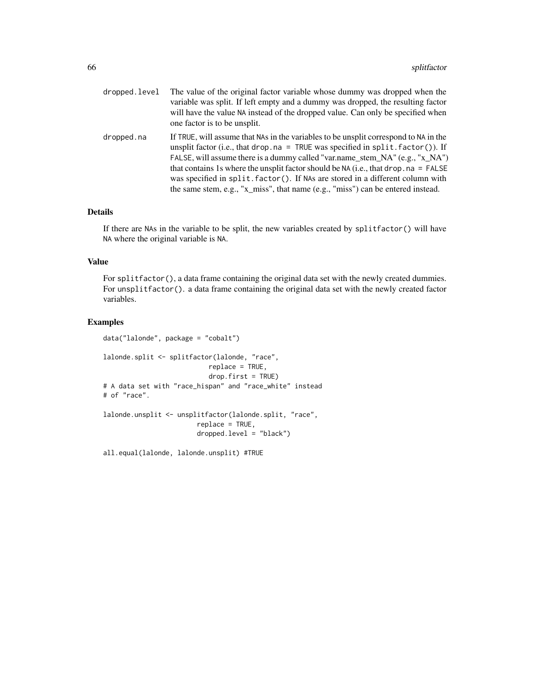| dropped.level | The value of the original factor variable whose dummy was dropped when the<br>variable was split. If left empty and a dummy was dropped, the resulting factor<br>will have the value NA instead of the dropped value. Can only be specified when<br>one factor is to be unsplit.                                                                                                                                                                                                                                               |
|---------------|--------------------------------------------------------------------------------------------------------------------------------------------------------------------------------------------------------------------------------------------------------------------------------------------------------------------------------------------------------------------------------------------------------------------------------------------------------------------------------------------------------------------------------|
| dropped.na    | If TRUE, will assume that NAs in the variables to be unsplit correspond to NA in the<br>unsplit factor (i.e., that drop. $na = TRUE$ was specified in split. factor ()). If<br>FALSE, will assume there is a dummy called "var.name_stem_NA" $(e.g., "x_NA")$<br>that contains 1s where the unsplit factor should be NA (i.e., that drop, $na = FALSE$<br>was specified in split. factor (). If NAs are stored in a different column with<br>the same stem, e.g., "x_miss", that name $(e.g., "miss")$ can be entered instead. |

## Details

If there are NAs in the variable to be split, the new variables created by splitfactor() will have NA where the original variable is NA.

#### Value

For splitfactor(), a data frame containing the original data set with the newly created dummies. For unsplitfactor(). a data frame containing the original data set with the newly created factor variables.

## Examples

```
data("lalonde", package = "cobalt")
lalonde.split <- splitfactor(lalonde, "race",
                           replace = TRUE,
                           drop.first = TRUE)
# A data set with "race_hispan" and "race_white" instead
# of "race".
lalonde.unsplit <- unsplitfactor(lalonde.split, "race",
                        replace = TRUE,
                        dropped.level = "black")
```
all.equal(lalonde, lalonde.unsplit) #TRUE